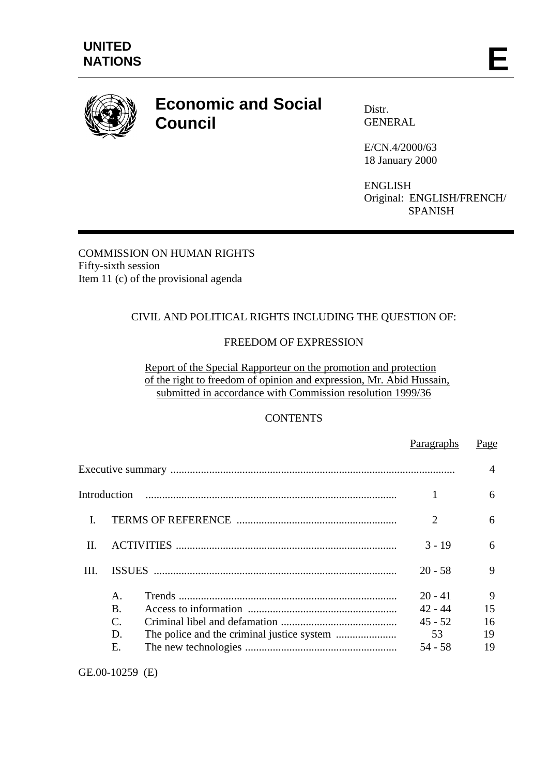

# **Economic and Social Council**

Distr. GENERAL

E/CN.4/2000/63 18 January 2000

ENGLISH Original: ENGLISH/FRENCH/ SPANISH

COMMISSION ON HUMAN RIGHTS Fifty-sixth session Item 11 (c) of the provisional agenda

## CIVIL AND POLITICAL RIGHTS INCLUDING THE QUESTION OF:

## FREEDOM OF EXPRESSION

Report of the Special Rapporteur on the promotion and protection of the right to freedom of opinion and expression, Mr. Abid Hussain, submitted in accordance with Commission resolution 1999/36

## **CONTENTS**

|                                                         | Paragraphs                                           | Page                      |
|---------------------------------------------------------|------------------------------------------------------|---------------------------|
|                                                         |                                                      | $\overline{4}$            |
| Introduction                                            | 1                                                    | 6                         |
|                                                         | $\overline{2}$                                       | 6                         |
|                                                         | $3 - 19$                                             | 6                         |
|                                                         | $20 - 58$                                            | 9                         |
| $\mathsf{A}$ .<br><b>B.</b><br>$\mathsf{C}$<br>D.<br>Ε. | $20 - 41$<br>$42 - 44$<br>$45 - 52$<br>53<br>54 - 58 | 9<br>15<br>16<br>19<br>19 |
|                                                         |                                                      |                           |

GE.00-10259 (E)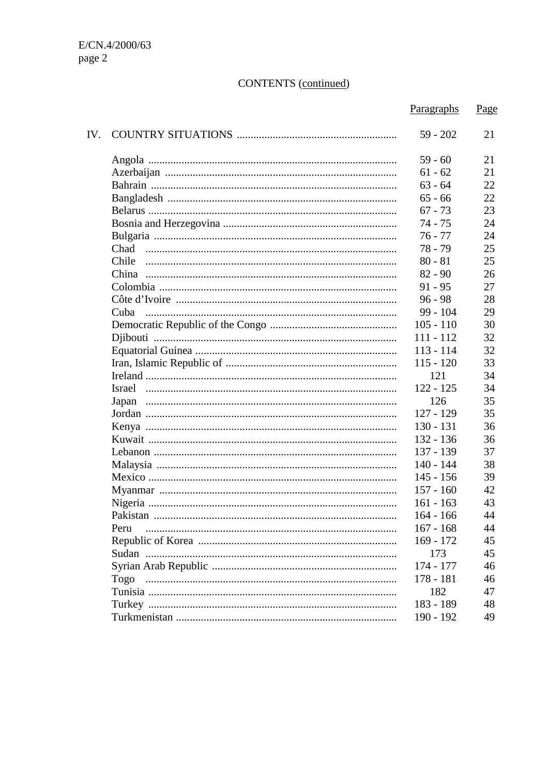## **CONTENTS** (continued)

|     |        | Paragraphs  | Page |
|-----|--------|-------------|------|
| IV. |        | $59 - 202$  | 21   |
|     |        | $59 - 60$   | 21   |
|     |        | $61 - 62$   | 21   |
|     |        | $63 - 64$   | 22   |
|     |        | $65 - 66$   | 22   |
|     |        | $67 - 73$   | 23   |
|     |        | 74 - 75     | 24   |
|     |        | $76 - 77$   | 24   |
|     | Chad   | $78 - 79$   | 25   |
|     | Chile  | $80 - 81$   | 25   |
|     |        | $82 - 90$   | 26   |
|     |        | $91 - 95$   | 27   |
|     |        | $96 - 98$   | 28   |
|     | Cuba   | $99 - 104$  | 29   |
|     |        | $105 - 110$ | 30   |
|     |        | $111 - 112$ | 32   |
|     |        | $113 - 114$ | 32   |
|     |        | $115 - 120$ | 33   |
|     |        | 121         | 34   |
|     | Israel | $122 - 125$ | 34   |
|     | Japan  | 126         | 35   |
|     |        | $127 - 129$ | 35   |
|     |        | $130 - 131$ | 36   |
|     |        | $132 - 136$ | 36   |
|     |        | 137 - 139   | 37   |
|     |        | $140 - 144$ | 38   |
|     |        | $145 - 156$ | 39   |
|     |        | $157 - 160$ | 42   |
|     |        | $161 - 163$ | 43   |
|     |        | $164 - 166$ | 44   |
|     | Peru   | $167 - 168$ | 44   |
|     |        | $169 - 172$ | 45   |
|     |        | 173         | 45   |
|     |        | 174 - 177   | 46   |
|     | Togo   | 178 - 181   | 46   |
|     |        | 182         | 47   |
|     |        | 183 - 189   | 48   |
|     |        | 190 - 192   | 49   |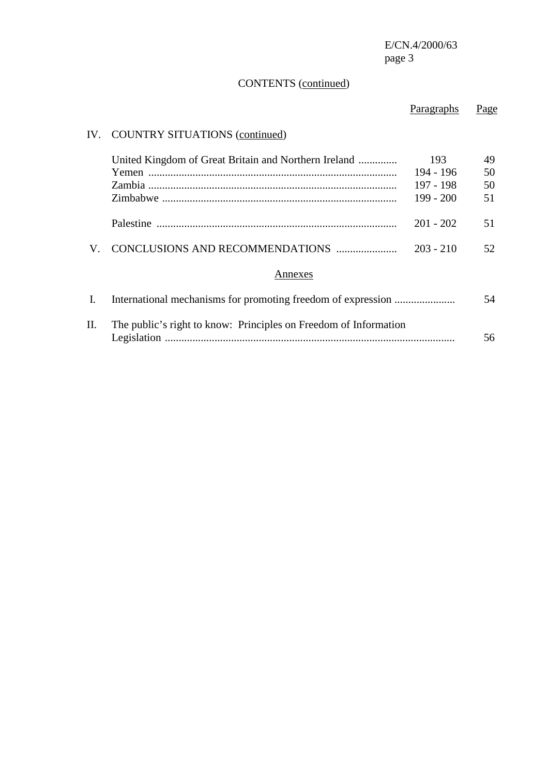## CONTENTS (continued)

|     |                                                                  | Paragraphs                                   | Page                 |
|-----|------------------------------------------------------------------|----------------------------------------------|----------------------|
| IV. | <b>COUNTRY SITUATIONS (continued)</b>                            |                                              |                      |
|     | United Kingdom of Great Britain and Northern Ireland             | 193<br>194 - 196<br>197 - 198<br>$199 - 200$ | 49<br>50<br>50<br>51 |
|     |                                                                  | $201 - 202$                                  | 51                   |
| V.  |                                                                  | $203 - 210$                                  | 52                   |
|     | Annexes                                                          |                                              |                      |
| I.  |                                                                  |                                              | 54                   |
| П.  | The public's right to know: Principles on Freedom of Information |                                              | 56                   |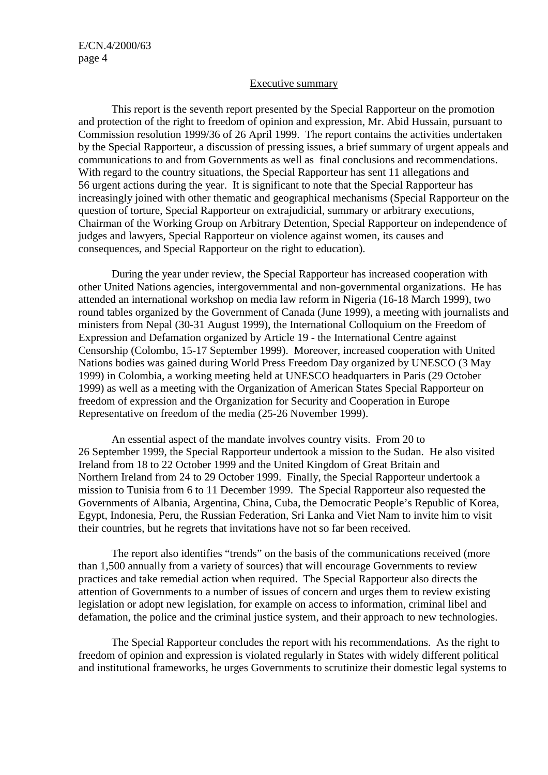#### Executive summary

This report is the seventh report presented by the Special Rapporteur on the promotion and protection of the right to freedom of opinion and expression, Mr. Abid Hussain, pursuant to Commission resolution 1999/36 of 26 April 1999. The report contains the activities undertaken by the Special Rapporteur, a discussion of pressing issues, a brief summary of urgent appeals and communications to and from Governments as well as final conclusions and recommendations. With regard to the country situations, the Special Rapporteur has sent 11 allegations and 56 urgent actions during the year. It is significant to note that the Special Rapporteur has increasingly joined with other thematic and geographical mechanisms (Special Rapporteur on the question of torture, Special Rapporteur on extrajudicial, summary or arbitrary executions, Chairman of the Working Group on Arbitrary Detention, Special Rapporteur on independence of judges and lawyers, Special Rapporteur on violence against women, its causes and consequences, and Special Rapporteur on the right to education).

During the year under review, the Special Rapporteur has increased cooperation with other United Nations agencies, intergovernmental and non-governmental organizations. He has attended an international workshop on media law reform in Nigeria (16-18 March 1999), two round tables organized by the Government of Canada (June 1999), a meeting with journalists and ministers from Nepal (30-31 August 1999), the International Colloquium on the Freedom of Expression and Defamation organized by Article 19 - the International Centre against Censorship (Colombo, 15-17 September 1999). Moreover, increased cooperation with United Nations bodies was gained during World Press Freedom Day organized by UNESCO (3 May 1999) in Colombia, a working meeting held at UNESCO headquarters in Paris (29 October 1999) as well as a meeting with the Organization of American States Special Rapporteur on freedom of expression and the Organization for Security and Cooperation in Europe Representative on freedom of the media (25-26 November 1999).

An essential aspect of the mandate involves country visits. From 20 to 26 September 1999, the Special Rapporteur undertook a mission to the Sudan. He also visited Ireland from 18 to 22 October 1999 and the United Kingdom of Great Britain and Northern Ireland from 24 to 29 October 1999. Finally, the Special Rapporteur undertook a mission to Tunisia from 6 to 11 December 1999. The Special Rapporteur also requested the Governments of Albania, Argentina, China, Cuba, the Democratic People's Republic of Korea, Egypt, Indonesia, Peru, the Russian Federation, Sri Lanka and Viet Nam to invite him to visit their countries, but he regrets that invitations have not so far been received.

The report also identifies "trends" on the basis of the communications received (more than 1,500 annually from a variety of sources) that will encourage Governments to review practices and take remedial action when required. The Special Rapporteur also directs the attention of Governments to a number of issues of concern and urges them to review existing legislation or adopt new legislation, for example on access to information, criminal libel and defamation, the police and the criminal justice system, and their approach to new technologies.

The Special Rapporteur concludes the report with his recommendations. As the right to freedom of opinion and expression is violated regularly in States with widely different political and institutional frameworks, he urges Governments to scrutinize their domestic legal systems to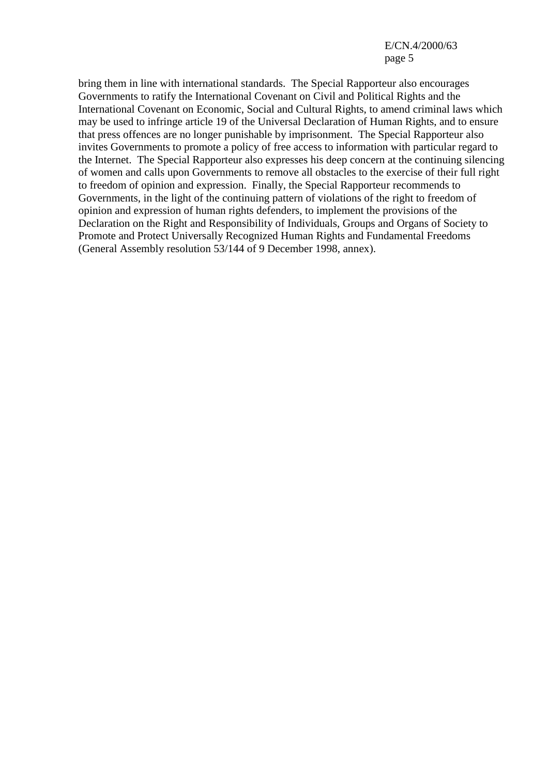bring them in line with international standards. The Special Rapporteur also encourages Governments to ratify the International Covenant on Civil and Political Rights and the International Covenant on Economic, Social and Cultural Rights, to amend criminal laws which may be used to infringe article 19 of the Universal Declaration of Human Rights, and to ensure that press offences are no longer punishable by imprisonment. The Special Rapporteur also invites Governments to promote a policy of free access to information with particular regard to the Internet. The Special Rapporteur also expresses his deep concern at the continuing silencing of women and calls upon Governments to remove all obstacles to the exercise of their full right to freedom of opinion and expression. Finally, the Special Rapporteur recommends to Governments, in the light of the continuing pattern of violations of the right to freedom of opinion and expression of human rights defenders, to implement the provisions of the Declaration on the Right and Responsibility of Individuals, Groups and Organs of Society to Promote and Protect Universally Recognized Human Rights and Fundamental Freedoms (General Assembly resolution 53/144 of 9 December 1998, annex).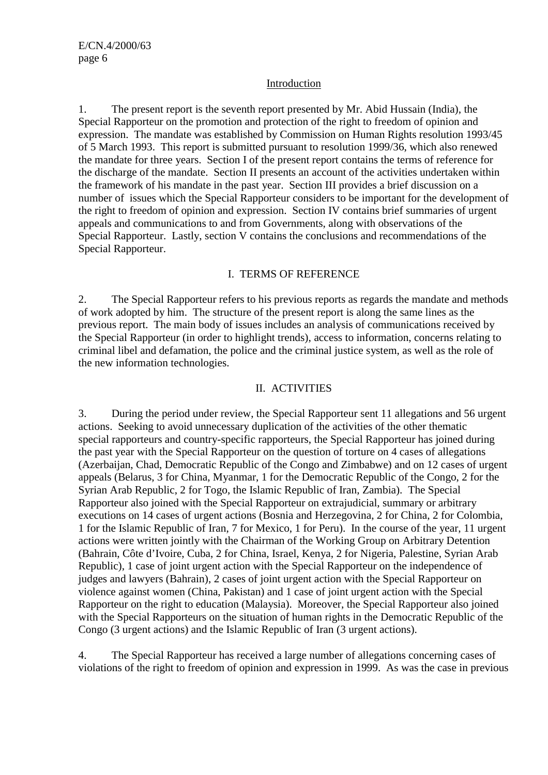#### Introduction

1. The present report is the seventh report presented by Mr. Abid Hussain (India), the Special Rapporteur on the promotion and protection of the right to freedom of opinion and expression. The mandate was established by Commission on Human Rights resolution 1993/45 of 5 March 1993. This report is submitted pursuant to resolution 1999/36, which also renewed the mandate for three years. Section I of the present report contains the terms of reference for the discharge of the mandate. Section II presents an account of the activities undertaken within the framework of his mandate in the past year. Section III provides a brief discussion on a number of issues which the Special Rapporteur considers to be important for the development of the right to freedom of opinion and expression. Section IV contains brief summaries of urgent appeals and communications to and from Governments, along with observations of the Special Rapporteur. Lastly, section V contains the conclusions and recommendations of the Special Rapporteur.

### I. TERMS OF REFERENCE

2. The Special Rapporteur refers to his previous reports as regards the mandate and methods of work adopted by him. The structure of the present report is along the same lines as the previous report. The main body of issues includes an analysis of communications received by the Special Rapporteur (in order to highlight trends), access to information, concerns relating to criminal libel and defamation, the police and the criminal justice system, as well as the role of the new information technologies.

## II. ACTIVITIES

3. During the period under review, the Special Rapporteur sent 11 allegations and 56 urgent actions. Seeking to avoid unnecessary duplication of the activities of the other thematic special rapporteurs and country-specific rapporteurs, the Special Rapporteur has joined during the past year with the Special Rapporteur on the question of torture on 4 cases of allegations (Azerbaijan, Chad, Democratic Republic of the Congo and Zimbabwe) and on 12 cases of urgent appeals (Belarus, 3 for China, Myanmar, 1 for the Democratic Republic of the Congo, 2 for the Syrian Arab Republic, 2 for Togo, the Islamic Republic of Iran, Zambia). The Special Rapporteur also joined with the Special Rapporteur on extrajudicial, summary or arbitrary executions on 14 cases of urgent actions (Bosnia and Herzegovina, 2 for China, 2 for Colombia, 1 for the Islamic Republic of Iran, 7 for Mexico, 1 for Peru). In the course of the year, 11 urgent actions were written jointly with the Chairman of the Working Group on Arbitrary Detention (Bahrain, Côte d'Ivoire, Cuba, 2 for China, Israel, Kenya, 2 for Nigeria, Palestine, Syrian Arab Republic), 1 case of joint urgent action with the Special Rapporteur on the independence of judges and lawyers (Bahrain), 2 cases of joint urgent action with the Special Rapporteur on violence against women (China, Pakistan) and 1 case of joint urgent action with the Special Rapporteur on the right to education (Malaysia). Moreover, the Special Rapporteur also joined with the Special Rapporteurs on the situation of human rights in the Democratic Republic of the Congo (3 urgent actions) and the Islamic Republic of Iran (3 urgent actions).

4. The Special Rapporteur has received a large number of allegations concerning cases of violations of the right to freedom of opinion and expression in 1999. As was the case in previous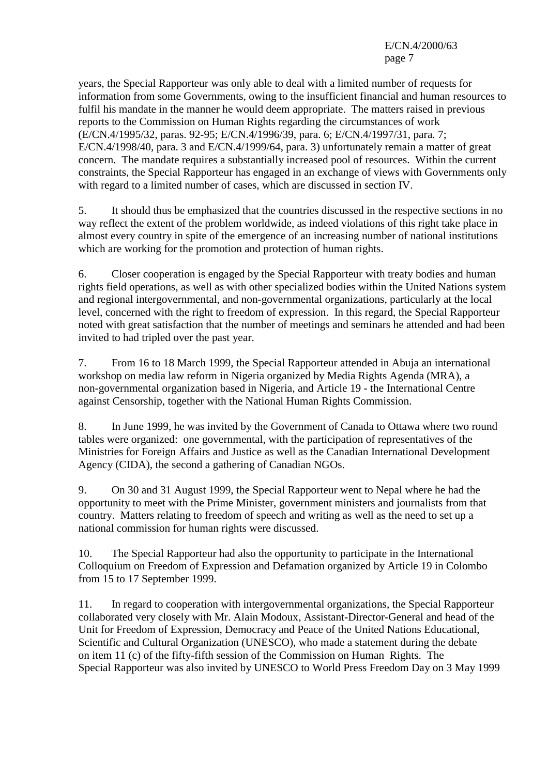years, the Special Rapporteur was only able to deal with a limited number of requests for information from some Governments, owing to the insufficient financial and human resources to fulfil his mandate in the manner he would deem appropriate. The matters raised in previous reports to the Commission on Human Rights regarding the circumstances of work (E/CN.4/1995/32, paras. 92-95; E/CN.4/1996/39, para. 6; E/CN.4/1997/31, para. 7; E/CN.4/1998/40, para. 3 and E/CN.4/1999/64, para. 3) unfortunately remain a matter of great concern. The mandate requires a substantially increased pool of resources. Within the current constraints, the Special Rapporteur has engaged in an exchange of views with Governments only with regard to a limited number of cases, which are discussed in section IV.

5. It should thus be emphasized that the countries discussed in the respective sections in no way reflect the extent of the problem worldwide, as indeed violations of this right take place in almost every country in spite of the emergence of an increasing number of national institutions which are working for the promotion and protection of human rights.

6. Closer cooperation is engaged by the Special Rapporteur with treaty bodies and human rights field operations, as well as with other specialized bodies within the United Nations system and regional intergovernmental, and non-governmental organizations, particularly at the local level, concerned with the right to freedom of expression. In this regard, the Special Rapporteur noted with great satisfaction that the number of meetings and seminars he attended and had been invited to had tripled over the past year.

7. From 16 to 18 March 1999, the Special Rapporteur attended in Abuja an international workshop on media law reform in Nigeria organized by Media Rights Agenda (MRA), a non-governmental organization based in Nigeria, and Article 19 - the International Centre against Censorship, together with the National Human Rights Commission.

8. In June 1999, he was invited by the Government of Canada to Ottawa where two round tables were organized: one governmental, with the participation of representatives of the Ministries for Foreign Affairs and Justice as well as the Canadian International Development Agency (CIDA), the second a gathering of Canadian NGOs.

9. On 30 and 31 August 1999, the Special Rapporteur went to Nepal where he had the opportunity to meet with the Prime Minister, government ministers and journalists from that country. Matters relating to freedom of speech and writing as well as the need to set up a national commission for human rights were discussed.

10. The Special Rapporteur had also the opportunity to participate in the International Colloquium on Freedom of Expression and Defamation organized by Article 19 in Colombo from 15 to 17 September 1999.

11. In regard to cooperation with intergovernmental organizations, the Special Rapporteur collaborated very closely with Mr. Alain Modoux, Assistant-Director-General and head of the Unit for Freedom of Expression, Democracy and Peace of the United Nations Educational, Scientific and Cultural Organization (UNESCO), who made a statement during the debate on item 11 (c) of the fifty-fifth session of the Commission on Human Rights. The Special Rapporteur was also invited by UNESCO to World Press Freedom Day on 3 May 1999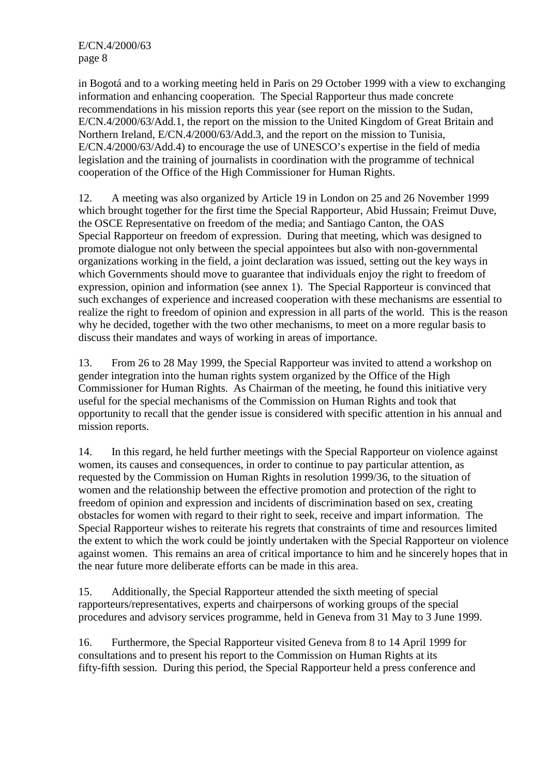in Bogotá and to a working meeting held in Paris on 29 October 1999 with a view to exchanging information and enhancing cooperation. The Special Rapporteur thus made concrete recommendations in his mission reports this year (see report on the mission to the Sudan, E/CN.4/2000/63/Add.1, the report on the mission to the United Kingdom of Great Britain and Northern Ireland, E/CN.4/2000/63/Add.3, and the report on the mission to Tunisia, E/CN.4/2000/63/Add.4) to encourage the use of UNESCO's expertise in the field of media legislation and the training of journalists in coordination with the programme of technical cooperation of the Office of the High Commissioner for Human Rights.

12. A meeting was also organized by Article 19 in London on 25 and 26 November 1999 which brought together for the first time the Special Rapporteur, Abid Hussain; Freimut Duve, the OSCE Representative on freedom of the media; and Santiago Canton, the OAS Special Rapporteur on freedom of expression. During that meeting, which was designed to promote dialogue not only between the special appointees but also with non-governmental organizations working in the field, a joint declaration was issued, setting out the key ways in which Governments should move to guarantee that individuals enjoy the right to freedom of expression, opinion and information (see annex 1). The Special Rapporteur is convinced that such exchanges of experience and increased cooperation with these mechanisms are essential to realize the right to freedom of opinion and expression in all parts of the world. This is the reason why he decided, together with the two other mechanisms, to meet on a more regular basis to discuss their mandates and ways of working in areas of importance.

13. From 26 to 28 May 1999, the Special Rapporteur was invited to attend a workshop on gender integration into the human rights system organized by the Office of the High Commissioner for Human Rights. As Chairman of the meeting, he found this initiative very useful for the special mechanisms of the Commission on Human Rights and took that opportunity to recall that the gender issue is considered with specific attention in his annual and mission reports.

14. In this regard, he held further meetings with the Special Rapporteur on violence against women, its causes and consequences, in order to continue to pay particular attention, as requested by the Commission on Human Rights in resolution 1999/36, to the situation of women and the relationship between the effective promotion and protection of the right to freedom of opinion and expression and incidents of discrimination based on sex, creating obstacles for women with regard to their right to seek, receive and impart information. The Special Rapporteur wishes to reiterate his regrets that constraints of time and resources limited the extent to which the work could be jointly undertaken with the Special Rapporteur on violence against women. This remains an area of critical importance to him and he sincerely hopes that in the near future more deliberate efforts can be made in this area.

15. Additionally, the Special Rapporteur attended the sixth meeting of special rapporteurs/representatives, experts and chairpersons of working groups of the special procedures and advisory services programme, held in Geneva from 31 May to 3 June 1999.

16. Furthermore, the Special Rapporteur visited Geneva from 8 to 14 April 1999 for consultations and to present his report to the Commission on Human Rights at its fifty-fifth session. During this period, the Special Rapporteur held a press conference and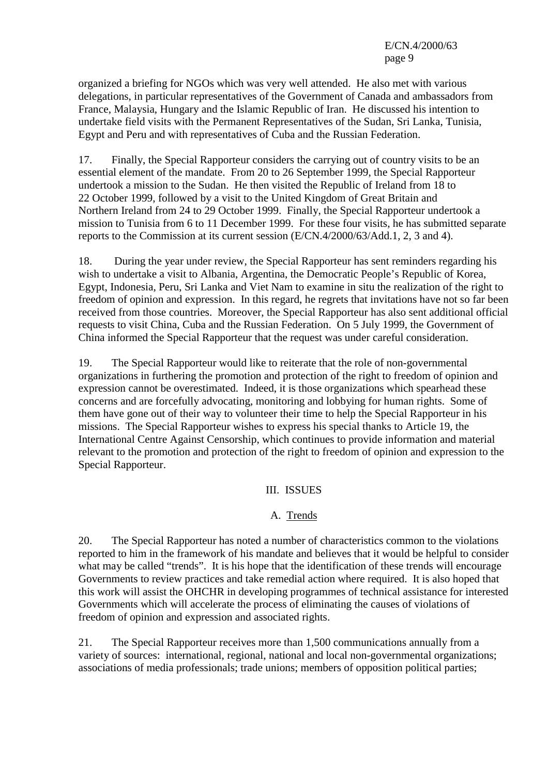organized a briefing for NGOs which was very well attended. He also met with various delegations, in particular representatives of the Government of Canada and ambassadors from France, Malaysia, Hungary and the Islamic Republic of Iran. He discussed his intention to undertake field visits with the Permanent Representatives of the Sudan, Sri Lanka, Tunisia, Egypt and Peru and with representatives of Cuba and the Russian Federation.

17. Finally, the Special Rapporteur considers the carrying out of country visits to be an essential element of the mandate. From 20 to 26 September 1999, the Special Rapporteur undertook a mission to the Sudan. He then visited the Republic of Ireland from 18 to 22 October 1999, followed by a visit to the United Kingdom of Great Britain and Northern Ireland from 24 to 29 October 1999. Finally, the Special Rapporteur undertook a mission to Tunisia from 6 to 11 December 1999. For these four visits, he has submitted separate reports to the Commission at its current session (E/CN.4/2000/63/Add.1, 2, 3 and 4).

18. During the year under review, the Special Rapporteur has sent reminders regarding his wish to undertake a visit to Albania, Argentina, the Democratic People's Republic of Korea, Egypt, Indonesia, Peru, Sri Lanka and Viet Nam to examine in situ the realization of the right to freedom of opinion and expression. In this regard, he regrets that invitations have not so far been received from those countries. Moreover, the Special Rapporteur has also sent additional official requests to visit China, Cuba and the Russian Federation. On 5 July 1999, the Government of China informed the Special Rapporteur that the request was under careful consideration.

19. The Special Rapporteur would like to reiterate that the role of non-governmental organizations in furthering the promotion and protection of the right to freedom of opinion and expression cannot be overestimated. Indeed, it is those organizations which spearhead these concerns and are forcefully advocating, monitoring and lobbying for human rights. Some of them have gone out of their way to volunteer their time to help the Special Rapporteur in his missions. The Special Rapporteur wishes to express his special thanks to Article 19, the International Centre Against Censorship, which continues to provide information and material relevant to the promotion and protection of the right to freedom of opinion and expression to the Special Rapporteur.

## III. ISSUES

## A. Trends

20. The Special Rapporteur has noted a number of characteristics common to the violations reported to him in the framework of his mandate and believes that it would be helpful to consider what may be called "trends". It is his hope that the identification of these trends will encourage Governments to review practices and take remedial action where required. It is also hoped that this work will assist the OHCHR in developing programmes of technical assistance for interested Governments which will accelerate the process of eliminating the causes of violations of freedom of opinion and expression and associated rights.

21. The Special Rapporteur receives more than 1,500 communications annually from a variety of sources: international, regional, national and local non-governmental organizations; associations of media professionals; trade unions; members of opposition political parties;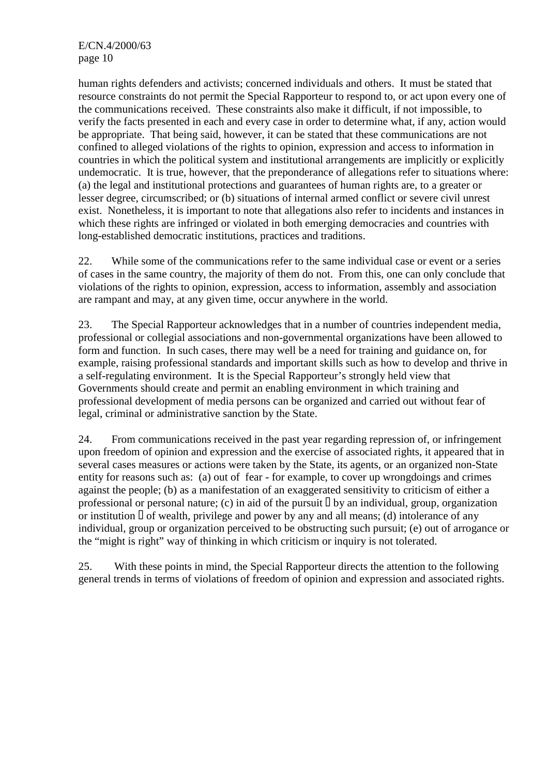human rights defenders and activists; concerned individuals and others. It must be stated that resource constraints do not permit the Special Rapporteur to respond to, or act upon every one of the communications received. These constraints also make it difficult, if not impossible, to verify the facts presented in each and every case in order to determine what, if any, action would be appropriate. That being said, however, it can be stated that these communications are not confined to alleged violations of the rights to opinion, expression and access to information in countries in which the political system and institutional arrangements are implicitly or explicitly undemocratic. It is true, however, that the preponderance of allegations refer to situations where: (a) the legal and institutional protections and guarantees of human rights are, to a greater or lesser degree, circumscribed; or (b) situations of internal armed conflict or severe civil unrest exist. Nonetheless, it is important to note that allegations also refer to incidents and instances in which these rights are infringed or violated in both emerging democracies and countries with long-established democratic institutions, practices and traditions.

22. While some of the communications refer to the same individual case or event or a series of cases in the same country, the majority of them do not. From this, one can only conclude that violations of the rights to opinion, expression, access to information, assembly and association are rampant and may, at any given time, occur anywhere in the world.

23. The Special Rapporteur acknowledges that in a number of countries independent media, professional or collegial associations and non-governmental organizations have been allowed to form and function. In such cases, there may well be a need for training and guidance on, for example, raising professional standards and important skills such as how to develop and thrive in a self-regulating environment. It is the Special Rapporteur's strongly held view that Governments should create and permit an enabling environment in which training and professional development of media persons can be organized and carried out without fear of legal, criminal or administrative sanction by the State.

24. From communications received in the past year regarding repression of, or infringement upon freedom of opinion and expression and the exercise of associated rights, it appeared that in several cases measures or actions were taken by the State, its agents, or an organized non-State entity for reasons such as: (a) out of fear - for example, to cover up wrongdoings and crimes against the people; (b) as a manifestation of an exaggerated sensitivity to criticism of either a professional or personal nature; (c) in aid of the pursuit  $\mathbb{I}$  by an individual, group, organization or institution  $\Box$  of wealth, privilege and power by any and all means; (d) intolerance of any individual, group or organization perceived to be obstructing such pursuit; (e) out of arrogance or the "might is right" way of thinking in which criticism or inquiry is not tolerated.

25. With these points in mind, the Special Rapporteur directs the attention to the following general trends in terms of violations of freedom of opinion and expression and associated rights.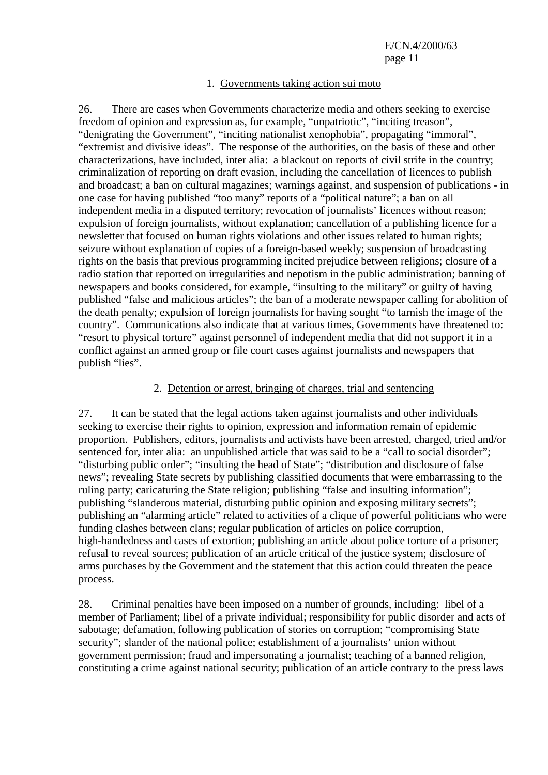#### 1. Governments taking action sui moto

26. There are cases when Governments characterize media and others seeking to exercise freedom of opinion and expression as, for example, "unpatriotic", "inciting treason", "denigrating the Government", "inciting nationalist xenophobia", propagating "immoral", "extremist and divisive ideas". The response of the authorities, on the basis of these and other characterizations, have included, inter alia: a blackout on reports of civil strife in the country; criminalization of reporting on draft evasion, including the cancellation of licences to publish and broadcast; a ban on cultural magazines; warnings against, and suspension of publications - in one case for having published "too many" reports of a "political nature"; a ban on all independent media in a disputed territory; revocation of journalists' licences without reason; expulsion of foreign journalists, without explanation; cancellation of a publishing licence for a newsletter that focused on human rights violations and other issues related to human rights; seizure without explanation of copies of a foreign-based weekly; suspension of broadcasting rights on the basis that previous programming incited prejudice between religions; closure of a radio station that reported on irregularities and nepotism in the public administration; banning of newspapers and books considered, for example, "insulting to the military" or guilty of having published "false and malicious articles"; the ban of a moderate newspaper calling for abolition of the death penalty; expulsion of foreign journalists for having sought "to tarnish the image of the country". Communications also indicate that at various times, Governments have threatened to: "resort to physical torture" against personnel of independent media that did not support it in a conflict against an armed group or file court cases against journalists and newspapers that publish "lies".

#### 2. Detention or arrest, bringing of charges, trial and sentencing

27. It can be stated that the legal actions taken against journalists and other individuals seeking to exercise their rights to opinion, expression and information remain of epidemic proportion. Publishers, editors, journalists and activists have been arrested, charged, tried and/or sentenced for, inter alia: an unpublished article that was said to be a "call to social disorder"; "disturbing public order"; "insulting the head of State"; "distribution and disclosure of false news"; revealing State secrets by publishing classified documents that were embarrassing to the ruling party; caricaturing the State religion; publishing "false and insulting information"; publishing "slanderous material, disturbing public opinion and exposing military secrets"; publishing an "alarming article" related to activities of a clique of powerful politicians who were funding clashes between clans; regular publication of articles on police corruption, high-handedness and cases of extortion; publishing an article about police torture of a prisoner; refusal to reveal sources; publication of an article critical of the justice system; disclosure of arms purchases by the Government and the statement that this action could threaten the peace process.

28. Criminal penalties have been imposed on a number of grounds, including: libel of a member of Parliament; libel of a private individual; responsibility for public disorder and acts of sabotage; defamation, following publication of stories on corruption; "compromising State security"; slander of the national police; establishment of a journalists' union without government permission; fraud and impersonating a journalist; teaching of a banned religion, constituting a crime against national security; publication of an article contrary to the press laws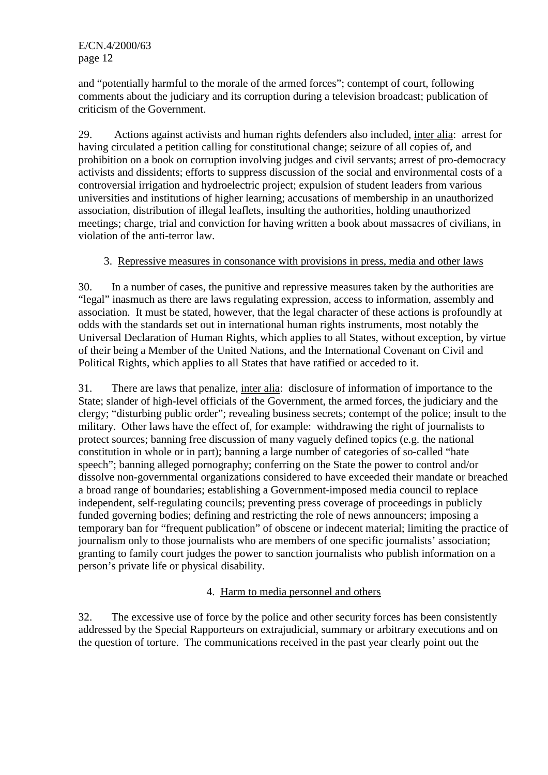and "potentially harmful to the morale of the armed forces"; contempt of court, following comments about the judiciary and its corruption during a television broadcast; publication of criticism of the Government.

29. Actions against activists and human rights defenders also included, inter alia: arrest for having circulated a petition calling for constitutional change; seizure of all copies of, and prohibition on a book on corruption involving judges and civil servants; arrest of pro-democracy activists and dissidents; efforts to suppress discussion of the social and environmental costs of a controversial irrigation and hydroelectric project; expulsion of student leaders from various universities and institutions of higher learning; accusations of membership in an unauthorized association, distribution of illegal leaflets, insulting the authorities, holding unauthorized meetings; charge, trial and conviction for having written a book about massacres of civilians, in violation of the anti-terror law.

### 3. Repressive measures in consonance with provisions in press, media and other laws

30. In a number of cases, the punitive and repressive measures taken by the authorities are "legal" inasmuch as there are laws regulating expression, access to information, assembly and association. It must be stated, however, that the legal character of these actions is profoundly at odds with the standards set out in international human rights instruments, most notably the Universal Declaration of Human Rights, which applies to all States, without exception, by virtue of their being a Member of the United Nations, and the International Covenant on Civil and Political Rights, which applies to all States that have ratified or acceded to it.

31. There are laws that penalize, inter alia: disclosure of information of importance to the State; slander of high-level officials of the Government, the armed forces, the judiciary and the clergy; "disturbing public order"; revealing business secrets; contempt of the police; insult to the military. Other laws have the effect of, for example: withdrawing the right of journalists to protect sources; banning free discussion of many vaguely defined topics (e.g. the national constitution in whole or in part); banning a large number of categories of so-called "hate speech"; banning alleged pornography; conferring on the State the power to control and/or dissolve non-governmental organizations considered to have exceeded their mandate or breached a broad range of boundaries; establishing a Government-imposed media council to replace independent, self-regulating councils; preventing press coverage of proceedings in publicly funded governing bodies; defining and restricting the role of news announcers; imposing a temporary ban for "frequent publication" of obscene or indecent material; limiting the practice of journalism only to those journalists who are members of one specific journalists' association; granting to family court judges the power to sanction journalists who publish information on a person's private life or physical disability.

## 4. Harm to media personnel and others

32. The excessive use of force by the police and other security forces has been consistently addressed by the Special Rapporteurs on extrajudicial, summary or arbitrary executions and on the question of torture. The communications received in the past year clearly point out the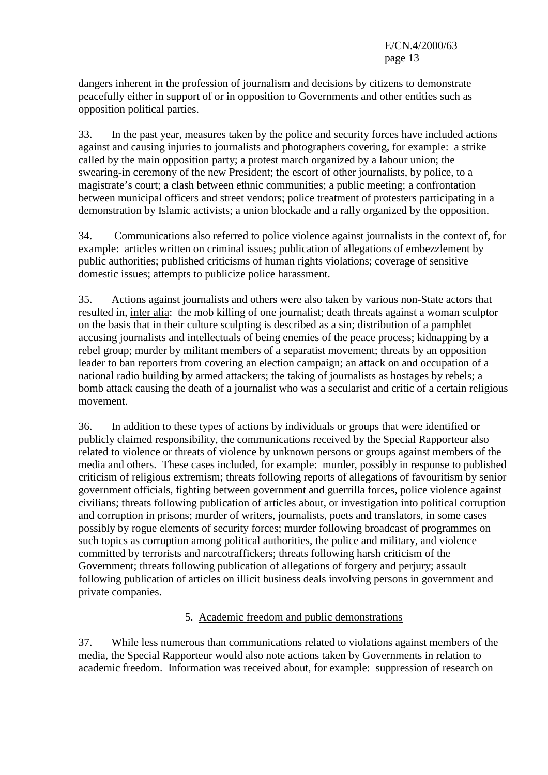dangers inherent in the profession of journalism and decisions by citizens to demonstrate peacefully either in support of or in opposition to Governments and other entities such as opposition political parties.

33. In the past year, measures taken by the police and security forces have included actions against and causing injuries to journalists and photographers covering, for example: a strike called by the main opposition party; a protest march organized by a labour union; the swearing-in ceremony of the new President; the escort of other journalists, by police, to a magistrate's court; a clash between ethnic communities; a public meeting; a confrontation between municipal officers and street vendors; police treatment of protesters participating in a demonstration by Islamic activists; a union blockade and a rally organized by the opposition.

34. Communications also referred to police violence against journalists in the context of, for example: articles written on criminal issues; publication of allegations of embezzlement by public authorities; published criticisms of human rights violations; coverage of sensitive domestic issues; attempts to publicize police harassment.

35. Actions against journalists and others were also taken by various non-State actors that resulted in, inter alia: the mob killing of one journalist; death threats against a woman sculptor on the basis that in their culture sculpting is described as a sin; distribution of a pamphlet accusing journalists and intellectuals of being enemies of the peace process; kidnapping by a rebel group; murder by militant members of a separatist movement; threats by an opposition leader to ban reporters from covering an election campaign; an attack on and occupation of a national radio building by armed attackers; the taking of journalists as hostages by rebels; a bomb attack causing the death of a journalist who was a secularist and critic of a certain religious movement.

36. In addition to these types of actions by individuals or groups that were identified or publicly claimed responsibility, the communications received by the Special Rapporteur also related to violence or threats of violence by unknown persons or groups against members of the media and others. These cases included, for example: murder, possibly in response to published criticism of religious extremism; threats following reports of allegations of favouritism by senior government officials, fighting between government and guerrilla forces, police violence against civilians; threats following publication of articles about, or investigation into political corruption and corruption in prisons; murder of writers, journalists, poets and translators, in some cases possibly by rogue elements of security forces; murder following broadcast of programmes on such topics as corruption among political authorities, the police and military, and violence committed by terrorists and narcotraffickers; threats following harsh criticism of the Government; threats following publication of allegations of forgery and perjury; assault following publication of articles on illicit business deals involving persons in government and private companies.

## 5. Academic freedom and public demonstrations

37. While less numerous than communications related to violations against members of the media, the Special Rapporteur would also note actions taken by Governments in relation to academic freedom. Information was received about, for example: suppression of research on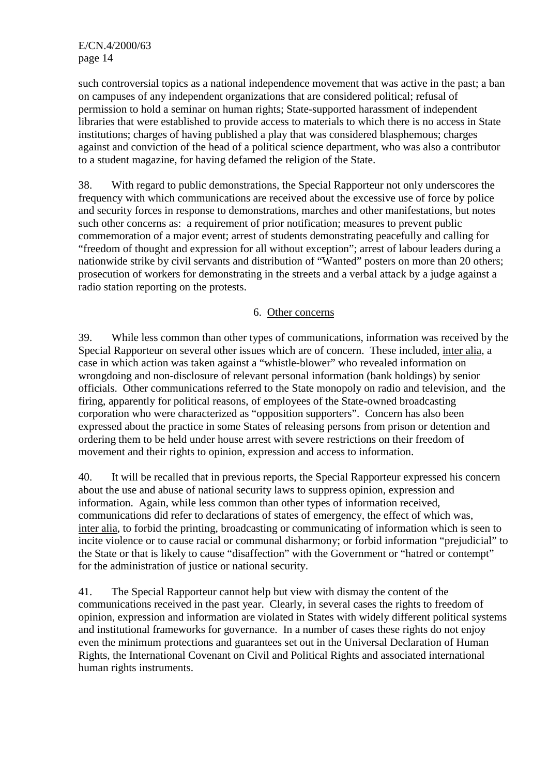such controversial topics as a national independence movement that was active in the past; a ban on campuses of any independent organizations that are considered political; refusal of permission to hold a seminar on human rights; State-supported harassment of independent libraries that were established to provide access to materials to which there is no access in State institutions; charges of having published a play that was considered blasphemous; charges against and conviction of the head of a political science department, who was also a contributor to a student magazine, for having defamed the religion of the State.

38. With regard to public demonstrations, the Special Rapporteur not only underscores the frequency with which communications are received about the excessive use of force by police and security forces in response to demonstrations, marches and other manifestations, but notes such other concerns as: a requirement of prior notification; measures to prevent public commemoration of a major event; arrest of students demonstrating peacefully and calling for "freedom of thought and expression for all without exception"; arrest of labour leaders during a nationwide strike by civil servants and distribution of "Wanted" posters on more than 20 others; prosecution of workers for demonstrating in the streets and a verbal attack by a judge against a radio station reporting on the protests.

### 6. Other concerns

39. While less common than other types of communications, information was received by the Special Rapporteur on several other issues which are of concern. These included, inter alia, a case in which action was taken against a "whistle-blower" who revealed information on wrongdoing and non-disclosure of relevant personal information (bank holdings) by senior officials. Other communications referred to the State monopoly on radio and television, and the firing, apparently for political reasons, of employees of the State-owned broadcasting corporation who were characterized as "opposition supporters". Concern has also been expressed about the practice in some States of releasing persons from prison or detention and ordering them to be held under house arrest with severe restrictions on their freedom of movement and their rights to opinion, expression and access to information.

40. It will be recalled that in previous reports, the Special Rapporteur expressed his concern about the use and abuse of national security laws to suppress opinion, expression and information. Again, while less common than other types of information received, communications did refer to declarations of states of emergency, the effect of which was, inter alia, to forbid the printing, broadcasting or communicating of information which is seen to incite violence or to cause racial or communal disharmony; or forbid information "prejudicial" to the State or that is likely to cause "disaffection" with the Government or "hatred or contempt" for the administration of justice or national security.

41. The Special Rapporteur cannot help but view with dismay the content of the communications received in the past year. Clearly, in several cases the rights to freedom of opinion, expression and information are violated in States with widely different political systems and institutional frameworks for governance. In a number of cases these rights do not enjoy even the minimum protections and guarantees set out in the Universal Declaration of Human Rights, the International Covenant on Civil and Political Rights and associated international human rights instruments.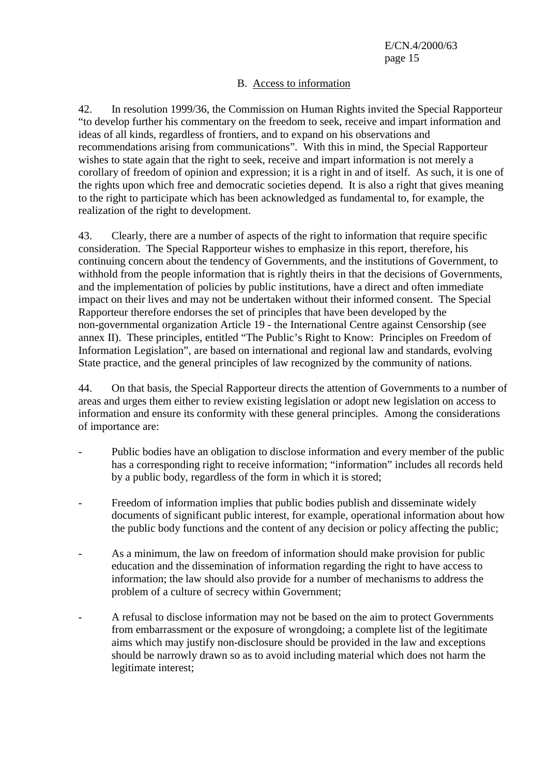## B. Access to information

42. In resolution 1999/36, the Commission on Human Rights invited the Special Rapporteur "to develop further his commentary on the freedom to seek, receive and impart information and ideas of all kinds, regardless of frontiers, and to expand on his observations and recommendations arising from communications". With this in mind, the Special Rapporteur wishes to state again that the right to seek, receive and impart information is not merely a corollary of freedom of opinion and expression; it is a right in and of itself. As such, it is one of the rights upon which free and democratic societies depend. It is also a right that gives meaning to the right to participate which has been acknowledged as fundamental to, for example, the realization of the right to development.

43. Clearly, there are a number of aspects of the right to information that require specific consideration. The Special Rapporteur wishes to emphasize in this report, therefore, his continuing concern about the tendency of Governments, and the institutions of Government, to withhold from the people information that is rightly theirs in that the decisions of Governments, and the implementation of policies by public institutions, have a direct and often immediate impact on their lives and may not be undertaken without their informed consent. The Special Rapporteur therefore endorses the set of principles that have been developed by the non-governmental organization Article 19 - the International Centre against Censorship (see annex II). These principles, entitled "The Public's Right to Know: Principles on Freedom of Information Legislation", are based on international and regional law and standards, evolving State practice, and the general principles of law recognized by the community of nations.

44. On that basis, the Special Rapporteur directs the attention of Governments to a number of areas and urges them either to review existing legislation or adopt new legislation on access to information and ensure its conformity with these general principles. Among the considerations of importance are:

- Public bodies have an obligation to disclose information and every member of the public has a corresponding right to receive information; "information" includes all records held by a public body, regardless of the form in which it is stored;
- Freedom of information implies that public bodies publish and disseminate widely documents of significant public interest, for example, operational information about how the public body functions and the content of any decision or policy affecting the public;
- As a minimum, the law on freedom of information should make provision for public education and the dissemination of information regarding the right to have access to information; the law should also provide for a number of mechanisms to address the problem of a culture of secrecy within Government;
- A refusal to disclose information may not be based on the aim to protect Governments from embarrassment or the exposure of wrongdoing; a complete list of the legitimate aims which may justify non-disclosure should be provided in the law and exceptions should be narrowly drawn so as to avoid including material which does not harm the legitimate interest;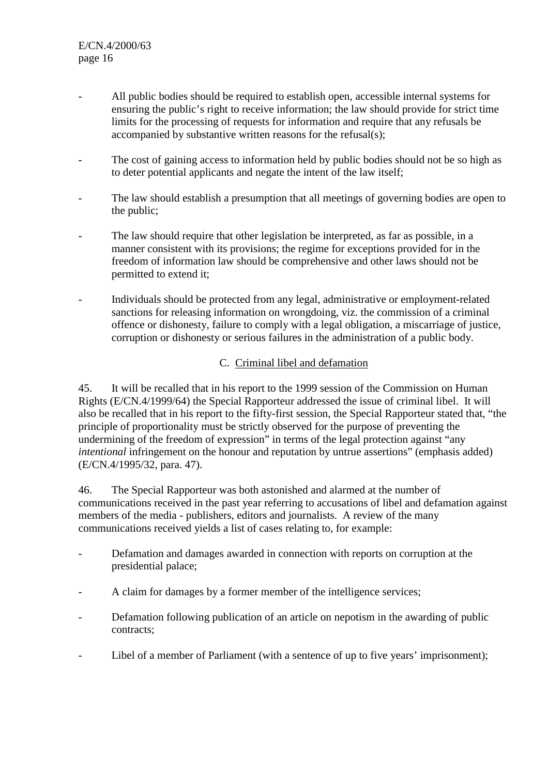- All public bodies should be required to establish open, accessible internal systems for ensuring the public's right to receive information; the law should provide for strict time limits for the processing of requests for information and require that any refusals be accompanied by substantive written reasons for the refusal(s);
- The cost of gaining access to information held by public bodies should not be so high as to deter potential applicants and negate the intent of the law itself;
- The law should establish a presumption that all meetings of governing bodies are open to the public;
- The law should require that other legislation be interpreted, as far as possible, in a manner consistent with its provisions; the regime for exceptions provided for in the freedom of information law should be comprehensive and other laws should not be permitted to extend it;
- Individuals should be protected from any legal, administrative or employment-related sanctions for releasing information on wrongdoing, viz. the commission of a criminal offence or dishonesty, failure to comply with a legal obligation, a miscarriage of justice, corruption or dishonesty or serious failures in the administration of a public body.

## C. Criminal libel and defamation

45. It will be recalled that in his report to the 1999 session of the Commission on Human Rights (E/CN.4/1999/64) the Special Rapporteur addressed the issue of criminal libel. It will also be recalled that in his report to the fifty-first session, the Special Rapporteur stated that, "the principle of proportionality must be strictly observed for the purpose of preventing the undermining of the freedom of expression" in terms of the legal protection against "any *intentional* infringement on the honour and reputation by untrue assertions" (emphasis added) (E/CN.4/1995/32, para. 47).

46. The Special Rapporteur was both astonished and alarmed at the number of communications received in the past year referring to accusations of libel and defamation against members of the media - publishers, editors and journalists. A review of the many communications received yields a list of cases relating to, for example:

- Defamation and damages awarded in connection with reports on corruption at the presidential palace;
- A claim for damages by a former member of the intelligence services;
- Defamation following publication of an article on nepotism in the awarding of public contracts;
- Libel of a member of Parliament (with a sentence of up to five years' imprisonment);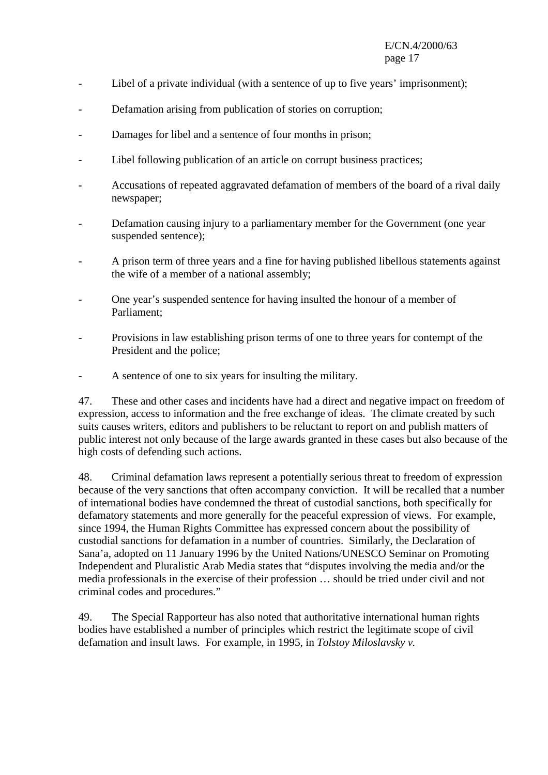- Libel of a private individual (with a sentence of up to five years' imprisonment);
- Defamation arising from publication of stories on corruption;
- Damages for libel and a sentence of four months in prison;
- Libel following publication of an article on corrupt business practices;
- Accusations of repeated aggravated defamation of members of the board of a rival daily newspaper;
- Defamation causing injury to a parliamentary member for the Government (one year suspended sentence);
- A prison term of three years and a fine for having published libellous statements against the wife of a member of a national assembly;
- One year's suspended sentence for having insulted the honour of a member of Parliament;
- Provisions in law establishing prison terms of one to three years for contempt of the President and the police;
- A sentence of one to six years for insulting the military.

47. These and other cases and incidents have had a direct and negative impact on freedom of expression, access to information and the free exchange of ideas. The climate created by such suits causes writers, editors and publishers to be reluctant to report on and publish matters of public interest not only because of the large awards granted in these cases but also because of the high costs of defending such actions.

48. Criminal defamation laws represent a potentially serious threat to freedom of expression because of the very sanctions that often accompany conviction. It will be recalled that a number of international bodies have condemned the threat of custodial sanctions, both specifically for defamatory statements and more generally for the peaceful expression of views. For example, since 1994, the Human Rights Committee has expressed concern about the possibility of custodial sanctions for defamation in a number of countries. Similarly, the Declaration of Sana'a, adopted on 11 January 1996 by the United Nations/UNESCO Seminar on Promoting Independent and Pluralistic Arab Media states that "disputes involving the media and/or the media professionals in the exercise of their profession … should be tried under civil and not criminal codes and procedures."

49. The Special Rapporteur has also noted that authoritative international human rights bodies have established a number of principles which restrict the legitimate scope of civil defamation and insult laws. For example, in 1995, in *Tolstoy Miloslavsky v.*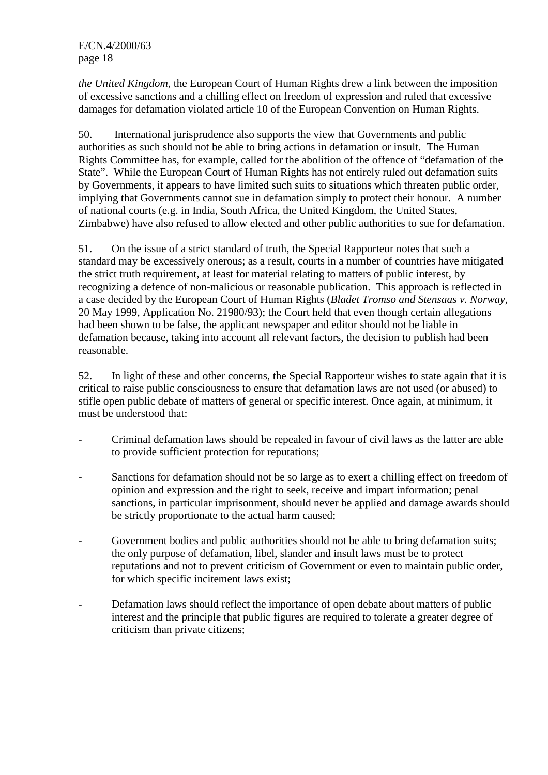*the United Kingdom*, the European Court of Human Rights drew a link between the imposition of excessive sanctions and a chilling effect on freedom of expression and ruled that excessive damages for defamation violated article 10 of the European Convention on Human Rights.

50. International jurisprudence also supports the view that Governments and public authorities as such should not be able to bring actions in defamation or insult. The Human Rights Committee has, for example, called for the abolition of the offence of "defamation of the State". While the European Court of Human Rights has not entirely ruled out defamation suits by Governments, it appears to have limited such suits to situations which threaten public order, implying that Governments cannot sue in defamation simply to protect their honour. A number of national courts (e.g. in India, South Africa, the United Kingdom, the United States, Zimbabwe) have also refused to allow elected and other public authorities to sue for defamation.

51. On the issue of a strict standard of truth, the Special Rapporteur notes that such a standard may be excessively onerous; as a result, courts in a number of countries have mitigated the strict truth requirement, at least for material relating to matters of public interest, by recognizing a defence of non-malicious or reasonable publication. This approach is reflected in a case decided by the European Court of Human Rights (*Bladet Tromso and Stensaas v. Norway*, 20 May 1999, Application No. 21980/93); the Court held that even though certain allegations had been shown to be false, the applicant newspaper and editor should not be liable in defamation because, taking into account all relevant factors, the decision to publish had been reasonable.

52. In light of these and other concerns, the Special Rapporteur wishes to state again that it is critical to raise public consciousness to ensure that defamation laws are not used (or abused) to stifle open public debate of matters of general or specific interest. Once again, at minimum, it must be understood that:

- Criminal defamation laws should be repealed in favour of civil laws as the latter are able to provide sufficient protection for reputations;
- Sanctions for defamation should not be so large as to exert a chilling effect on freedom of opinion and expression and the right to seek, receive and impart information; penal sanctions, in particular imprisonment, should never be applied and damage awards should be strictly proportionate to the actual harm caused;
- Government bodies and public authorities should not be able to bring defamation suits; the only purpose of defamation, libel, slander and insult laws must be to protect reputations and not to prevent criticism of Government or even to maintain public order, for which specific incitement laws exist;
- Defamation laws should reflect the importance of open debate about matters of public interest and the principle that public figures are required to tolerate a greater degree of criticism than private citizens;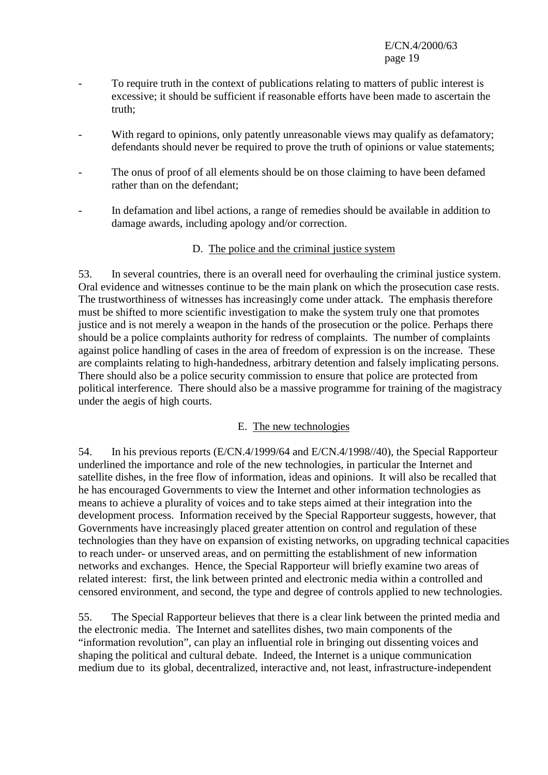- To require truth in the context of publications relating to matters of public interest is excessive; it should be sufficient if reasonable efforts have been made to ascertain the truth;
- With regard to opinions, only patently unreasonable views may qualify as defamatory; defendants should never be required to prove the truth of opinions or value statements;
- The onus of proof of all elements should be on those claiming to have been defamed rather than on the defendant;
- In defamation and libel actions, a range of remedies should be available in addition to damage awards, including apology and/or correction.

### D. The police and the criminal justice system

53. In several countries, there is an overall need for overhauling the criminal justice system. Oral evidence and witnesses continue to be the main plank on which the prosecution case rests. The trustworthiness of witnesses has increasingly come under attack. The emphasis therefore must be shifted to more scientific investigation to make the system truly one that promotes justice and is not merely a weapon in the hands of the prosecution or the police. Perhaps there should be a police complaints authority for redress of complaints. The number of complaints against police handling of cases in the area of freedom of expression is on the increase. These are complaints relating to high-handedness, arbitrary detention and falsely implicating persons. There should also be a police security commission to ensure that police are protected from political interference. There should also be a massive programme for training of the magistracy under the aegis of high courts.

#### E. The new technologies

54. In his previous reports (E/CN.4/1999/64 and E/CN.4/1998//40), the Special Rapporteur underlined the importance and role of the new technologies, in particular the Internet and satellite dishes, in the free flow of information, ideas and opinions. It will also be recalled that he has encouraged Governments to view the Internet and other information technologies as means to achieve a plurality of voices and to take steps aimed at their integration into the development process. Information received by the Special Rapporteur suggests, however, that Governments have increasingly placed greater attention on control and regulation of these technologies than they have on expansion of existing networks, on upgrading technical capacities to reach under- or unserved areas, and on permitting the establishment of new information networks and exchanges. Hence, the Special Rapporteur will briefly examine two areas of related interest: first, the link between printed and electronic media within a controlled and censored environment, and second, the type and degree of controls applied to new technologies.

55. The Special Rapporteur believes that there is a clear link between the printed media and the electronic media. The Internet and satellites dishes, two main components of the "information revolution", can play an influential role in bringing out dissenting voices and shaping the political and cultural debate. Indeed, the Internet is a unique communication medium due to its global, decentralized, interactive and, not least, infrastructure-independent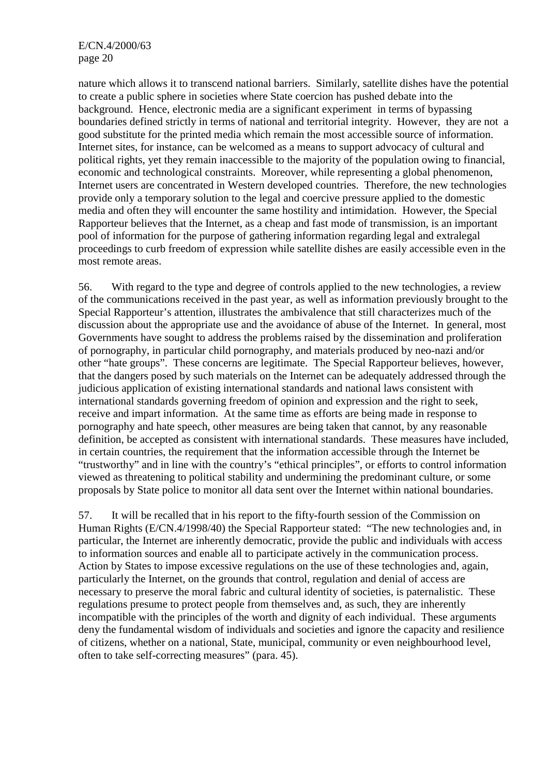nature which allows it to transcend national barriers. Similarly, satellite dishes have the potential to create a public sphere in societies where State coercion has pushed debate into the background. Hence, electronic media are a significant experiment in terms of bypassing boundaries defined strictly in terms of national and territorial integrity. However, they are not a good substitute for the printed media which remain the most accessible source of information. Internet sites, for instance, can be welcomed as a means to support advocacy of cultural and political rights, yet they remain inaccessible to the majority of the population owing to financial, economic and technological constraints. Moreover, while representing a global phenomenon, Internet users are concentrated in Western developed countries. Therefore, the new technologies provide only a temporary solution to the legal and coercive pressure applied to the domestic media and often they will encounter the same hostility and intimidation. However, the Special Rapporteur believes that the Internet, as a cheap and fast mode of transmission, is an important pool of information for the purpose of gathering information regarding legal and extralegal proceedings to curb freedom of expression while satellite dishes are easily accessible even in the most remote areas.

56. With regard to the type and degree of controls applied to the new technologies, a review of the communications received in the past year, as well as information previously brought to the Special Rapporteur's attention, illustrates the ambivalence that still characterizes much of the discussion about the appropriate use and the avoidance of abuse of the Internet. In general, most Governments have sought to address the problems raised by the dissemination and proliferation of pornography, in particular child pornography, and materials produced by neo-nazi and/or other "hate groups". These concerns are legitimate. The Special Rapporteur believes, however, that the dangers posed by such materials on the Internet can be adequately addressed through the judicious application of existing international standards and national laws consistent with international standards governing freedom of opinion and expression and the right to seek, receive and impart information. At the same time as efforts are being made in response to pornography and hate speech, other measures are being taken that cannot, by any reasonable definition, be accepted as consistent with international standards. These measures have included, in certain countries, the requirement that the information accessible through the Internet be "trustworthy" and in line with the country's "ethical principles", or efforts to control information viewed as threatening to political stability and undermining the predominant culture, or some proposals by State police to monitor all data sent over the Internet within national boundaries.

57. It will be recalled that in his report to the fifty-fourth session of the Commission on Human Rights (E/CN.4/1998/40) the Special Rapporteur stated: "The new technologies and, in particular, the Internet are inherently democratic, provide the public and individuals with access to information sources and enable all to participate actively in the communication process. Action by States to impose excessive regulations on the use of these technologies and, again, particularly the Internet, on the grounds that control, regulation and denial of access are necessary to preserve the moral fabric and cultural identity of societies, is paternalistic. These regulations presume to protect people from themselves and, as such, they are inherently incompatible with the principles of the worth and dignity of each individual. These arguments deny the fundamental wisdom of individuals and societies and ignore the capacity and resilience of citizens, whether on a national, State, municipal, community or even neighbourhood level, often to take self-correcting measures" (para. 45).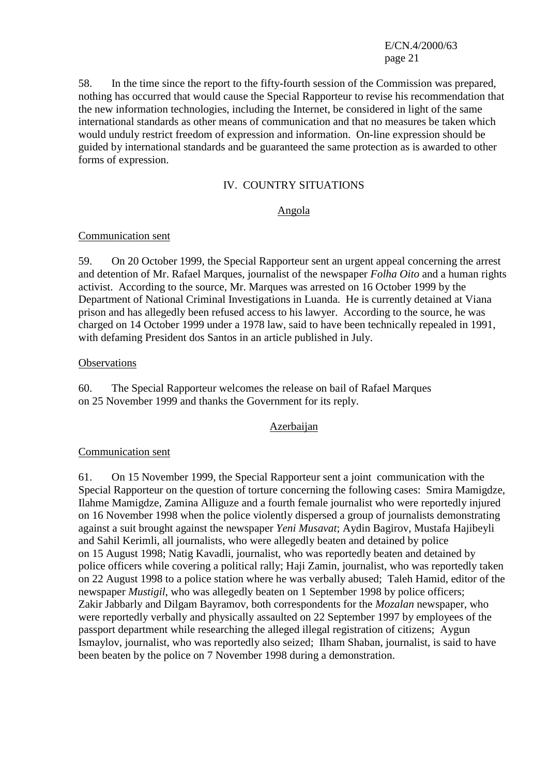58. In the time since the report to the fifty-fourth session of the Commission was prepared, nothing has occurred that would cause the Special Rapporteur to revise his recommendation that the new information technologies, including the Internet, be considered in light of the same international standards as other means of communication and that no measures be taken which would unduly restrict freedom of expression and information. On-line expression should be guided by international standards and be guaranteed the same protection as is awarded to other forms of expression.

## IV. COUNTRY SITUATIONS

#### Angola

#### Communication sent

59. On 20 October 1999, the Special Rapporteur sent an urgent appeal concerning the arrest and detention of Mr. Rafael Marques, journalist of the newspaper *Folha Oito* and a human rights activist. According to the source, Mr. Marques was arrested on 16 October 1999 by the Department of National Criminal Investigations in Luanda. He is currently detained at Viana prison and has allegedly been refused access to his lawyer. According to the source, he was charged on 14 October 1999 under a 1978 law, said to have been technically repealed in 1991, with defaming President dos Santos in an article published in July.

### **Observations**

60. The Special Rapporteur welcomes the release on bail of Rafael Marques on 25 November 1999 and thanks the Government for its reply.

## Azerbaijan

#### Communication sent

61. On 15 November 1999, the Special Rapporteur sent a joint communication with the Special Rapporteur on the question of torture concerning the following cases: Smira Mamigdze, Ilahme Mamigdze, Zamina Alliguze and a fourth female journalist who were reportedly injured on 16 November 1998 when the police violently dispersed a group of journalists demonstrating against a suit brought against the newspaper *Yeni Musavat*; Aydin Bagirov, Mustafa Hajibeyli and Sahil Kerimli, all journalists, who were allegedly beaten and detained by police on 15 August 1998; Natig Kavadli, journalist, who was reportedly beaten and detained by police officers while covering a political rally; Haji Zamin, journalist, who was reportedly taken on 22 August 1998 to a police station where he was verbally abused; Taleh Hamid, editor of the newspaper *Mustigil*, who was allegedly beaten on 1 September 1998 by police officers; Zakir Jabbarly and Dilgam Bayramov, both correspondents for the *Mozalan* newspaper, who were reportedly verbally and physically assaulted on 22 September 1997 by employees of the passport department while researching the alleged illegal registration of citizens; Aygun Ismaylov, journalist, who was reportedly also seized; Ilham Shaban, journalist, is said to have been beaten by the police on 7 November 1998 during a demonstration.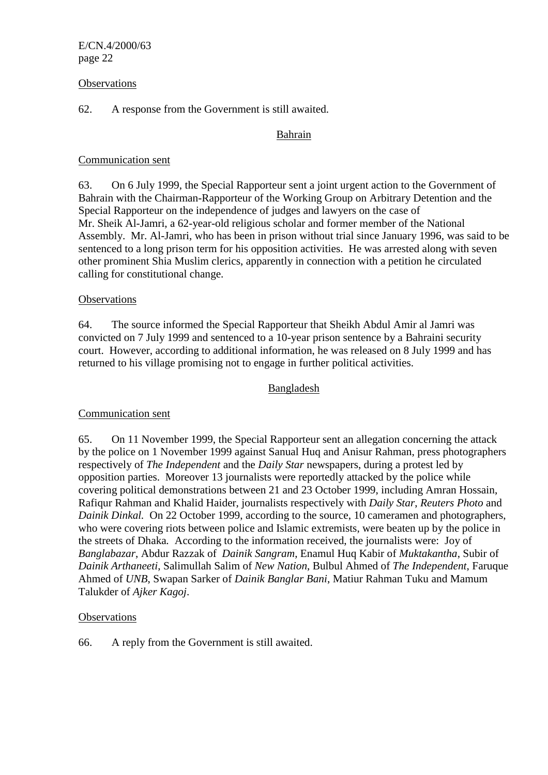#### **Observations**

### 62. A response from the Government is still awaited.

### Bahrain

#### Communication sent

63. On 6 July 1999, the Special Rapporteur sent a joint urgent action to the Government of Bahrain with the Chairman-Rapporteur of the Working Group on Arbitrary Detention and the Special Rapporteur on the independence of judges and lawyers on the case of Mr. Sheik Al-Jamri, a 62-year-old religious scholar and former member of the National Assembly. Mr. Al-Jamri, who has been in prison without trial since January 1996, was said to be sentenced to a long prison term for his opposition activities. He was arrested along with seven other prominent Shia Muslim clerics, apparently in connection with a petition he circulated calling for constitutional change.

#### **Observations**

64. The source informed the Special Rapporteur that Sheikh Abdul Amir al Jamri was convicted on 7 July 1999 and sentenced to a 10-year prison sentence by a Bahraini security court. However, according to additional information, he was released on 8 July 1999 and has returned to his village promising not to engage in further political activities.

#### Bangladesh

## Communication sent

65. On 11 November 1999, the Special Rapporteur sent an allegation concerning the attack by the police on 1 November 1999 against Sanual Huq and Anisur Rahman, press photographers respectively of *The Independent* and the *Daily Star* newspapers, during a protest led by opposition parties. Moreover 13 journalists were reportedly attacked by the police while covering political demonstrations between 21 and 23 October 1999, including Amran Hossain, Rafiqur Rahman and Khalid Haider, journalists respectively with *Daily Star*, *Reuters Photo* and *Dainik Dinkal.* On 22 October 1999, according to the source, 10 cameramen and photographers, who were covering riots between police and Islamic extremists, were beaten up by the police in the streets of Dhaka*.* According to the information received, the journalists were: Joy of *Banglabazar*, Abdur Razzak of *Dainik Sangram*, Enamul Huq Kabir of *Muktakantha*, Subir of *Dainik Arthaneeti*, Salimullah Salim of *New Nation*, Bulbul Ahmed of *The Independent*, Faruque Ahmed of *UNB*, Swapan Sarker of *Dainik Banglar Bani*, Matiur Rahman Tuku and Mamum Talukder of *Ajker Kagoj*.

#### **Observations**

66. A reply from the Government is still awaited.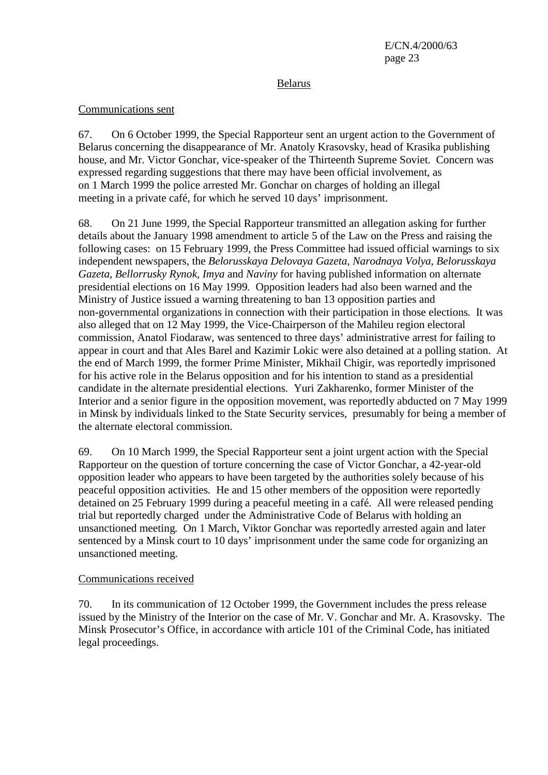#### Belarus

#### Communications sent

67. On 6 October 1999, the Special Rapporteur sent an urgent action to the Government of Belarus concerning the disappearance of Mr. Anatoly Krasovsky, head of Krasika publishing house, and Mr. Victor Gonchar, vice-speaker of the Thirteenth Supreme Soviet. Concern was expressed regarding suggestions that there may have been official involvement, as on 1 March 1999 the police arrested Mr. Gonchar on charges of holding an illegal meeting in a private café, for which he served 10 days' imprisonment.

68. On 21 June 1999, the Special Rapporteur transmitted an allegation asking for further details about the January 1998 amendment to article 5 of the Law on the Press and raising the following cases: on 15 February 1999, the Press Committee had issued official warnings to six independent newspapers, the *Belorusskaya Delovaya Gazeta*, *Narodnaya Volya*, *Belorusskaya Gazeta*, *Bellorrusky Rynok, Imya* and *Naviny* for having published information on alternate presidential elections on 16 May 1999*.* Opposition leaders had also been warned and the Ministry of Justice issued a warning threatening to ban 13 opposition parties and non-governmental organizations in connection with their participation in those elections*.* It was also alleged that on 12 May 1999, the Vice-Chairperson of the Mahileu region electoral commission, Anatol Fiodaraw, was sentenced to three days' administrative arrest for failing to appear in court and that Ales Barel and Kazimir Lokic were also detained at a polling station. At the end of March 1999, the former Prime Minister, Mikhail Chigir, was reportedly imprisoned for his active role in the Belarus opposition and for his intention to stand as a presidential candidate in the alternate presidential elections*.* Yuri Zakharenko, former Minister of the Interior and a senior figure in the opposition movement, was reportedly abducted on 7 May 1999 in Minsk by individuals linked to the State Security services, presumably for being a member of the alternate electoral commission.

69. On 10 March 1999, the Special Rapporteur sent a joint urgent action with the Special Rapporteur on the question of torture concerning the case of Victor Gonchar, a 42-year-old opposition leader who appears to have been targeted by the authorities solely because of his peaceful opposition activities*.* He and 15 other members of the opposition were reportedly detained on 25 February 1999 during a peaceful meeting in a café*.* All were released pending trial but reportedly charged under the Administrative Code of Belarus with holding an unsanctioned meeting*.* On 1 March, Viktor Gonchar was reportedly arrested again and later sentenced by a Minsk court to 10 days' imprisonment under the same code for organizing an unsanctioned meeting.

#### Communications received

70. In its communication of 12 October 1999, the Government includes the press release issued by the Ministry of the Interior on the case of Mr. V. Gonchar and Mr. A. Krasovsky. The Minsk Prosecutor's Office, in accordance with article 101 of the Criminal Code, has initiated legal proceedings.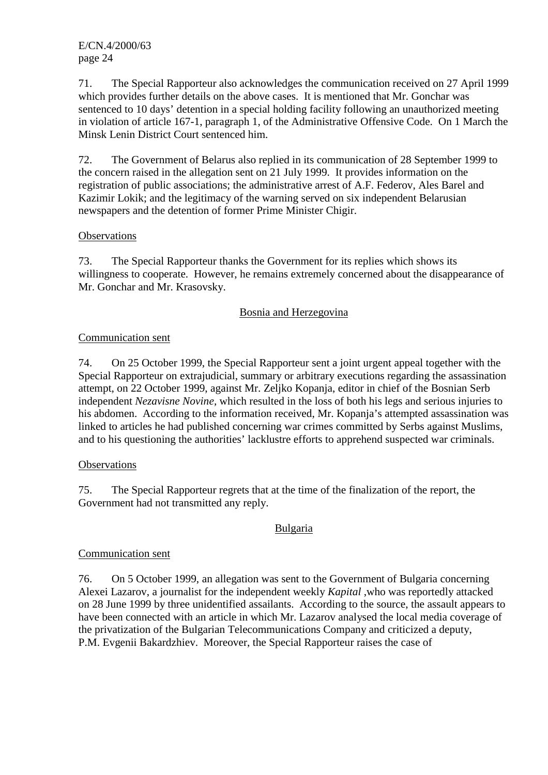71. The Special Rapporteur also acknowledges the communication received on 27 April 1999 which provides further details on the above cases. It is mentioned that Mr. Gonchar was sentenced to 10 days' detention in a special holding facility following an unauthorized meeting in violation of article 167-1, paragraph 1, of the Administrative Offensive Code. On 1 March the Minsk Lenin District Court sentenced him.

72. The Government of Belarus also replied in its communication of 28 September 1999 to the concern raised in the allegation sent on 21 July 1999. It provides information on the registration of public associations; the administrative arrest of A.F. Federov, Ales Barel and Kazimir Lokik; and the legitimacy of the warning served on six independent Belarusian newspapers and the detention of former Prime Minister Chigir.

### **Observations**

73. The Special Rapporteur thanks the Government for its replies which shows its willingness to cooperate. However, he remains extremely concerned about the disappearance of Mr. Gonchar and Mr. Krasovsky.

#### Bosnia and Herzegovina

## Communication sent

74. On 25 October 1999, the Special Rapporteur sent a joint urgent appeal together with the Special Rapporteur on extrajudicial, summary or arbitrary executions regarding the assassination attempt, on 22 October 1999, against Mr. Zeljko Kopanja, editor in chief of the Bosnian Serb independent *Nezavisne Novine*, which resulted in the loss of both his legs and serious injuries to his abdomen. According to the information received, Mr. Kopanja's attempted assassination was linked to articles he had published concerning war crimes committed by Serbs against Muslims, and to his questioning the authorities' lacklustre efforts to apprehend suspected war criminals.

## **Observations**

75. The Special Rapporteur regrets that at the time of the finalization of the report, the Government had not transmitted any reply.

## Bulgaria

#### Communication sent

76. On 5 October 1999, an allegation was sent to the Government of Bulgaria concerning Alexei Lazarov, a journalist for the independent weekly *Kapital* ,who was reportedly attacked on 28 June 1999 by three unidentified assailants. According to the source, the assault appears to have been connected with an article in which Mr. Lazarov analysed the local media coverage of the privatization of the Bulgarian Telecommunications Company and criticized a deputy, P.M. Evgenii Bakardzhiev. Moreover, the Special Rapporteur raises the case of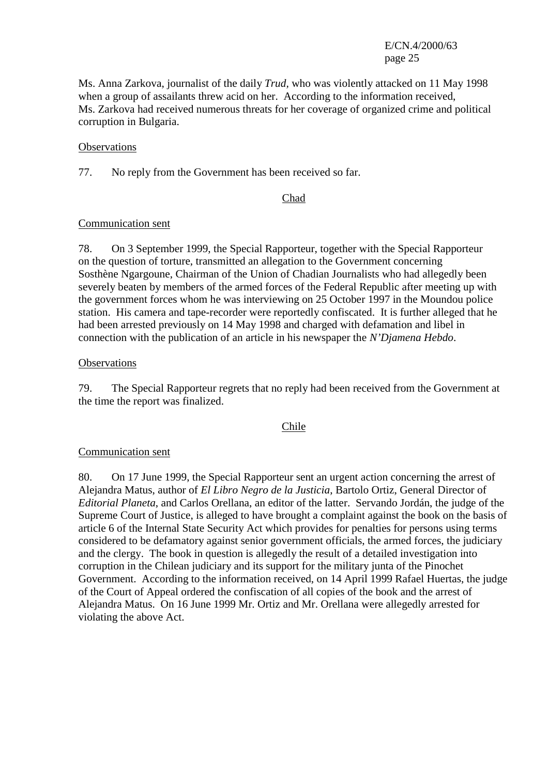Ms. Anna Zarkova, journalist of the daily *Trud,* who was violently attacked on 11 May 1998 when a group of assailants threw acid on her. According to the information received, Ms. Zarkova had received numerous threats for her coverage of organized crime and political corruption in Bulgaria.

#### **Observations**

77. No reply from the Government has been received so far.

## Chad

#### Communication sent

78. On 3 September 1999, the Special Rapporteur, together with the Special Rapporteur on the question of torture, transmitted an allegation to the Government concerning Sosthène Ngargoune, Chairman of the Union of Chadian Journalists who had allegedly been severely beaten by members of the armed forces of the Federal Republic after meeting up with the government forces whom he was interviewing on 25 October 1997 in the Moundou police station. His camera and tape-recorder were reportedly confiscated. It is further alleged that he had been arrested previously on 14 May 1998 and charged with defamation and libel in connection with the publication of an article in his newspaper the *N'Djamena Hebdo*.

#### **Observations**

79. The Special Rapporteur regrets that no reply had been received from the Government at the time the report was finalized.

## Chile

#### Communication sent

80. On 17 June 1999, the Special Rapporteur sent an urgent action concerning the arrest of Alejandra Matus, author of *El Libro Negro de la Justicia*, Bartolo Ortiz, General Director of *Editorial Planeta*, and Carlos Orellana, an editor of the latter. Servando Jordán, the judge of the Supreme Court of Justice, is alleged to have brought a complaint against the book on the basis of article 6 of the Internal State Security Act which provides for penalties for persons using terms considered to be defamatory against senior government officials, the armed forces, the judiciary and the clergy. The book in question is allegedly the result of a detailed investigation into corruption in the Chilean judiciary and its support for the military junta of the Pinochet Government. According to the information received, on 14 April 1999 Rafael Huertas, the judge of the Court of Appeal ordered the confiscation of all copies of the book and the arrest of Alejandra Matus. On 16 June 1999 Mr. Ortiz and Mr. Orellana were allegedly arrested for violating the above Act.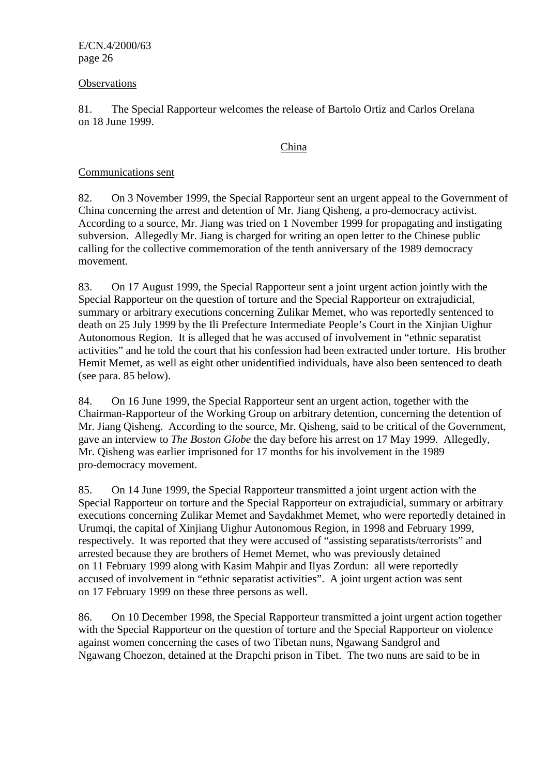#### **Observations**

81. The Special Rapporteur welcomes the release of Bartolo Ortiz and Carlos Orelana on 18 June 1999.

## China

## Communications sent

82. On 3 November 1999, the Special Rapporteur sent an urgent appeal to the Government of China concerning the arrest and detention of Mr. Jiang Qisheng, a pro-democracy activist. According to a source, Mr. Jiang was tried on 1 November 1999 for propagating and instigating subversion. Allegedly Mr. Jiang is charged for writing an open letter to the Chinese public calling for the collective commemoration of the tenth anniversary of the 1989 democracy movement.

83. On 17 August 1999, the Special Rapporteur sent a joint urgent action jointly with the Special Rapporteur on the question of torture and the Special Rapporteur on extrajudicial, summary or arbitrary executions concerning Zulikar Memet, who was reportedly sentenced to death on 25 July 1999 by the Ili Prefecture Intermediate People's Court in the Xinjian Uighur Autonomous Region. It is alleged that he was accused of involvement in "ethnic separatist activities" and he told the court that his confession had been extracted under torture. His brother Hemit Memet, as well as eight other unidentified individuals, have also been sentenced to death (see para. 85 below).

84. On 16 June 1999, the Special Rapporteur sent an urgent action, together with the Chairman-Rapporteur of the Working Group on arbitrary detention, concerning the detention of Mr. Jiang Qisheng. According to the source, Mr. Qisheng, said to be critical of the Government, gave an interview to *The Boston Globe* the day before his arrest on 17 May 1999. Allegedly, Mr. Qisheng was earlier imprisoned for 17 months for his involvement in the 1989 pro-democracy movement.

85. On 14 June 1999, the Special Rapporteur transmitted a joint urgent action with the Special Rapporteur on torture and the Special Rapporteur on extrajudicial, summary or arbitrary executions concerning Zulikar Memet and Saydakhmet Memet, who were reportedly detained in Urumqi, the capital of Xinjiang Uighur Autonomous Region, in 1998 and February 1999, respectively. It was reported that they were accused of "assisting separatists/terrorists" and arrested because they are brothers of Hemet Memet, who was previously detained on 11 February 1999 along with Kasim Mahpir and Ilyas Zordun: all were reportedly accused of involvement in "ethnic separatist activities". A joint urgent action was sent on 17 February 1999 on these three persons as well.

86. On 10 December 1998, the Special Rapporteur transmitted a joint urgent action together with the Special Rapporteur on the question of torture and the Special Rapporteur on violence against women concerning the cases of two Tibetan nuns, Ngawang Sandgrol and Ngawang Choezon, detained at the Drapchi prison in Tibet. The two nuns are said to be in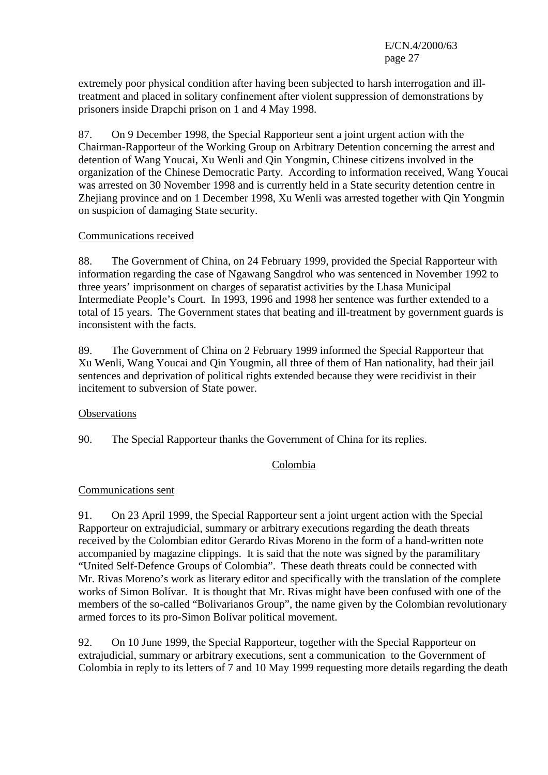extremely poor physical condition after having been subjected to harsh interrogation and illtreatment and placed in solitary confinement after violent suppression of demonstrations by prisoners inside Drapchi prison on 1 and 4 May 1998.

87. On 9 December 1998, the Special Rapporteur sent a joint urgent action with the Chairman-Rapporteur of the Working Group on Arbitrary Detention concerning the arrest and detention of Wang Youcai, Xu Wenli and Qin Yongmin, Chinese citizens involved in the organization of the Chinese Democratic Party. According to information received, Wang Youcai was arrested on 30 November 1998 and is currently held in a State security detention centre in Zhejiang province and on 1 December 1998, Xu Wenli was arrested together with Qin Yongmin on suspicion of damaging State security.

## Communications received

88. The Government of China, on 24 February 1999, provided the Special Rapporteur with information regarding the case of Ngawang Sangdrol who was sentenced in November 1992 to three years' imprisonment on charges of separatist activities by the Lhasa Municipal Intermediate People's Court. In 1993, 1996 and 1998 her sentence was further extended to a total of 15 years. The Government states that beating and ill-treatment by government guards is inconsistent with the facts.

89. The Government of China on 2 February 1999 informed the Special Rapporteur that Xu Wenli, Wang Youcai and Qin Yougmin, all three of them of Han nationality, had their jail sentences and deprivation of political rights extended because they were recidivist in their incitement to subversion of State power.

## **Observations**

90. The Special Rapporteur thanks the Government of China for its replies.

## Colombia

#### Communications sent

91. On 23 April 1999, the Special Rapporteur sent a joint urgent action with the Special Rapporteur on extrajudicial, summary or arbitrary executions regarding the death threats received by the Colombian editor Gerardo Rivas Moreno in the form of a hand-written note accompanied by magazine clippings. It is said that the note was signed by the paramilitary "United Self-Defence Groups of Colombia". These death threats could be connected with Mr. Rivas Moreno's work as literary editor and specifically with the translation of the complete works of Simon Bolívar. It is thought that Mr. Rivas might have been confused with one of the members of the so-called "Bolivarianos Group", the name given by the Colombian revolutionary armed forces to its pro-Simon Bolívar political movement.

92. On 10 June 1999, the Special Rapporteur, together with the Special Rapporteur on extrajudicial, summary or arbitrary executions, sent a communication to the Government of Colombia in reply to its letters of 7 and 10 May 1999 requesting more details regarding the death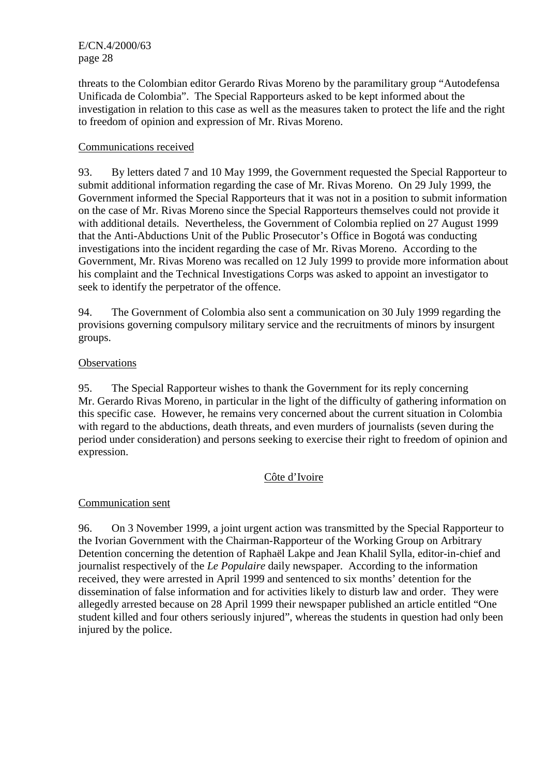threats to the Colombian editor Gerardo Rivas Moreno by the paramilitary group "Autodefensa Unificada de Colombia". The Special Rapporteurs asked to be kept informed about the investigation in relation to this case as well as the measures taken to protect the life and the right to freedom of opinion and expression of Mr. Rivas Moreno.

## Communications received

93. By letters dated 7 and 10 May 1999, the Government requested the Special Rapporteur to submit additional information regarding the case of Mr. Rivas Moreno. On 29 July 1999, the Government informed the Special Rapporteurs that it was not in a position to submit information on the case of Mr. Rivas Moreno since the Special Rapporteurs themselves could not provide it with additional details. Nevertheless, the Government of Colombia replied on 27 August 1999 that the Anti-Abductions Unit of the Public Prosecutor's Office in Bogotá was conducting investigations into the incident regarding the case of Mr. Rivas Moreno. According to the Government, Mr. Rivas Moreno was recalled on 12 July 1999 to provide more information about his complaint and the Technical Investigations Corps was asked to appoint an investigator to seek to identify the perpetrator of the offence.

94. The Government of Colombia also sent a communication on 30 July 1999 regarding the provisions governing compulsory military service and the recruitments of minors by insurgent groups.

### **Observations**

95. The Special Rapporteur wishes to thank the Government for its reply concerning Mr. Gerardo Rivas Moreno, in particular in the light of the difficulty of gathering information on this specific case. However, he remains very concerned about the current situation in Colombia with regard to the abductions, death threats, and even murders of journalists (seven during the period under consideration) and persons seeking to exercise their right to freedom of opinion and expression.

## Côte d'Ivoire

## Communication sent

96. On 3 November 1999, a joint urgent action was transmitted by the Special Rapporteur to the Ivorian Government with the Chairman-Rapporteur of the Working Group on Arbitrary Detention concerning the detention of Raphaël Lakpe and Jean Khalil Sylla, editor-in-chief and journalist respectively of the *Le Populaire* daily newspaper. According to the information received, they were arrested in April 1999 and sentenced to six months' detention for the dissemination of false information and for activities likely to disturb law and order. They were allegedly arrested because on 28 April 1999 their newspaper published an article entitled "One student killed and four others seriously injured", whereas the students in question had only been injured by the police.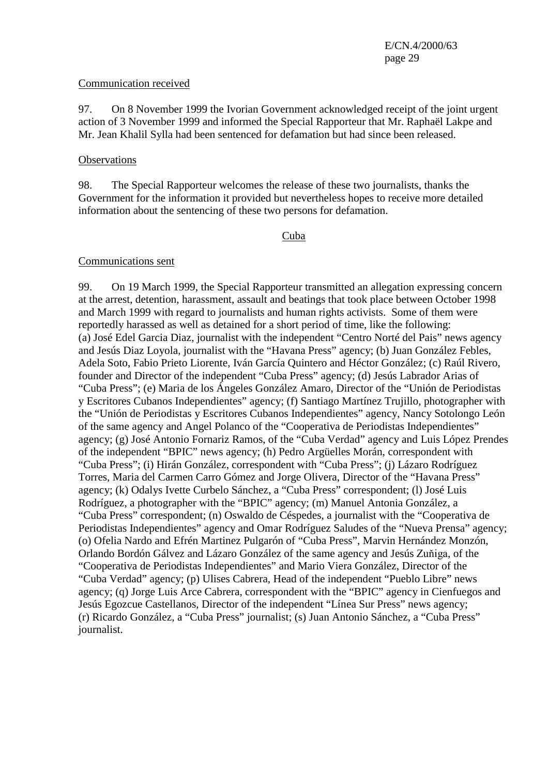#### Communication received

97. On 8 November 1999 the Ivorian Government acknowledged receipt of the joint urgent action of 3 November 1999 and informed the Special Rapporteur that Mr. Raphaël Lakpe and Mr. Jean Khalil Sylla had been sentenced for defamation but had since been released.

#### **Observations**

98. The Special Rapporteur welcomes the release of these two journalists, thanks the Government for the information it provided but nevertheless hopes to receive more detailed information about the sentencing of these two persons for defamation.

#### Cuba

#### Communications sent

99. On 19 March 1999, the Special Rapporteur transmitted an allegation expressing concern at the arrest, detention, harassment, assault and beatings that took place between October 1998 and March 1999 with regard to journalists and human rights activists. Some of them were reportedly harassed as well as detained for a short period of time, like the following: (a) José Edel Garcia Diaz, journalist with the independent "Centro Norté del Pais" news agency and Jesús Diaz Loyola, journalist with the "Havana Press" agency; (b) Juan González Febles, Adela Soto, Fabio Prieto Liorente, Iván García Quintero and Héctor González; (c) Raúl Rivero, founder and Director of the independent "Cuba Press" agency; (d) Jesús Labrador Arias of "Cuba Press"; (e) Maria de los Ángeles González Amaro, Director of the "Unión de Periodistas y Escritores Cubanos Independientes" agency; (f) Santiago Martínez Trujillo, photographer with the "Unión de Periodistas y Escritores Cubanos Independientes" agency, Nancy Sotolongo León of the same agency and Angel Polanco of the "Cooperativa de Periodistas Independientes" agency; (g) José Antonio Fornariz Ramos, of the "Cuba Verdad" agency and Luis López Prendes of the independent "BPIC" news agency; (h) Pedro Argüelles Morán, correspondent with "Cuba Press"; (i) Hirán González, correspondent with "Cuba Press"; (j) Lázaro Rodríguez Torres, Maria del Carmen Carro Gómez and Jorge Olivera, Director of the "Havana Press" agency; (k) Odalys Ivette Curbelo Sánchez, a "Cuba Press" correspondent; (l) José Luis Rodríguez, a photographer with the "BPIC" agency; (m) Manuel Antonia González, a "Cuba Press" correspondent; (n) Oswaldo de Céspedes, a journalist with the "Cooperativa de Periodistas Independientes" agency and Omar Rodríguez Saludes of the "Nueva Prensa" agency; (o) Ofelia Nardo and Efrén Martinez Pulgarón of "Cuba Press", Marvin Hernández Monzón, Orlando Bordón Gálvez and Lázaro González of the same agency and Jesús Zuňiga, of the "Cooperativa de Periodistas Independientes" and Mario Viera González, Director of the "Cuba Verdad" agency; (p) Ulises Cabrera, Head of the independent "Pueblo Libre" news agency; (q) Jorge Luis Arce Cabrera, correspondent with the "BPIC" agency in Cienfuegos and Jesús Egozcue Castellanos, Director of the independent "Línea Sur Press" news agency; (r) Ricardo González, a "Cuba Press" journalist; (s) Juan Antonio Sánchez, a "Cuba Press" journalist.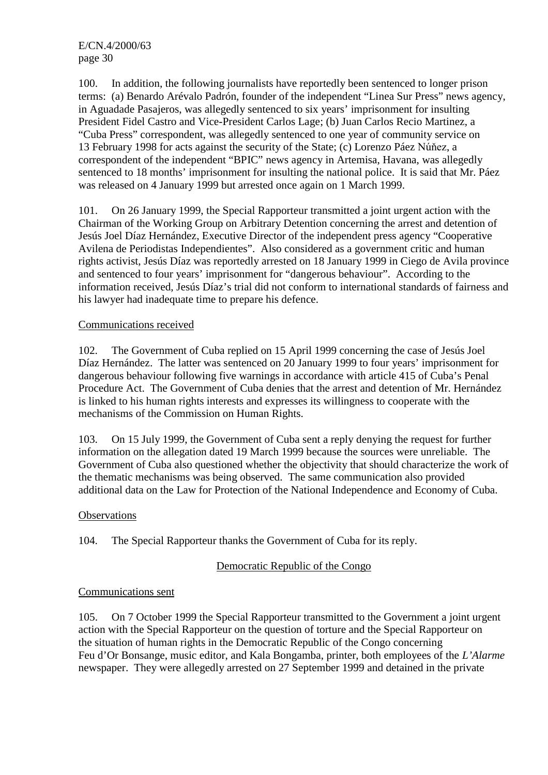100. In addition, the following journalists have reportedly been sentenced to longer prison terms: (a) Benardo Arévalo Padrón, founder of the independent "Linea Sur Press" news agency, in Aguadade Pasajeros, was allegedly sentenced to six years' imprisonment for insulting President Fidel Castro and Vice-President Carlos Lage; (b) Juan Carlos Recio Martinez, a "Cuba Press" correspondent, was allegedly sentenced to one year of community service on 13 February 1998 for acts against the security of the State; (c) Lorenzo Páez Núñez, a correspondent of the independent "BPIC" news agency in Artemisa, Havana, was allegedly sentenced to 18 months' imprisonment for insulting the national police. It is said that Mr. Páez was released on 4 January 1999 but arrested once again on 1 March 1999.

101. On 26 January 1999, the Special Rapporteur transmitted a joint urgent action with the Chairman of the Working Group on Arbitrary Detention concerning the arrest and detention of Jesús Joel Díaz Hernández, Executive Director of the independent press agency "Cooperative Avilena de Periodistas Independientes". Also considered as a government critic and human rights activist, Jesús Díaz was reportedly arrested on 18 January 1999 in Ciego de Avila province and sentenced to four years' imprisonment for "dangerous behaviour". According to the information received, Jesús Díaz's trial did not conform to international standards of fairness and his lawyer had inadequate time to prepare his defence.

### Communications received

102. The Government of Cuba replied on 15 April 1999 concerning the case of Jesús Joel Díaz Hernández. The latter was sentenced on 20 January 1999 to four years' imprisonment for dangerous behaviour following five warnings in accordance with article 415 of Cuba's Penal Procedure Act. The Government of Cuba denies that the arrest and detention of Mr. Hernández is linked to his human rights interests and expresses its willingness to cooperate with the mechanisms of the Commission on Human Rights.

103. On 15 July 1999, the Government of Cuba sent a reply denying the request for further information on the allegation dated 19 March 1999 because the sources were unreliable. The Government of Cuba also questioned whether the objectivity that should characterize the work of the thematic mechanisms was being observed. The same communication also provided additional data on the Law for Protection of the National Independence and Economy of Cuba.

#### **Observations**

104. The Special Rapporteur thanks the Government of Cuba for its reply.

## Democratic Republic of the Congo

## Communications sent

105. On 7 October 1999 the Special Rapporteur transmitted to the Government a joint urgent action with the Special Rapporteur on the question of torture and the Special Rapporteur on the situation of human rights in the Democratic Republic of the Congo concerning Feu d'Or Bonsange, music editor, and Kala Bongamba, printer, both employees of the *L'Alarme* newspaper. They were allegedly arrested on 27 September 1999 and detained in the private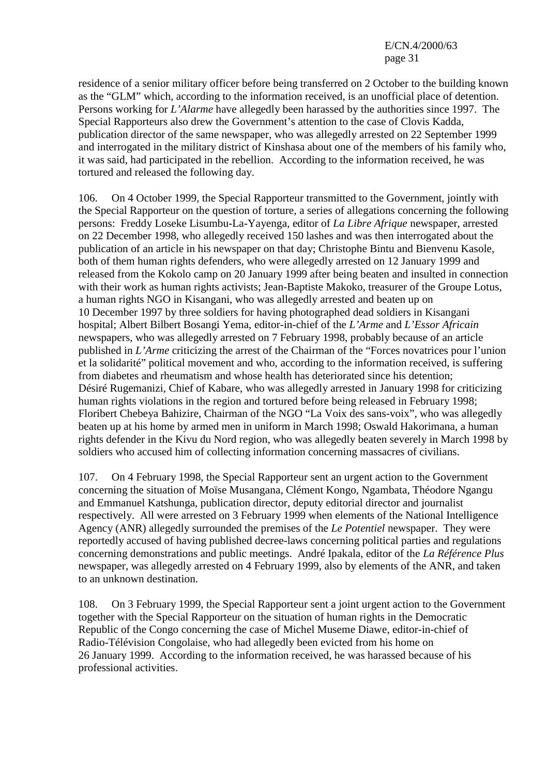residence of a senior military officer before being transferred on 2 October to the building known as the "GLM" which, according to the information received, is an unofficial place of detention. Persons working for *L'Alarme* have allegedly been harassed by the authorities since 1997. The Special Rapporteurs also drew the Government's attention to the case of Clovis Kadda, publication director of the same newspaper, who was allegedly arrested on 22 September 1999 and interrogated in the military district of Kinshasa about one of the members of his family who, it was said, had participated in the rebellion. According to the information received, he was tortured and released the following day.

106. On 4 October 1999, the Special Rapporteur transmitted to the Government, jointly with the Special Rapporteur on the question of torture, a series of allegations concerning the following persons: Freddy Loseke Lisumbu-La-Yayenga, editor of *La Libre Afrique* newspaper, arrested on 22 December 1998, who allegedly received 150 lashes and was then interrogated about the publication of an article in his newspaper on that day; Christophe Bintu and Bienvenu Kasole, both of them human rights defenders, who were allegedly arrested on 12 January 1999 and released from the Kokolo camp on 20 January 1999 after being beaten and insulted in connection with their work as human rights activists; Jean-Baptiste Makoko, treasurer of the Groupe Lotus, a human rights NGO in Kisangani, who was allegedly arrested and beaten up on 10 December 1997 by three soldiers for having photographed dead soldiers in Kisangani hospital; Albert Bilbert Bosangi Yema, editor-in-chief of the *L'Arme* and *L'Essor Africain* newspapers, who was allegedly arrested on 7 February 1998, probably because of an article published in *L'Arme* criticizing the arrest of the Chairman of the "Forces novatrices pour l'union et la solidarité" political movement and who, according to the information received, is suffering from diabetes and rheumatism and whose health has deteriorated since his detention; Désiré Rugemanizi, Chief of Kabare, who was allegedly arrested in January 1998 for criticizing human rights violations in the region and tortured before being released in February 1998; Floribert Chebeya Bahizire, Chairman of the NGO "La Voix des sans-voix", who was allegedly beaten up at his home by armed men in uniform in March 1998; Oswald Hakorimana, a human rights defender in the Kivu du Nord region, who was allegedly beaten severely in March 1998 by soldiers who accused him of collecting information concerning massacres of civilians.

107. On 4 February 1998, the Special Rapporteur sent an urgent action to the Government concerning the situation of Moïse Musangana, Clément Kongo, Ngambata, Théodore Ngangu and Emmanuel Katshunga, publication director, deputy editorial director and journalist respectively. All were arrested on 3 February 1999 when elements of the National Intelligence Agency (ANR) allegedly surrounded the premises of the *Le Potentiel* newspaper. They were reportedly accused of having published decree-laws concerning political parties and regulations concerning demonstrations and public meetings. André Ipakala, editor of the *La Référence Plus* newspaper, was allegedly arrested on 4 February 1999, also by elements of the ANR, and taken to an unknown destination.

108. On 3 February 1999, the Special Rapporteur sent a joint urgent action to the Government together with the Special Rapporteur on the situation of human rights in the Democratic Republic of the Congo concerning the case of Michel Museme Diawe, editor-in-chief of Radio-Télévision Congolaise, who had allegedly been evicted from his home on 26 January 1999. According to the information received, he was harassed because of his professional activities.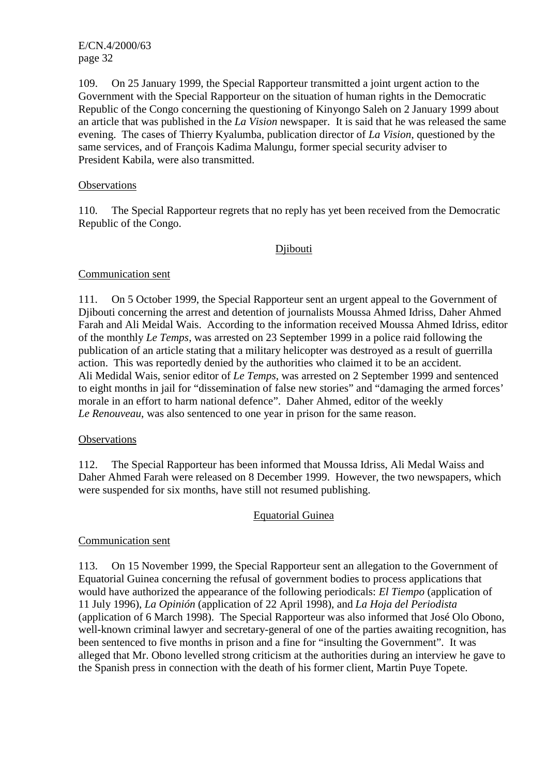109. On 25 January 1999, the Special Rapporteur transmitted a joint urgent action to the Government with the Special Rapporteur on the situation of human rights in the Democratic Republic of the Congo concerning the questioning of Kinyongo Saleh on 2 January 1999 about an article that was published in the *La Vision* newspaper. It is said that he was released the same evening. The cases of Thierry Kyalumba, publication director of *La Vision*, questioned by the same services, and of François Kadima Malungu, former special security adviser to President Kabila, were also transmitted.

#### **Observations**

110. The Special Rapporteur regrets that no reply has yet been received from the Democratic Republic of the Congo.

### Djibouti

### Communication sent

111. On 5 October 1999, the Special Rapporteur sent an urgent appeal to the Government of Djibouti concerning the arrest and detention of journalists Moussa Ahmed Idriss, Daher Ahmed Farah and Ali Meidal Wais. According to the information received Moussa Ahmed Idriss, editor of the monthly *Le Temps*, was arrested on 23 September 1999 in a police raid following the publication of an article stating that a military helicopter was destroyed as a result of guerrilla action. This was reportedly denied by the authorities who claimed it to be an accident. Ali Medidal Wais, senior editor of *Le Temps*, was arrested on 2 September 1999 and sentenced to eight months in jail for "dissemination of false new stories" and "damaging the armed forces' morale in an effort to harm national defence". Daher Ahmed, editor of the weekly *Le Renouveau*, was also sentenced to one year in prison for the same reason.

#### **Observations**

112. The Special Rapporteur has been informed that Moussa Idriss, Ali Medal Waiss and Daher Ahmed Farah were released on 8 December 1999. However, the two newspapers, which were suspended for six months, have still not resumed publishing.

#### Equatorial Guinea

## Communication sent

113. On 15 November 1999, the Special Rapporteur sent an allegation to the Government of Equatorial Guinea concerning the refusal of government bodies to process applications that would have authorized the appearance of the following periodicals: *El Tiempo* (application of 11 July 1996), *La Opinión* (application of 22 April 1998), and *La Hoja del Periodista* (application of 6 March 1998). The Special Rapporteur was also informed that José Olo Obono, well-known criminal lawyer and secretary-general of one of the parties awaiting recognition, has been sentenced to five months in prison and a fine for "insulting the Government". It was alleged that Mr. Obono levelled strong criticism at the authorities during an interview he gave to the Spanish press in connection with the death of his former client, Martin Puye Topete.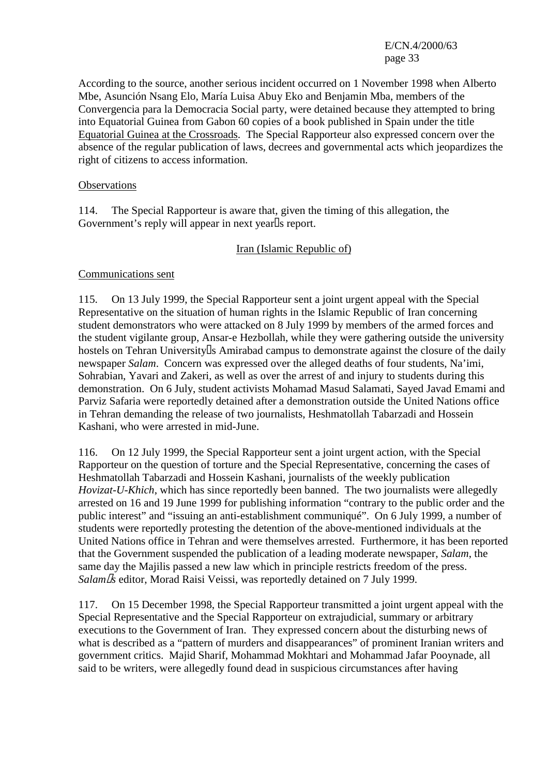According to the source, another serious incident occurred on 1 November 1998 when Alberto Mbe, Asunción Nsang Elo, María Luisa Abuy Eko and Benjamin Mba, members of the Convergencia para la Democracia Social party, were detained because they attempted to bring into Equatorial Guinea from Gabon 60 copies of a book published in Spain under the title Equatorial Guinea at the Crossroads. The Special Rapporteur also expressed concern over the absence of the regular publication of laws, decrees and governmental acts which jeopardizes the right of citizens to access information.

### **Observations**

114. The Special Rapporteur is aware that, given the timing of this allegation, the Government's reply will appear in next yearls report.

### Iran (Islamic Republic of)

### Communications sent

115. On 13 July 1999, the Special Rapporteur sent a joint urgent appeal with the Special Representative on the situation of human rights in the Islamic Republic of Iran concerning student demonstrators who were attacked on 8 July 1999 by members of the armed forces and the student vigilante group, Ansar-e Hezbollah, while they were gathering outside the university hostels on Tehran University as Amirabad campus to demonstrate against the closure of the daily newspaper *Salam*. Concern was expressed over the alleged deaths of four students, Na'imi, Sohrabian, Yavari and Zakeri, as well as over the arrest of and injury to students during this demonstration. On 6 July, student activists Mohamad Masud Salamati, Sayed Javad Emami and Parviz Safaria were reportedly detained after a demonstration outside the United Nations office in Tehran demanding the release of two journalists, Heshmatollah Tabarzadi and Hossein Kashani, who were arrested in mid-June.

116. On 12 July 1999, the Special Rapporteur sent a joint urgent action, with the Special Rapporteur on the question of torture and the Special Representative, concerning the cases of Heshmatollah Tabarzadi and Hossein Kashani, journalists of the weekly publication *Hovizat-U-Khich*, which has since reportedly been banned. The two journalists were allegedly arrested on 16 and 19 June 1999 for publishing information "contrary to the public order and the public interest" and "issuing an anti-establishment communiqué". On 6 July 1999, a number of students were reportedly protesting the detention of the above-mentioned individuals at the United Nations office in Tehran and were themselves arrested. Furthermore, it has been reported that the Government suspended the publication of a leading moderate newspaper, *Salam*, the same day the Majilis passed a new law which in principle restricts freedom of the press. Salam<sub>Is</sub> editor, Morad Raisi Veissi, was reportedly detained on 7 July 1999.

117. On 15 December 1998, the Special Rapporteur transmitted a joint urgent appeal with the Special Representative and the Special Rapporteur on extrajudicial, summary or arbitrary executions to the Government of Iran. They expressed concern about the disturbing news of what is described as a "pattern of murders and disappearances" of prominent Iranian writers and government critics. Majid Sharif, Mohammad Mokhtari and Mohammad Jafar Pooynade, all said to be writers, were allegedly found dead in suspicious circumstances after having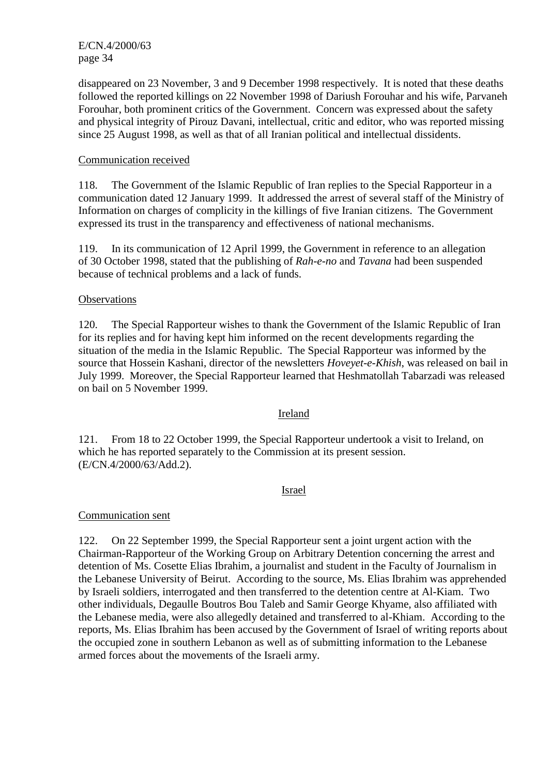disappeared on 23 November, 3 and 9 December 1998 respectively. It is noted that these deaths followed the reported killings on 22 November 1998 of Dariush Forouhar and his wife, Parvaneh Forouhar, both prominent critics of the Government. Concern was expressed about the safety and physical integrity of Pirouz Davani, intellectual, critic and editor, who was reported missing since 25 August 1998, as well as that of all Iranian political and intellectual dissidents.

### Communication received

118. The Government of the Islamic Republic of Iran replies to the Special Rapporteur in a communication dated 12 January 1999. It addressed the arrest of several staff of the Ministry of Information on charges of complicity in the killings of five Iranian citizens. The Government expressed its trust in the transparency and effectiveness of national mechanisms.

119. In its communication of 12 April 1999, the Government in reference to an allegation of 30 October 1998, stated that the publishing of *Rah-e-no* and *Tavana* had been suspended because of technical problems and a lack of funds.

#### **Observations**

120. The Special Rapporteur wishes to thank the Government of the Islamic Republic of Iran for its replies and for having kept him informed on the recent developments regarding the situation of the media in the Islamic Republic. The Special Rapporteur was informed by the source that Hossein Kashani, director of the newsletters *Hoveyet-e-Khish*, was released on bail in July 1999. Moreover, the Special Rapporteur learned that Heshmatollah Tabarzadi was released on bail on 5 November 1999.

#### Ireland

121. From 18 to 22 October 1999, the Special Rapporteur undertook a visit to Ireland, on which he has reported separately to the Commission at its present session. (E/CN.4/2000/63/Add.2).

#### Israel

#### Communication sent

122. On 22 September 1999, the Special Rapporteur sent a joint urgent action with the Chairman-Rapporteur of the Working Group on Arbitrary Detention concerning the arrest and detention of Ms. Cosette Elias Ibrahim, a journalist and student in the Faculty of Journalism in the Lebanese University of Beirut. According to the source, Ms. Elias Ibrahim was apprehended by Israeli soldiers, interrogated and then transferred to the detention centre at Al-Kiam. Two other individuals, Degaulle Boutros Bou Taleb and Samir George Khyame, also affiliated with the Lebanese media, were also allegedly detained and transferred to al-Khiam. According to the reports, Ms. Elias Ibrahim has been accused by the Government of Israel of writing reports about the occupied zone in southern Lebanon as well as of submitting information to the Lebanese armed forces about the movements of the Israeli army.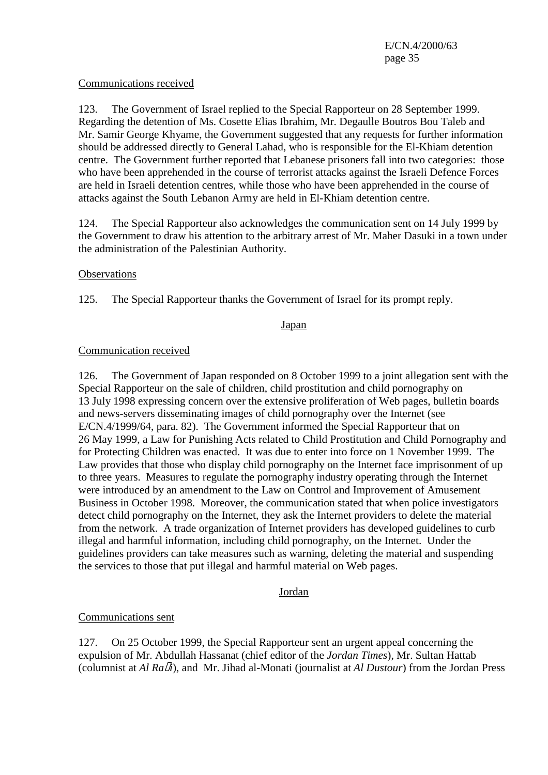#### Communications received

123. The Government of Israel replied to the Special Rapporteur on 28 September 1999. Regarding the detention of Ms. Cosette Elias Ibrahim, Mr. Degaulle Boutros Bou Taleb and Mr. Samir George Khyame, the Government suggested that any requests for further information should be addressed directly to General Lahad, who is responsible for the El-Khiam detention centre. The Government further reported that Lebanese prisoners fall into two categories: those who have been apprehended in the course of terrorist attacks against the Israeli Defence Forces are held in Israeli detention centres, while those who have been apprehended in the course of attacks against the South Lebanon Army are held in El-Khiam detention centre.

124. The Special Rapporteur also acknowledges the communication sent on 14 July 1999 by the Government to draw his attention to the arbitrary arrest of Mr. Maher Dasuki in a town under the administration of the Palestinian Authority.

## **Observations**

125. The Special Rapporteur thanks the Government of Israel for its prompt reply.

## Japan

## Communication received

126. The Government of Japan responded on 8 October 1999 to a joint allegation sent with the Special Rapporteur on the sale of children, child prostitution and child pornography on 13 July 1998 expressing concern over the extensive proliferation of Web pages, bulletin boards and news-servers disseminating images of child pornography over the Internet (see E/CN.4/1999/64, para. 82). The Government informed the Special Rapporteur that on 26 May 1999, a Law for Punishing Acts related to Child Prostitution and Child Pornography and for Protecting Children was enacted. It was due to enter into force on 1 November 1999. The Law provides that those who display child pornography on the Internet face imprisonment of up to three years. Measures to regulate the pornography industry operating through the Internet were introduced by an amendment to the Law on Control and Improvement of Amusement Business in October 1998. Moreover, the communication stated that when police investigators detect child pornography on the Internet, they ask the Internet providers to delete the material from the network. A trade organization of Internet providers has developed guidelines to curb illegal and harmful information, including child pornography, on the Internet. Under the guidelines providers can take measures such as warning, deleting the material and suspending the services to those that put illegal and harmful material on Web pages.

## Jordan

## Communications sent

127. On 25 October 1999, the Special Rapporteur sent an urgent appeal concerning the expulsion of Mr. Abdullah Hassanat (chief editor of the *Jordan Times*), Mr. Sultan Hattab (columnist at *Al Rai*), and Mr. Jihad al-Monati (journalist at *Al Dustour*) from the Jordan Press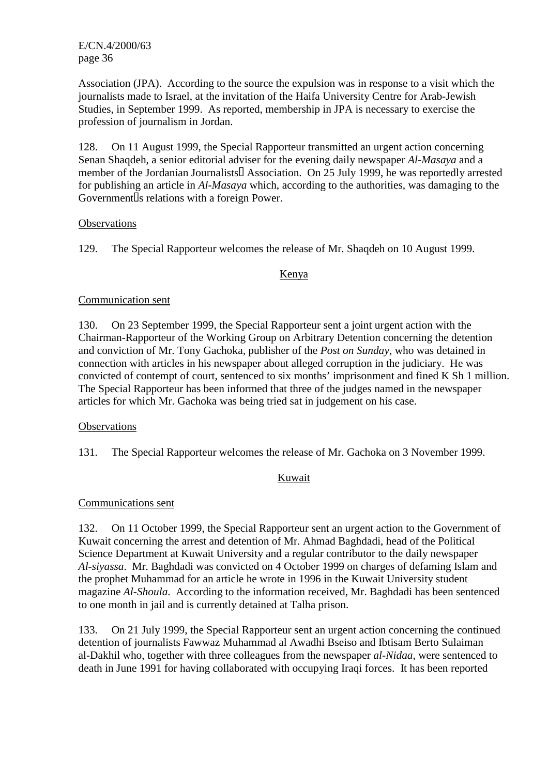Association (JPA). According to the source the expulsion was in response to a visit which the journalists made to Israel, at the invitation of the Haifa University Centre for Arab-Jewish Studies, in September 1999. As reported, membership in JPA is necessary to exercise the profession of journalism in Jordan.

128. On 11 August 1999, the Special Rapporteur transmitted an urgent action concerning Senan Shaqdeh, a senior editorial adviser for the evening daily newspaper *Al-Masaya* and a member of the Jordanian Journalists Association. On 25 July 1999, he was reportedly arrested for publishing an article in *Al-Masaya* which, according to the authorities, was damaging to the Government<sup>[]</sup>s relations with a foreign Power.

## **Observations**

129. The Special Rapporteur welcomes the release of Mr. Shaqdeh on 10 August 1999.

### Kenya

### Communication sent

130. On 23 September 1999, the Special Rapporteur sent a joint urgent action with the Chairman-Rapporteur of the Working Group on Arbitrary Detention concerning the detention and conviction of Mr. Tony Gachoka, publisher of the *Post on Sunday*, who was detained in connection with articles in his newspaper about alleged corruption in the judiciary. He was convicted of contempt of court, sentenced to six months' imprisonment and fined K Sh 1 million. The Special Rapporteur has been informed that three of the judges named in the newspaper articles for which Mr. Gachoka was being tried sat in judgement on his case.

#### **Observations**

131. The Special Rapporteur welcomes the release of Mr. Gachoka on 3 November 1999.

## Kuwait

#### Communications sent

132. On 11 October 1999, the Special Rapporteur sent an urgent action to the Government of Kuwait concerning the arrest and detention of Mr. Ahmad Baghdadi, head of the Political Science Department at Kuwait University and a regular contributor to the daily newspaper *Al-siyassa*. Mr. Baghdadi was convicted on 4 October 1999 on charges of defaming Islam and the prophet Muhammad for an article he wrote in 1996 in the Kuwait University student magazine *Al-Shoula*. According to the information received, Mr. Baghdadi has been sentenced to one month in jail and is currently detained at Talha prison.

133. On 21 July 1999, the Special Rapporteur sent an urgent action concerning the continued detention of journalists Fawwaz Muhammad al Awadhi Bseiso and Ibtisam Berto Sulaiman al-Dakhil who, together with three colleagues from the newspaper *al-Nidaa*, were sentenced to death in June 1991 for having collaborated with occupying Iraqi forces. It has been reported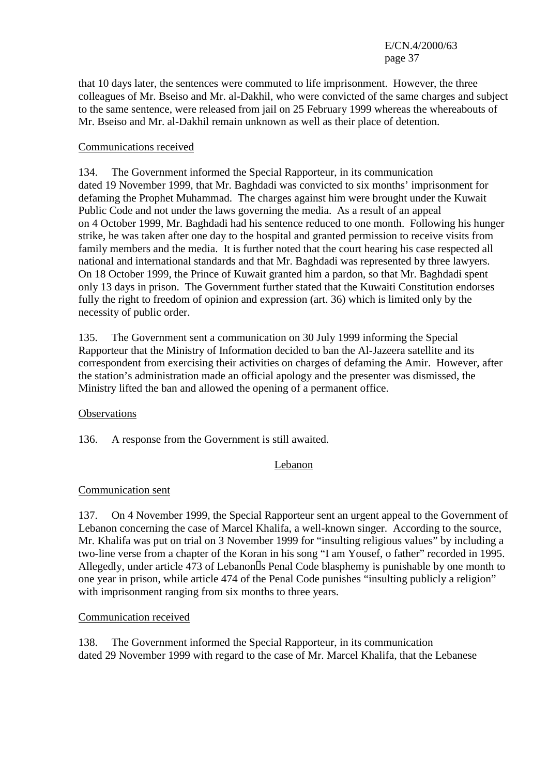that 10 days later, the sentences were commuted to life imprisonment. However, the three colleagues of Mr. Bseiso and Mr. al-Dakhil, who were convicted of the same charges and subject to the same sentence, were released from jail on 25 February 1999 whereas the whereabouts of Mr. Bseiso and Mr. al-Dakhil remain unknown as well as their place of detention.

## Communications received

134. The Government informed the Special Rapporteur, in its communication dated 19 November 1999, that Mr. Baghdadi was convicted to six months' imprisonment for defaming the Prophet Muhammad. The charges against him were brought under the Kuwait Public Code and not under the laws governing the media. As a result of an appeal on 4 October 1999, Mr. Baghdadi had his sentence reduced to one month. Following his hunger strike, he was taken after one day to the hospital and granted permission to receive visits from family members and the media. It is further noted that the court hearing his case respected all national and international standards and that Mr. Baghdadi was represented by three lawyers. On 18 October 1999, the Prince of Kuwait granted him a pardon, so that Mr. Baghdadi spent only 13 days in prison. The Government further stated that the Kuwaiti Constitution endorses fully the right to freedom of opinion and expression (art. 36) which is limited only by the necessity of public order.

135. The Government sent a communication on 30 July 1999 informing the Special Rapporteur that the Ministry of Information decided to ban the Al-Jazeera satellite and its correspondent from exercising their activities on charges of defaming the Amir. However, after the station's administration made an official apology and the presenter was dismissed, the Ministry lifted the ban and allowed the opening of a permanent office.

## **Observations**

136. A response from the Government is still awaited.

## Lebanon

## Communication sent

137. On 4 November 1999, the Special Rapporteur sent an urgent appeal to the Government of Lebanon concerning the case of Marcel Khalifa, a well-known singer. According to the source, Mr. Khalifa was put on trial on 3 November 1999 for "insulting religious values" by including a two-line verse from a chapter of the Koran in his song "I am Yousef, o father" recorded in 1995. Allegedly, under article 473 of Lebanon<sup>I</sup>s Penal Code blasphemy is punishable by one month to one year in prison, while article 474 of the Penal Code punishes "insulting publicly a religion" with imprisonment ranging from six months to three years.

#### Communication received

138. The Government informed the Special Rapporteur, in its communication dated 29 November 1999 with regard to the case of Mr. Marcel Khalifa, that the Lebanese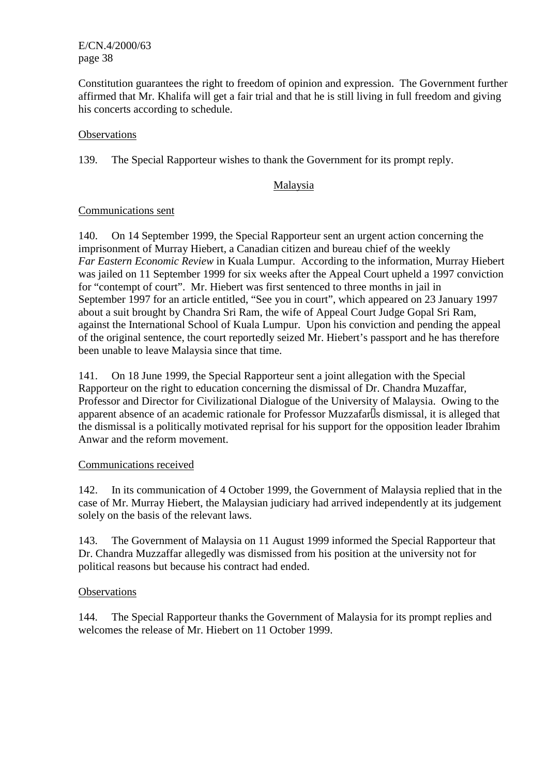Constitution guarantees the right to freedom of opinion and expression. The Government further affirmed that Mr. Khalifa will get a fair trial and that he is still living in full freedom and giving his concerts according to schedule.

### **Observations**

139. The Special Rapporteur wishes to thank the Government for its prompt reply.

#### Malaysia

#### Communications sent

140. On 14 September 1999, the Special Rapporteur sent an urgent action concerning the imprisonment of Murray Hiebert, a Canadian citizen and bureau chief of the weekly *Far Eastern Economic Review* in Kuala Lumpur. According to the information, Murray Hiebert was jailed on 11 September 1999 for six weeks after the Appeal Court upheld a 1997 conviction for "contempt of court". Mr. Hiebert was first sentenced to three months in jail in September 1997 for an article entitled, "See you in court", which appeared on 23 January 1997 about a suit brought by Chandra Sri Ram, the wife of Appeal Court Judge Gopal Sri Ram, against the International School of Kuala Lumpur. Upon his conviction and pending the appeal of the original sentence, the court reportedly seized Mr. Hiebert's passport and he has therefore been unable to leave Malaysia since that time.

141. On 18 June 1999, the Special Rapporteur sent a joint allegation with the Special Rapporteur on the right to education concerning the dismissal of Dr. Chandra Muzaffar, Professor and Director for Civilizational Dialogue of the University of Malaysia. Owing to the apparent absence of an academic rationale for Professor Muzzafarls dismissal, it is alleged that the dismissal is a politically motivated reprisal for his support for the opposition leader Ibrahim Anwar and the reform movement.

#### Communications received

142. In its communication of 4 October 1999, the Government of Malaysia replied that in the case of Mr. Murray Hiebert, the Malaysian judiciary had arrived independently at its judgement solely on the basis of the relevant laws.

143. The Government of Malaysia on 11 August 1999 informed the Special Rapporteur that Dr. Chandra Muzzaffar allegedly was dismissed from his position at the university not for political reasons but because his contract had ended.

#### **Observations**

144. The Special Rapporteur thanks the Government of Malaysia for its prompt replies and welcomes the release of Mr. Hiebert on 11 October 1999.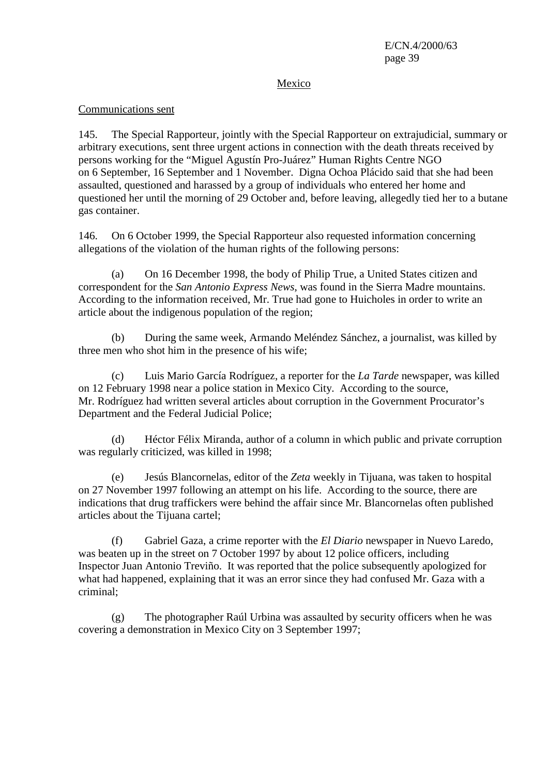#### Mexico

#### Communications sent

145. The Special Rapporteur, jointly with the Special Rapporteur on extrajudicial, summary or arbitrary executions, sent three urgent actions in connection with the death threats received by persons working for the "Miguel Agustín Pro-Juárez" Human Rights Centre NGO on 6 September, 16 September and 1 November. Digna Ochoa Plácido said that she had been assaulted, questioned and harassed by a group of individuals who entered her home and questioned her until the morning of 29 October and, before leaving, allegedly tied her to a butane gas container.

146. On 6 October 1999, the Special Rapporteur also requested information concerning allegations of the violation of the human rights of the following persons:

(a) On 16 December 1998, the body of Philip True, a United States citizen and correspondent for the *San Antonio Express News*, was found in the Sierra Madre mountains. According to the information received, Mr. True had gone to Huicholes in order to write an article about the indigenous population of the region;

(b) During the same week, Armando Meléndez Sánchez, a journalist, was killed by three men who shot him in the presence of his wife;

(c) Luis Mario García Rodríguez, a reporter for the *La Tarde* newspaper, was killed on 12 February 1998 near a police station in Mexico City. According to the source, Mr. Rodríguez had written several articles about corruption in the Government Procurator's Department and the Federal Judicial Police;

(d) Héctor Félix Miranda, author of a column in which public and private corruption was regularly criticized, was killed in 1998;

(e) Jesús Blancornelas, editor of the *Zeta* weekly in Tijuana, was taken to hospital on 27 November 1997 following an attempt on his life. According to the source, there are indications that drug traffickers were behind the affair since Mr. Blancornelas often published articles about the Tijuana cartel;

(f) Gabriel Gaza, a crime reporter with the *El Diario* newspaper in Nuevo Laredo, was beaten up in the street on 7 October 1997 by about 12 police officers, including Inspector Juan Antonio Treviño. It was reported that the police subsequently apologized for what had happened, explaining that it was an error since they had confused Mr. Gaza with a criminal;

(g) The photographer Raúl Urbina was assaulted by security officers when he was covering a demonstration in Mexico City on 3 September 1997;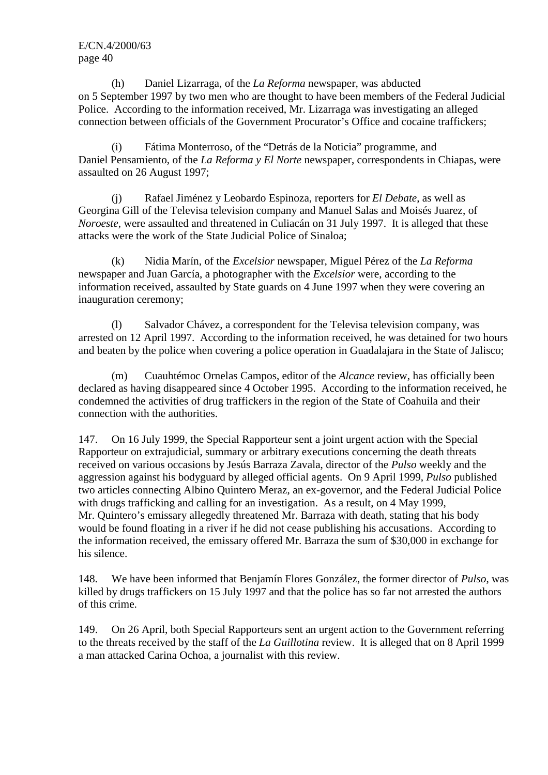(h) Daniel Lizarraga, of the *La Reforma* newspaper, was abducted on 5 September 1997 by two men who are thought to have been members of the Federal Judicial Police. According to the information received, Mr. Lizarraga was investigating an alleged connection between officials of the Government Procurator's Office and cocaine traffickers;

(i) Fátima Monterroso, of the "Detrás de la Noticia" programme, and Daniel Pensamiento, of the *La Reforma y El Norte* newspaper, correspondents in Chiapas, were assaulted on 26 August 1997;

(j) Rafael Jiménez y Leobardo Espinoza, reporters for *El Debate*, as well as Georgina Gill of the Televisa television company and Manuel Salas and Moisés Juarez, of *Noroeste*, were assaulted and threatened in Culiacán on 31 July 1997. It is alleged that these attacks were the work of the State Judicial Police of Sinaloa;

(k) Nidia Marín, of the *Excelsior* newspaper, Miguel Pérez of the *La Reforma* newspaper and Juan García, a photographer with the *Excelsior* were, according to the information received, assaulted by State guards on 4 June 1997 when they were covering an inauguration ceremony;

(l) Salvador Chávez, a correspondent for the Televisa television company, was arrested on 12 April 1997. According to the information received, he was detained for two hours and beaten by the police when covering a police operation in Guadalajara in the State of Jalisco;

(m) Cuauhtémoc Ornelas Campos, editor of the *Alcance* review, has officially been declared as having disappeared since 4 October 1995. According to the information received, he condemned the activities of drug traffickers in the region of the State of Coahuila and their connection with the authorities.

147. On 16 July 1999, the Special Rapporteur sent a joint urgent action with the Special Rapporteur on extrajudicial, summary or arbitrary executions concerning the death threats received on various occasions by Jesús Barraza Zavala, director of the *Pulso* weekly and the aggression against his bodyguard by alleged official agents. On 9 April 1999, *Pulso* published two articles connecting Albino Quintero Meraz, an ex-governor, and the Federal Judicial Police with drugs trafficking and calling for an investigation. As a result, on 4 May 1999, Mr. Quintero's emissary allegedly threatened Mr. Barraza with death, stating that his body would be found floating in a river if he did not cease publishing his accusations. According to the information received, the emissary offered Mr. Barraza the sum of \$30,000 in exchange for his silence.

148. We have been informed that Benjamín Flores González, the former director of *Pulso*, was killed by drugs traffickers on 15 July 1997 and that the police has so far not arrested the authors of this crime.

149. On 26 April, both Special Rapporteurs sent an urgent action to the Government referring to the threats received by the staff of the *La Guillotina* review. It is alleged that on 8 April 1999 a man attacked Carina Ochoa, a journalist with this review.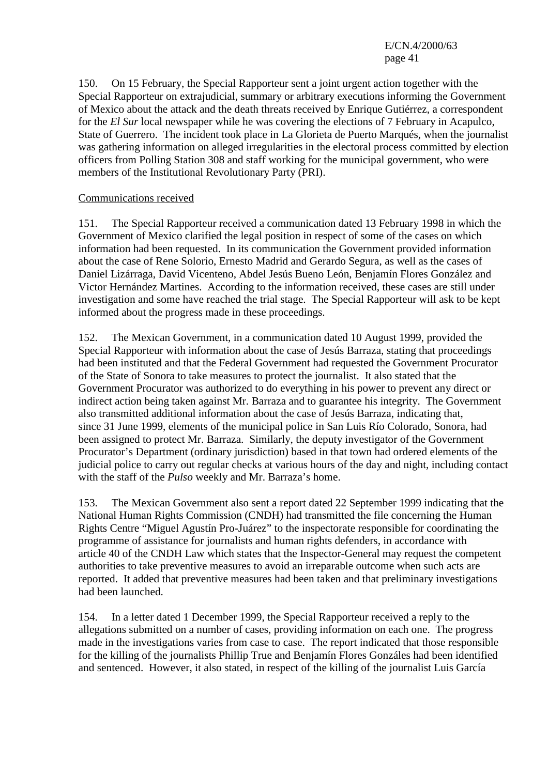150. On 15 February, the Special Rapporteur sent a joint urgent action together with the Special Rapporteur on extrajudicial, summary or arbitrary executions informing the Government of Mexico about the attack and the death threats received by Enrique Gutiérrez, a correspondent for the *El Sur* local newspaper while he was covering the elections of 7 February in Acapulco, State of Guerrero. The incident took place in La Glorieta de Puerto Marqués, when the journalist was gathering information on alleged irregularities in the electoral process committed by election officers from Polling Station 308 and staff working for the municipal government, who were members of the Institutional Revolutionary Party (PRI).

#### Communications received

151. The Special Rapporteur received a communication dated 13 February 1998 in which the Government of Mexico clarified the legal position in respect of some of the cases on which information had been requested. In its communication the Government provided information about the case of Rene Solorio, Ernesto Madrid and Gerardo Segura, as well as the cases of Daniel Lizárraga, David Vicenteno, Abdel Jesús Bueno León, Benjamín Flores González and Victor Hernández Martines. According to the information received, these cases are still under investigation and some have reached the trial stage. The Special Rapporteur will ask to be kept informed about the progress made in these proceedings.

152. The Mexican Government, in a communication dated 10 August 1999, provided the Special Rapporteur with information about the case of Jesús Barraza, stating that proceedings had been instituted and that the Federal Government had requested the Government Procurator of the State of Sonora to take measures to protect the journalist. It also stated that the Government Procurator was authorized to do everything in his power to prevent any direct or indirect action being taken against Mr. Barraza and to guarantee his integrity. The Government also transmitted additional information about the case of Jesús Barraza, indicating that, since 31 June 1999, elements of the municipal police in San Luis Río Colorado, Sonora, had been assigned to protect Mr. Barraza. Similarly, the deputy investigator of the Government Procurator's Department (ordinary jurisdiction) based in that town had ordered elements of the judicial police to carry out regular checks at various hours of the day and night, including contact with the staff of the *Pulso* weekly and Mr. Barraza's home.

153. The Mexican Government also sent a report dated 22 September 1999 indicating that the National Human Rights Commission (CNDH) had transmitted the file concerning the Human Rights Centre "Miguel Agustín Pro-Juárez" to the inspectorate responsible for coordinating the programme of assistance for journalists and human rights defenders, in accordance with article 40 of the CNDH Law which states that the Inspector-General may request the competent authorities to take preventive measures to avoid an irreparable outcome when such acts are reported. It added that preventive measures had been taken and that preliminary investigations had been launched.

154. In a letter dated 1 December 1999, the Special Rapporteur received a reply to the allegations submitted on a number of cases, providing information on each one. The progress made in the investigations varies from case to case. The report indicated that those responsible for the killing of the journalists Phillip True and Benjamín Flores Gonzáles had been identified and sentenced. However, it also stated, in respect of the killing of the journalist Luis García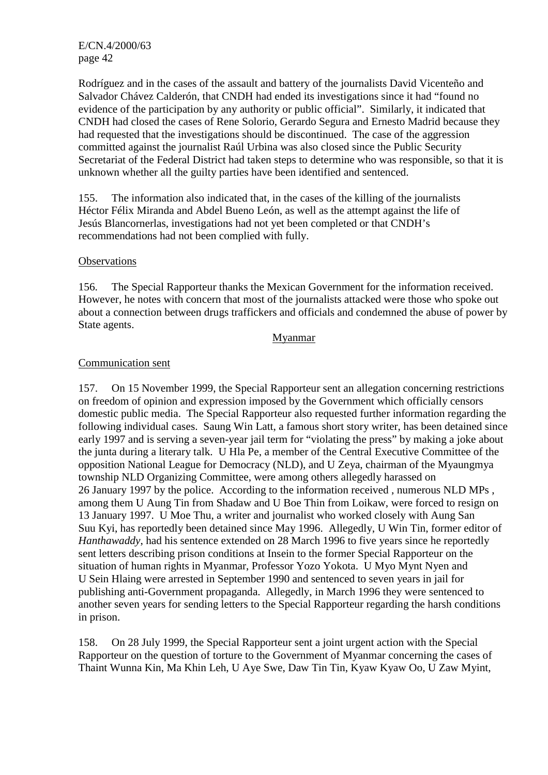Rodríguez and in the cases of the assault and battery of the journalists David Vicenteño and Salvador Chávez Calderón, that CNDH had ended its investigations since it had "found no evidence of the participation by any authority or public official". Similarly, it indicated that CNDH had closed the cases of Rene Solorio, Gerardo Segura and Ernesto Madrid because they had requested that the investigations should be discontinued. The case of the aggression committed against the journalist Raúl Urbina was also closed since the Public Security Secretariat of the Federal District had taken steps to determine who was responsible, so that it is unknown whether all the guilty parties have been identified and sentenced.

155. The information also indicated that, in the cases of the killing of the journalists Héctor Félix Miranda and Abdel Bueno León, as well as the attempt against the life of Jesús Blancornerlas, investigations had not yet been completed or that CNDH's recommendations had not been complied with fully.

#### **Observations**

156. The Special Rapporteur thanks the Mexican Government for the information received. However, he notes with concern that most of the journalists attacked were those who spoke out about a connection between drugs traffickers and officials and condemned the abuse of power by State agents.

### Myanmar

#### Communication sent

157. On 15 November 1999, the Special Rapporteur sent an allegation concerning restrictions on freedom of opinion and expression imposed by the Government which officially censors domestic public media. The Special Rapporteur also requested further information regarding the following individual cases. Saung Win Latt, a famous short story writer, has been detained since early 1997 and is serving a seven-year jail term for "violating the press" by making a joke about the junta during a literary talk. U Hla Pe, a member of the Central Executive Committee of the opposition National League for Democracy (NLD), and U Zeya, chairman of the Myaungmya township NLD Organizing Committee, were among others allegedly harassed on 26 January 1997 by the police. According to the information received , numerous NLD MPs , among them U Aung Tin from Shadaw and U Boe Thin from Loikaw, were forced to resign on 13 January 1997. U Moe Thu, a writer and journalist who worked closely with Aung San Suu Kyi, has reportedly been detained since May 1996. Allegedly, U Win Tin, former editor of *Hanthawaddy*, had his sentence extended on 28 March 1996 to five years since he reportedly sent letters describing prison conditions at Insein to the former Special Rapporteur on the situation of human rights in Myanmar, Professor Yozo Yokota. U Myo Mynt Nyen and U Sein Hlaing were arrested in September 1990 and sentenced to seven years in jail for publishing anti-Government propaganda. Allegedly, in March 1996 they were sentenced to another seven years for sending letters to the Special Rapporteur regarding the harsh conditions in prison.

158. On 28 July 1999, the Special Rapporteur sent a joint urgent action with the Special Rapporteur on the question of torture to the Government of Myanmar concerning the cases of Thaint Wunna Kin, Ma Khin Leh, U Aye Swe, Daw Tin Tin, Kyaw Kyaw Oo, U Zaw Myint,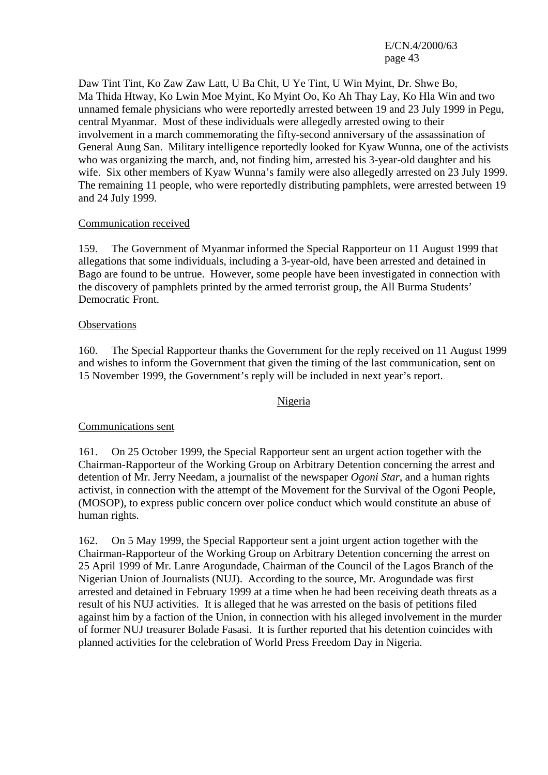Daw Tint Tint, Ko Zaw Zaw Latt, U Ba Chit, U Ye Tint, U Win Myint, Dr. Shwe Bo, Ma Thida Htway, Ko Lwin Moe Myint, Ko Myint Oo, Ko Ah Thay Lay, Ko Hla Win and two unnamed female physicians who were reportedly arrested between 19 and 23 July 1999 in Pegu, central Myanmar. Most of these individuals were allegedly arrested owing to their involvement in a march commemorating the fifty-second anniversary of the assassination of General Aung San. Military intelligence reportedly looked for Kyaw Wunna, one of the activists who was organizing the march, and, not finding him, arrested his 3-year-old daughter and his wife. Six other members of Kyaw Wunna's family were also allegedly arrested on 23 July 1999. The remaining 11 people, who were reportedly distributing pamphlets, were arrested between 19 and 24 July 1999.

### Communication received

159. The Government of Myanmar informed the Special Rapporteur on 11 August 1999 that allegations that some individuals, including a 3-year-old, have been arrested and detained in Bago are found to be untrue. However, some people have been investigated in connection with the discovery of pamphlets printed by the armed terrorist group, the All Burma Students' Democratic Front.

#### **Observations**

160. The Special Rapporteur thanks the Government for the reply received on 11 August 1999 and wishes to inform the Government that given the timing of the last communication, sent on 15 November 1999, the Government's reply will be included in next year's report.

## Nigeria

#### Communications sent

161. On 25 October 1999, the Special Rapporteur sent an urgent action together with the Chairman-Rapporteur of the Working Group on Arbitrary Detention concerning the arrest and detention of Mr. Jerry Needam, a journalist of the newspaper *Ogoni Star*, and a human rights activist, in connection with the attempt of the Movement for the Survival of the Ogoni People, (MOSOP), to express public concern over police conduct which would constitute an abuse of human rights.

162. On 5 May 1999, the Special Rapporteur sent a joint urgent action together with the Chairman-Rapporteur of the Working Group on Arbitrary Detention concerning the arrest on 25 April 1999 of Mr. Lanre Arogundade, Chairman of the Council of the Lagos Branch of the Nigerian Union of Journalists (NUJ). According to the source, Mr. Arogundade was first arrested and detained in February 1999 at a time when he had been receiving death threats as a result of his NUJ activities. It is alleged that he was arrested on the basis of petitions filed against him by a faction of the Union, in connection with his alleged involvement in the murder of former NUJ treasurer Bolade Fasasi. It is further reported that his detention coincides with planned activities for the celebration of World Press Freedom Day in Nigeria.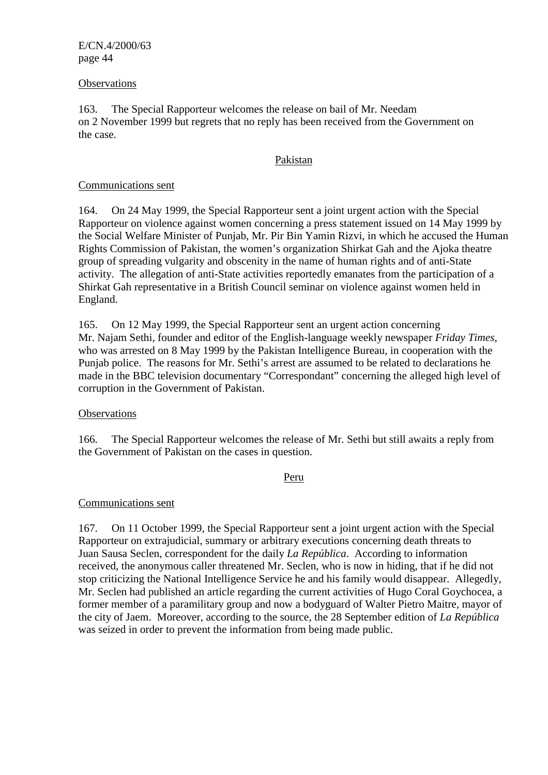#### **Observations**

163. The Special Rapporteur welcomes the release on bail of Mr. Needam on 2 November 1999 but regrets that no reply has been received from the Government on the case.

#### Pakistan

#### Communications sent

164. On 24 May 1999, the Special Rapporteur sent a joint urgent action with the Special Rapporteur on violence against women concerning a press statement issued on 14 May 1999 by the Social Welfare Minister of Punjab, Mr. Pir Bin Yamin Rizvi, in which he accused the Human Rights Commission of Pakistan, the women's organization Shirkat Gah and the Ajoka theatre group of spreading vulgarity and obscenity in the name of human rights and of anti-State activity. The allegation of anti-State activities reportedly emanates from the participation of a Shirkat Gah representative in a British Council seminar on violence against women held in England.

165. On 12 May 1999, the Special Rapporteur sent an urgent action concerning Mr. Najam Sethi, founder and editor of the English-language weekly newspaper *Friday Times*, who was arrested on 8 May 1999 by the Pakistan Intelligence Bureau, in cooperation with the Punjab police. The reasons for Mr. Sethi's arrest are assumed to be related to declarations he made in the BBC television documentary "Correspondant" concerning the alleged high level of corruption in the Government of Pakistan.

#### **Observations**

166. The Special Rapporteur welcomes the release of Mr. Sethi but still awaits a reply from the Government of Pakistan on the cases in question.

#### Peru

#### Communications sent

167. On 11 October 1999, the Special Rapporteur sent a joint urgent action with the Special Rapporteur on extrajudicial, summary or arbitrary executions concerning death threats to Juan Sausa Seclen, correspondent for the daily *La República*. According to information received, the anonymous caller threatened Mr. Seclen, who is now in hiding, that if he did not stop criticizing the National Intelligence Service he and his family would disappear. Allegedly, Mr. Seclen had published an article regarding the current activities of Hugo Coral Goychocea, a former member of a paramilitary group and now a bodyguard of Walter Pietro Maitre, mayor of the city of Jaem. Moreover, according to the source, the 28 September edition of *La República* was seized in order to prevent the information from being made public.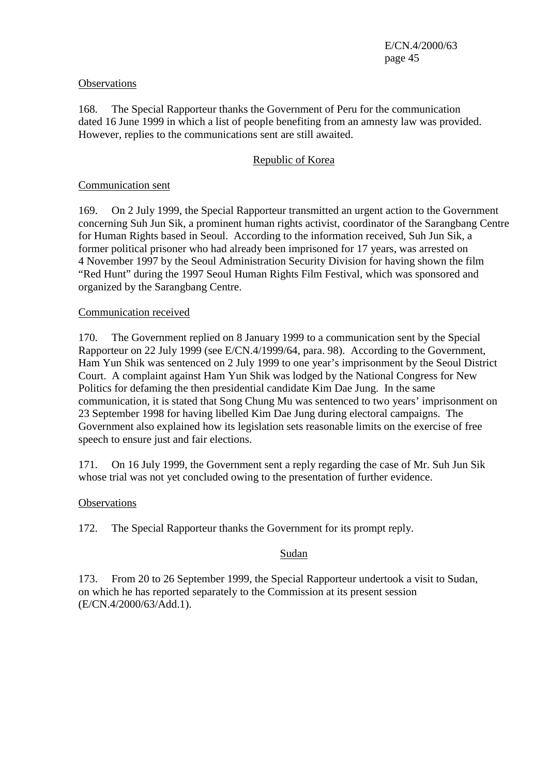#### **Observations**

168. The Special Rapporteur thanks the Government of Peru for the communication dated 16 June 1999 in which a list of people benefiting from an amnesty law was provided. However, replies to the communications sent are still awaited.

#### Republic of Korea

#### Communication sent

169. On 2 July 1999, the Special Rapporteur transmitted an urgent action to the Government concerning Suh Jun Sik, a prominent human rights activist, coordinator of the Sarangbang Centre for Human Rights based in Seoul. According to the information received, Suh Jun Sik, a former political prisoner who had already been imprisoned for 17 years, was arrested on 4 November 1997 by the Seoul Administration Security Division for having shown the film "Red Hunt" during the 1997 Seoul Human Rights Film Festival, which was sponsored and organized by the Sarangbang Centre.

#### Communication received

170. The Government replied on 8 January 1999 to a communication sent by the Special Rapporteur on 22 July 1999 (see E/CN.4/1999/64, para. 98). According to the Government, Ham Yun Shik was sentenced on 2 July 1999 to one year's imprisonment by the Seoul District Court. A complaint against Ham Yun Shik was lodged by the National Congress for New Politics for defaming the then presidential candidate Kim Dae Jung. In the same communication, it is stated that Song Chung Mu was sentenced to two years' imprisonment on 23 September 1998 for having libelled Kim Dae Jung during electoral campaigns. The Government also explained how its legislation sets reasonable limits on the exercise of free speech to ensure just and fair elections.

171. On 16 July 1999, the Government sent a reply regarding the case of Mr. Suh Jun Sik whose trial was not yet concluded owing to the presentation of further evidence.

#### **Observations**

172. The Special Rapporteur thanks the Government for its prompt reply.

#### Sudan

173. From 20 to 26 September 1999, the Special Rapporteur undertook a visit to Sudan, on which he has reported separately to the Commission at its present session (E/CN.4/2000/63/Add.1).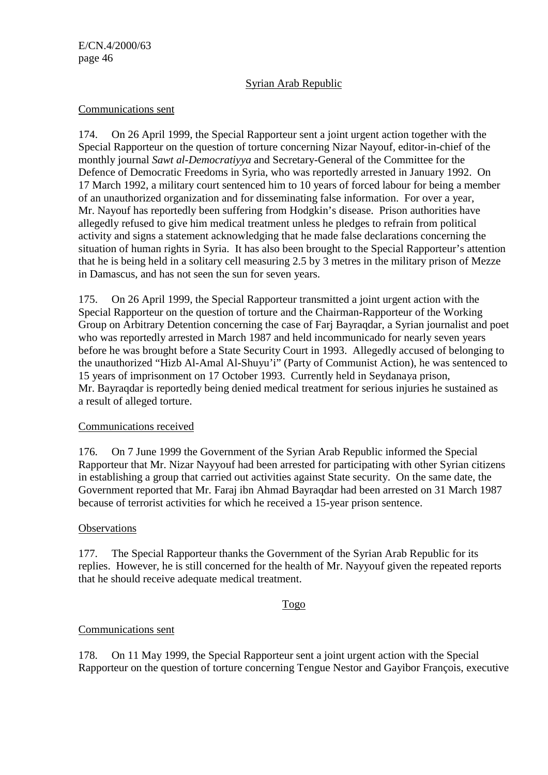## Syrian Arab Republic

### Communications sent

174. On 26 April 1999, the Special Rapporteur sent a joint urgent action together with the Special Rapporteur on the question of torture concerning Nizar Nayouf, editor-in-chief of the monthly journal *Sawt al-Democratiyya* and Secretary-General of the Committee for the Defence of Democratic Freedoms in Syria, who was reportedly arrested in January 1992. On 17 March 1992, a military court sentenced him to 10 years of forced labour for being a member of an unauthorized organization and for disseminating false information. For over a year, Mr. Nayouf has reportedly been suffering from Hodgkin's disease. Prison authorities have allegedly refused to give him medical treatment unless he pledges to refrain from political activity and signs a statement acknowledging that he made false declarations concerning the situation of human rights in Syria. It has also been brought to the Special Rapporteur's attention that he is being held in a solitary cell measuring 2.5 by 3 metres in the military prison of Mezze in Damascus, and has not seen the sun for seven years.

175. On 26 April 1999, the Special Rapporteur transmitted a joint urgent action with the Special Rapporteur on the question of torture and the Chairman-Rapporteur of the Working Group on Arbitrary Detention concerning the case of Farj Bayraqdar, a Syrian journalist and poet who was reportedly arrested in March 1987 and held incommunicado for nearly seven years before he was brought before a State Security Court in 1993. Allegedly accused of belonging to the unauthorized "Hizb Al-Amal Al-Shuyu'i" (Party of Communist Action), he was sentenced to 15 years of imprisonment on 17 October 1993. Currently held in Seydanaya prison, Mr. Bayraqdar is reportedly being denied medical treatment for serious injuries he sustained as a result of alleged torture.

## Communications received

176. On 7 June 1999 the Government of the Syrian Arab Republic informed the Special Rapporteur that Mr. Nizar Nayyouf had been arrested for participating with other Syrian citizens in establishing a group that carried out activities against State security. On the same date, the Government reported that Mr. Faraj ibn Ahmad Bayraqdar had been arrested on 31 March 1987 because of terrorist activities for which he received a 15-year prison sentence.

## **Observations**

177. The Special Rapporteur thanks the Government of the Syrian Arab Republic for its replies. However, he is still concerned for the health of Mr. Nayyouf given the repeated reports that he should receive adequate medical treatment.

## Togo

## Communications sent

178. On 11 May 1999, the Special Rapporteur sent a joint urgent action with the Special Rapporteur on the question of torture concerning Tengue Nestor and Gayibor François, executive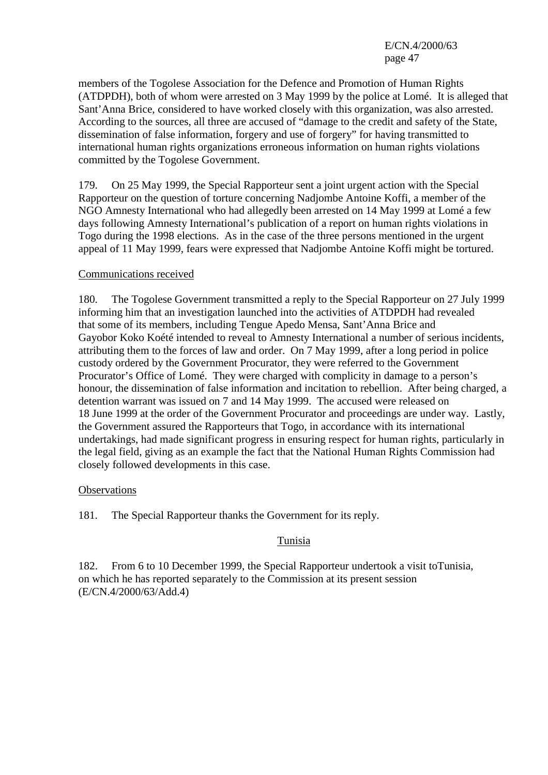members of the Togolese Association for the Defence and Promotion of Human Rights (ATDPDH), both of whom were arrested on 3 May 1999 by the police at Lomé. It is alleged that Sant'Anna Brice, considered to have worked closely with this organization, was also arrested. According to the sources, all three are accused of "damage to the credit and safety of the State, dissemination of false information, forgery and use of forgery" for having transmitted to international human rights organizations erroneous information on human rights violations committed by the Togolese Government.

179. On 25 May 1999, the Special Rapporteur sent a joint urgent action with the Special Rapporteur on the question of torture concerning Nadjombe Antoine Koffi, a member of the NGO Amnesty International who had allegedly been arrested on 14 May 1999 at Lomé a few days following Amnesty International's publication of a report on human rights violations in Togo during the 1998 elections. As in the case of the three persons mentioned in the urgent appeal of 11 May 1999, fears were expressed that Nadjombe Antoine Koffi might be tortured.

#### Communications received

180. The Togolese Government transmitted a reply to the Special Rapporteur on 27 July 1999 informing him that an investigation launched into the activities of ATDPDH had revealed that some of its members, including Tengue Apedo Mensa, Sant'Anna Brice and Gayobor Koko Koété intended to reveal to Amnesty International a number of serious incidents, attributing them to the forces of law and order. On 7 May 1999, after a long period in police custody ordered by the Government Procurator, they were referred to the Government Procurator's Office of Lomé. They were charged with complicity in damage to a person's honour, the dissemination of false information and incitation to rebellion. After being charged, a detention warrant was issued on 7 and 14 May 1999. The accused were released on 18 June 1999 at the order of the Government Procurator and proceedings are under way. Lastly, the Government assured the Rapporteurs that Togo, in accordance with its international undertakings, had made significant progress in ensuring respect for human rights, particularly in the legal field, giving as an example the fact that the National Human Rights Commission had closely followed developments in this case.

#### **Observations**

181. The Special Rapporteur thanks the Government for its reply.

## Tunisia

182. From 6 to 10 December 1999, the Special Rapporteur undertook a visit toTunisia, on which he has reported separately to the Commission at its present session (E/CN.4/2000/63/Add.4)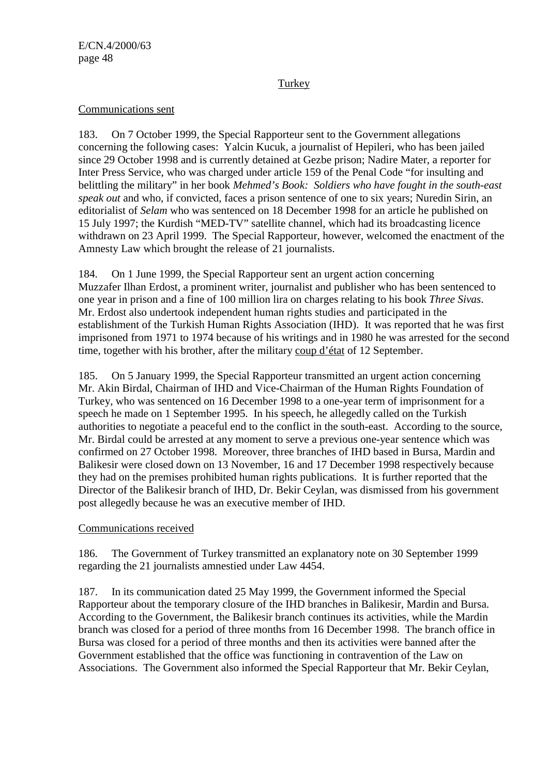## Turkey

#### Communications sent

183. On 7 October 1999, the Special Rapporteur sent to the Government allegations concerning the following cases: Yalcin Kucuk, a journalist of Hepileri, who has been jailed since 29 October 1998 and is currently detained at Gezbe prison; Nadire Mater, a reporter for Inter Press Service, who was charged under article 159 of the Penal Code "for insulting and belittling the military" in her book *Mehmed's Book: Soldiers who have fought in the south-east speak out* and who, if convicted, faces a prison sentence of one to six years; Nuredin Sirin, an editorialist of *Selam* who was sentenced on 18 December 1998 for an article he published on 15 July 1997; the Kurdish "MED-TV" satellite channel, which had its broadcasting licence withdrawn on 23 April 1999. The Special Rapporteur, however, welcomed the enactment of the Amnesty Law which brought the release of 21 journalists.

184. On 1 June 1999, the Special Rapporteur sent an urgent action concerning Muzzafer Ilhan Erdost, a prominent writer, journalist and publisher who has been sentenced to one year in prison and a fine of 100 million lira on charges relating to his book *Three Sivas*. Mr. Erdost also undertook independent human rights studies and participated in the establishment of the Turkish Human Rights Association (IHD). It was reported that he was first imprisoned from 1971 to 1974 because of his writings and in 1980 he was arrested for the second time, together with his brother, after the military coup d'état of 12 September.

185. On 5 January 1999, the Special Rapporteur transmitted an urgent action concerning Mr. Akin Birdal, Chairman of IHD and Vice-Chairman of the Human Rights Foundation of Turkey, who was sentenced on 16 December 1998 to a one-year term of imprisonment for a speech he made on 1 September 1995. In his speech, he allegedly called on the Turkish authorities to negotiate a peaceful end to the conflict in the south-east. According to the source, Mr. Birdal could be arrested at any moment to serve a previous one-year sentence which was confirmed on 27 October 1998. Moreover, three branches of IHD based in Bursa, Mardin and Balikesir were closed down on 13 November, 16 and 17 December 1998 respectively because they had on the premises prohibited human rights publications. It is further reported that the Director of the Balikesir branch of IHD, Dr. Bekir Ceylan, was dismissed from his government post allegedly because he was an executive member of IHD.

## Communications received

186. The Government of Turkey transmitted an explanatory note on 30 September 1999 regarding the 21 journalists amnestied under Law 4454.

187. In its communication dated 25 May 1999, the Government informed the Special Rapporteur about the temporary closure of the IHD branches in Balikesir, Mardin and Bursa. According to the Government, the Balikesir branch continues its activities, while the Mardin branch was closed for a period of three months from 16 December 1998. The branch office in Bursa was closed for a period of three months and then its activities were banned after the Government established that the office was functioning in contravention of the Law on Associations. The Government also informed the Special Rapporteur that Mr. Bekir Ceylan,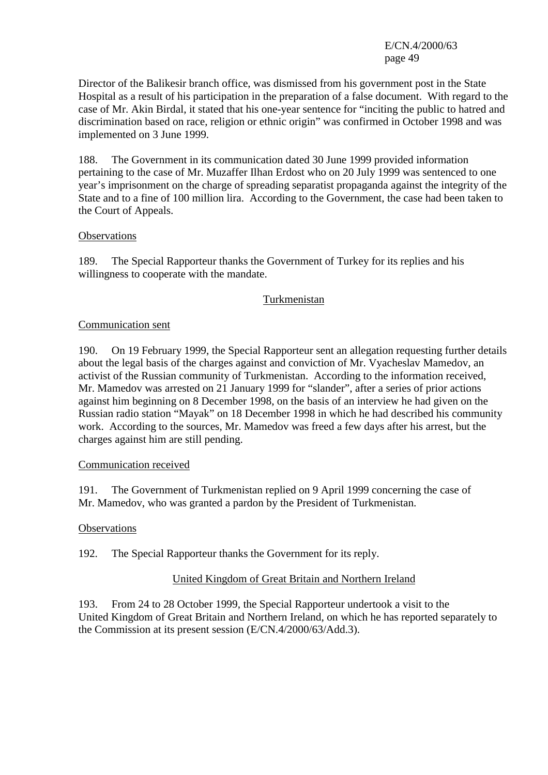Director of the Balikesir branch office, was dismissed from his government post in the State Hospital as a result of his participation in the preparation of a false document. With regard to the case of Mr. Akin Birdal, it stated that his one-year sentence for "inciting the public to hatred and discrimination based on race, religion or ethnic origin" was confirmed in October 1998 and was implemented on 3 June 1999.

188. The Government in its communication dated 30 June 1999 provided information pertaining to the case of Mr. Muzaffer Ilhan Erdost who on 20 July 1999 was sentenced to one year's imprisonment on the charge of spreading separatist propaganda against the integrity of the State and to a fine of 100 million lira. According to the Government, the case had been taken to the Court of Appeals.

### **Observations**

189. The Special Rapporteur thanks the Government of Turkey for its replies and his willingness to cooperate with the mandate.

### Turkmenistan

### Communication sent

190. On 19 February 1999, the Special Rapporteur sent an allegation requesting further details about the legal basis of the charges against and conviction of Mr. Vyacheslav Mamedov, an activist of the Russian community of Turkmenistan. According to the information received, Mr. Mamedov was arrested on 21 January 1999 for "slander", after a series of prior actions against him beginning on 8 December 1998, on the basis of an interview he had given on the Russian radio station "Mayak" on 18 December 1998 in which he had described his community work. According to the sources, Mr. Mamedov was freed a few days after his arrest, but the charges against him are still pending.

#### Communication received

191. The Government of Turkmenistan replied on 9 April 1999 concerning the case of Mr. Mamedov, who was granted a pardon by the President of Turkmenistan.

#### **Observations**

192. The Special Rapporteur thanks the Government for its reply.

## United Kingdom of Great Britain and Northern Ireland

193. From 24 to 28 October 1999, the Special Rapporteur undertook a visit to the United Kingdom of Great Britain and Northern Ireland, on which he has reported separately to the Commission at its present session (E/CN.4/2000/63/Add.3).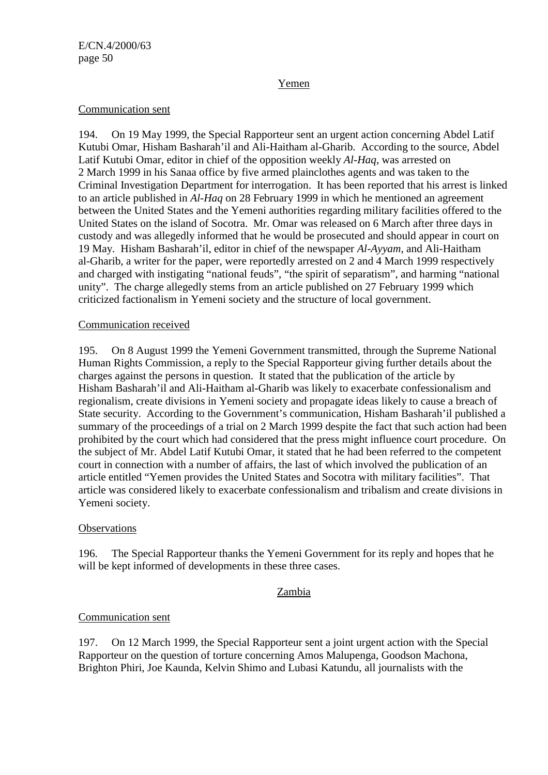#### Yemen

#### Communication sent

194. On 19 May 1999, the Special Rapporteur sent an urgent action concerning Abdel Latif Kutubi Omar, Hisham Basharah'il and Ali-Haitham al-Gharib. According to the source, Abdel Latif Kutubi Omar, editor in chief of the opposition weekly *Al-Haq*, was arrested on 2 March 1999 in his Sanaa office by five armed plainclothes agents and was taken to the Criminal Investigation Department for interrogation. It has been reported that his arrest is linked to an article published in *Al-Haq* on 28 February 1999 in which he mentioned an agreement between the United States and the Yemeni authorities regarding military facilities offered to the United States on the island of Socotra. Mr. Omar was released on 6 March after three days in custody and was allegedly informed that he would be prosecuted and should appear in court on 19 May. Hisham Basharah'il, editor in chief of the newspaper *Al-Ayyam*, and Ali-Haitham al-Gharib, a writer for the paper, were reportedly arrested on 2 and 4 March 1999 respectively and charged with instigating "national feuds", "the spirit of separatism", and harming "national unity". The charge allegedly stems from an article published on 27 February 1999 which criticized factionalism in Yemeni society and the structure of local government.

#### Communication received

195. On 8 August 1999 the Yemeni Government transmitted, through the Supreme National Human Rights Commission, a reply to the Special Rapporteur giving further details about the charges against the persons in question. It stated that the publication of the article by Hisham Basharah'il and Ali-Haitham al-Gharib was likely to exacerbate confessionalism and regionalism, create divisions in Yemeni society and propagate ideas likely to cause a breach of State security. According to the Government's communication, Hisham Basharah'il published a summary of the proceedings of a trial on 2 March 1999 despite the fact that such action had been prohibited by the court which had considered that the press might influence court procedure. On the subject of Mr. Abdel Latif Kutubi Omar, it stated that he had been referred to the competent court in connection with a number of affairs, the last of which involved the publication of an article entitled "Yemen provides the United States and Socotra with military facilities". That article was considered likely to exacerbate confessionalism and tribalism and create divisions in Yemeni society.

#### **Observations**

196. The Special Rapporteur thanks the Yemeni Government for its reply and hopes that he will be kept informed of developments in these three cases.

#### Zambia

#### Communication sent

197. On 12 March 1999, the Special Rapporteur sent a joint urgent action with the Special Rapporteur on the question of torture concerning Amos Malupenga, Goodson Machona, Brighton Phiri, Joe Kaunda, Kelvin Shimo and Lubasi Katundu, all journalists with the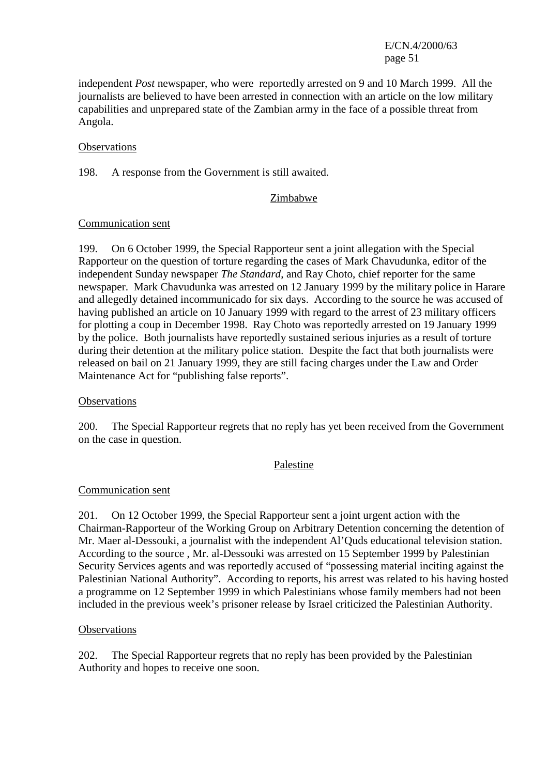independent *Post* newspaper, who were reportedly arrested on 9 and 10 March 1999. All the journalists are believed to have been arrested in connection with an article on the low military capabilities and unprepared state of the Zambian army in the face of a possible threat from Angola.

#### **Observations**

198. A response from the Government is still awaited.

## Zimbabwe

#### Communication sent

199. On 6 October 1999, the Special Rapporteur sent a joint allegation with the Special Rapporteur on the question of torture regarding the cases of Mark Chavudunka, editor of the independent Sunday newspaper *The Standard*, and Ray Choto, chief reporter for the same newspaper. Mark Chavudunka was arrested on 12 January 1999 by the military police in Harare and allegedly detained incommunicado for six days. According to the source he was accused of having published an article on 10 January 1999 with regard to the arrest of 23 military officers for plotting a coup in December 1998. Ray Choto was reportedly arrested on 19 January 1999 by the police. Both journalists have reportedly sustained serious injuries as a result of torture during their detention at the military police station. Despite the fact that both journalists were released on bail on 21 January 1999, they are still facing charges under the Law and Order Maintenance Act for "publishing false reports".

#### **Observations**

200. The Special Rapporteur regrets that no reply has yet been received from the Government on the case in question.

#### Palestine

#### Communication sent

201. On 12 October 1999, the Special Rapporteur sent a joint urgent action with the Chairman-Rapporteur of the Working Group on Arbitrary Detention concerning the detention of Mr. Maer al-Dessouki, a journalist with the independent Al'Quds educational television station. According to the source , Mr. al-Dessouki was arrested on 15 September 1999 by Palestinian Security Services agents and was reportedly accused of "possessing material inciting against the Palestinian National Authority". According to reports, his arrest was related to his having hosted a programme on 12 September 1999 in which Palestinians whose family members had not been included in the previous week's prisoner release by Israel criticized the Palestinian Authority.

#### **Observations**

202. The Special Rapporteur regrets that no reply has been provided by the Palestinian Authority and hopes to receive one soon.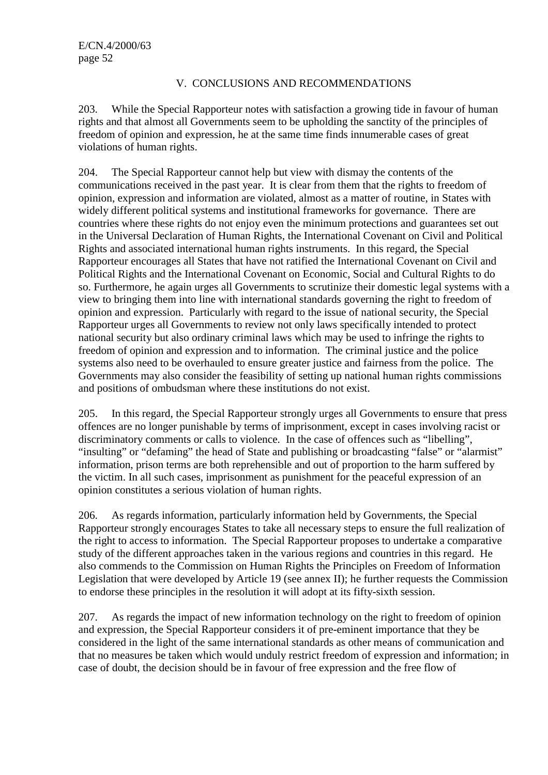### V. CONCLUSIONS AND RECOMMENDATIONS

203. While the Special Rapporteur notes with satisfaction a growing tide in favour of human rights and that almost all Governments seem to be upholding the sanctity of the principles of freedom of opinion and expression, he at the same time finds innumerable cases of great violations of human rights.

204. The Special Rapporteur cannot help but view with dismay the contents of the communications received in the past year. It is clear from them that the rights to freedom of opinion, expression and information are violated, almost as a matter of routine, in States with widely different political systems and institutional frameworks for governance. There are countries where these rights do not enjoy even the minimum protections and guarantees set out in the Universal Declaration of Human Rights, the International Covenant on Civil and Political Rights and associated international human rights instruments. In this regard, the Special Rapporteur encourages all States that have not ratified the International Covenant on Civil and Political Rights and the International Covenant on Economic, Social and Cultural Rights to do so. Furthermore, he again urges all Governments to scrutinize their domestic legal systems with a view to bringing them into line with international standards governing the right to freedom of opinion and expression. Particularly with regard to the issue of national security, the Special Rapporteur urges all Governments to review not only laws specifically intended to protect national security but also ordinary criminal laws which may be used to infringe the rights to freedom of opinion and expression and to information. The criminal justice and the police systems also need to be overhauled to ensure greater justice and fairness from the police. The Governments may also consider the feasibility of setting up national human rights commissions and positions of ombudsman where these institutions do not exist.

205. In this regard, the Special Rapporteur strongly urges all Governments to ensure that press offences are no longer punishable by terms of imprisonment, except in cases involving racist or discriminatory comments or calls to violence. In the case of offences such as "libelling", "insulting" or "defaming" the head of State and publishing or broadcasting "false" or "alarmist" information, prison terms are both reprehensible and out of proportion to the harm suffered by the victim. In all such cases, imprisonment as punishment for the peaceful expression of an opinion constitutes a serious violation of human rights.

206. As regards information, particularly information held by Governments, the Special Rapporteur strongly encourages States to take all necessary steps to ensure the full realization of the right to access to information. The Special Rapporteur proposes to undertake a comparative study of the different approaches taken in the various regions and countries in this regard. He also commends to the Commission on Human Rights the Principles on Freedom of Information Legislation that were developed by Article 19 (see annex II); he further requests the Commission to endorse these principles in the resolution it will adopt at its fifty-sixth session.

207. As regards the impact of new information technology on the right to freedom of opinion and expression, the Special Rapporteur considers it of pre-eminent importance that they be considered in the light of the same international standards as other means of communication and that no measures be taken which would unduly restrict freedom of expression and information; in case of doubt, the decision should be in favour of free expression and the free flow of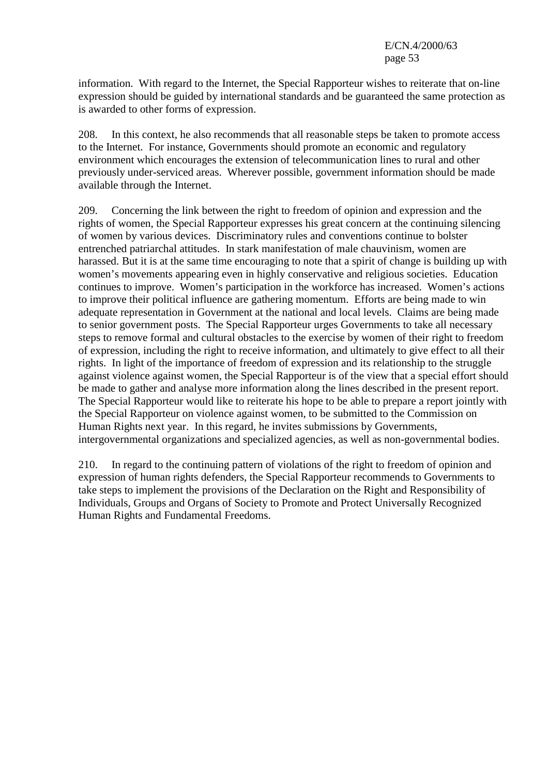information. With regard to the Internet, the Special Rapporteur wishes to reiterate that on-line expression should be guided by international standards and be guaranteed the same protection as is awarded to other forms of expression.

208. In this context, he also recommends that all reasonable steps be taken to promote access to the Internet. For instance, Governments should promote an economic and regulatory environment which encourages the extension of telecommunication lines to rural and other previously under-serviced areas. Wherever possible, government information should be made available through the Internet.

209. Concerning the link between the right to freedom of opinion and expression and the rights of women, the Special Rapporteur expresses his great concern at the continuing silencing of women by various devices. Discriminatory rules and conventions continue to bolster entrenched patriarchal attitudes. In stark manifestation of male chauvinism, women are harassed. But it is at the same time encouraging to note that a spirit of change is building up with women's movements appearing even in highly conservative and religious societies. Education continues to improve. Women's participation in the workforce has increased. Women's actions to improve their political influence are gathering momentum. Efforts are being made to win adequate representation in Government at the national and local levels. Claims are being made to senior government posts. The Special Rapporteur urges Governments to take all necessary steps to remove formal and cultural obstacles to the exercise by women of their right to freedom of expression, including the right to receive information, and ultimately to give effect to all their rights. In light of the importance of freedom of expression and its relationship to the struggle against violence against women, the Special Rapporteur is of the view that a special effort should be made to gather and analyse more information along the lines described in the present report. The Special Rapporteur would like to reiterate his hope to be able to prepare a report jointly with the Special Rapporteur on violence against women, to be submitted to the Commission on Human Rights next year. In this regard, he invites submissions by Governments, intergovernmental organizations and specialized agencies, as well as non-governmental bodies.

210. In regard to the continuing pattern of violations of the right to freedom of opinion and expression of human rights defenders, the Special Rapporteur recommends to Governments to take steps to implement the provisions of the Declaration on the Right and Responsibility of Individuals, Groups and Organs of Society to Promote and Protect Universally Recognized Human Rights and Fundamental Freedoms.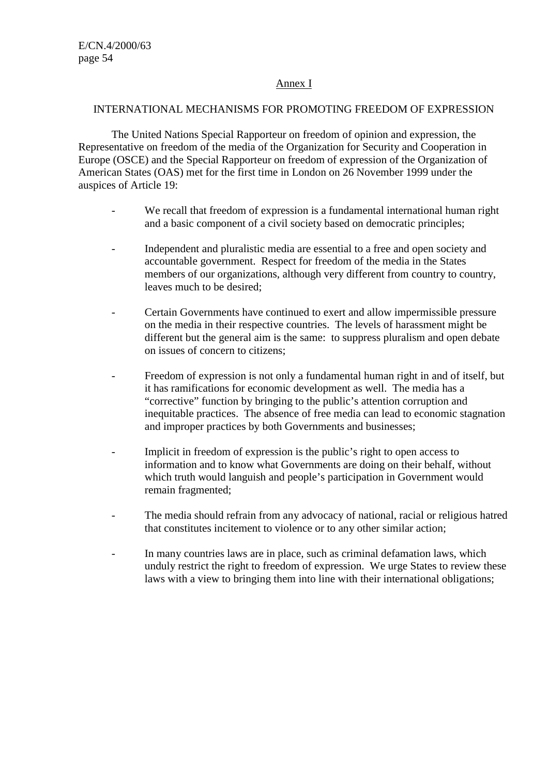#### Annex I

#### INTERNATIONAL MECHANISMS FOR PROMOTING FREEDOM OF EXPRESSION

The United Nations Special Rapporteur on freedom of opinion and expression, the Representative on freedom of the media of the Organization for Security and Cooperation in Europe (OSCE) and the Special Rapporteur on freedom of expression of the Organization of American States (OAS) met for the first time in London on 26 November 1999 under the auspices of Article 19:

- We recall that freedom of expression is a fundamental international human right and a basic component of a civil society based on democratic principles;
- Independent and pluralistic media are essential to a free and open society and accountable government. Respect for freedom of the media in the States members of our organizations, although very different from country to country, leaves much to be desired;
- Certain Governments have continued to exert and allow impermissible pressure on the media in their respective countries. The levels of harassment might be different but the general aim is the same: to suppress pluralism and open debate on issues of concern to citizens;
- Freedom of expression is not only a fundamental human right in and of itself, but it has ramifications for economic development as well. The media has a "corrective" function by bringing to the public's attention corruption and inequitable practices. The absence of free media can lead to economic stagnation and improper practices by both Governments and businesses;
- Implicit in freedom of expression is the public's right to open access to information and to know what Governments are doing on their behalf, without which truth would languish and people's participation in Government would remain fragmented;
- The media should refrain from any advocacy of national, racial or religious hatred that constitutes incitement to violence or to any other similar action;
- In many countries laws are in place, such as criminal defamation laws, which unduly restrict the right to freedom of expression. We urge States to review these laws with a view to bringing them into line with their international obligations;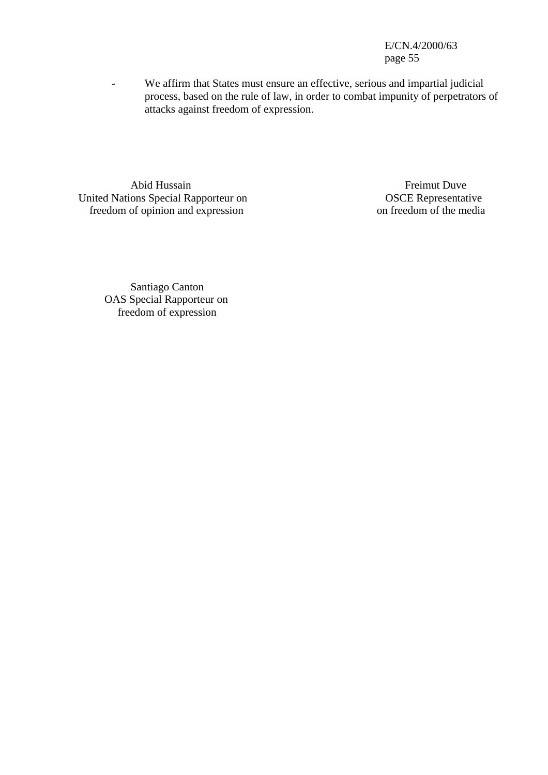- We affirm that States must ensure an effective, serious and impartial judicial process, based on the rule of law, in order to combat impunity of perpetrators of attacks against freedom of expression.

Abid Hussain Freimut Duve<br>
ions Special Rapporteur on CSCE Representative United Nations Special Rapporteur on freedom of opinion and expression on freedom of the media

Santiago Canton OAS Special Rapporteur on freedom of expression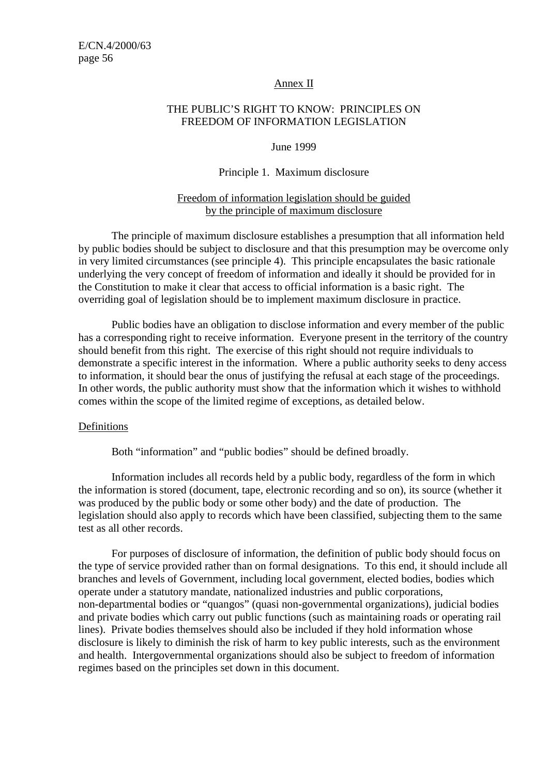#### Annex II

#### THE PUBLIC'S RIGHT TO KNOW: PRINCIPLES ON FREEDOM OF INFORMATION LEGISLATION

#### June 1999

#### Principle 1. Maximum disclosure

#### Freedom of information legislation should be guided by the principle of maximum disclosure

The principle of maximum disclosure establishes a presumption that all information held by public bodies should be subject to disclosure and that this presumption may be overcome only in very limited circumstances (see principle 4). This principle encapsulates the basic rationale underlying the very concept of freedom of information and ideally it should be provided for in the Constitution to make it clear that access to official information is a basic right. The overriding goal of legislation should be to implement maximum disclosure in practice.

Public bodies have an obligation to disclose information and every member of the public has a corresponding right to receive information. Everyone present in the territory of the country should benefit from this right. The exercise of this right should not require individuals to demonstrate a specific interest in the information. Where a public authority seeks to deny access to information, it should bear the onus of justifying the refusal at each stage of the proceedings. In other words, the public authority must show that the information which it wishes to withhold comes within the scope of the limited regime of exceptions, as detailed below.

#### Definitions

Both "information" and "public bodies" should be defined broadly.

Information includes all records held by a public body, regardless of the form in which the information is stored (document, tape, electronic recording and so on), its source (whether it was produced by the public body or some other body) and the date of production. The legislation should also apply to records which have been classified, subjecting them to the same test as all other records.

For purposes of disclosure of information, the definition of public body should focus on the type of service provided rather than on formal designations. To this end, it should include all branches and levels of Government, including local government, elected bodies, bodies which operate under a statutory mandate, nationalized industries and public corporations, non-departmental bodies or "quangos" (quasi non-governmental organizations), judicial bodies and private bodies which carry out public functions (such as maintaining roads or operating rail lines). Private bodies themselves should also be included if they hold information whose disclosure is likely to diminish the risk of harm to key public interests, such as the environment and health. Intergovernmental organizations should also be subject to freedom of information regimes based on the principles set down in this document.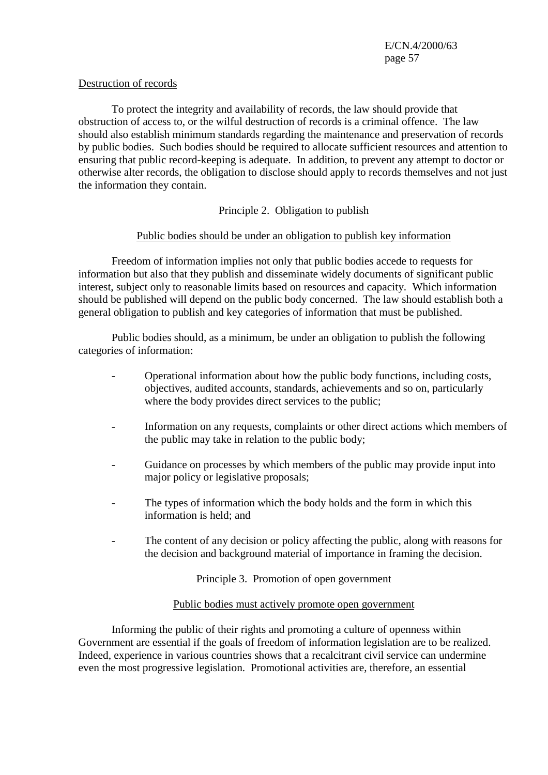#### Destruction of records

To protect the integrity and availability of records, the law should provide that obstruction of access to, or the wilful destruction of records is a criminal offence. The law should also establish minimum standards regarding the maintenance and preservation of records by public bodies. Such bodies should be required to allocate sufficient resources and attention to ensuring that public record-keeping is adequate. In addition, to prevent any attempt to doctor or otherwise alter records, the obligation to disclose should apply to records themselves and not just the information they contain.

## Principle 2. Obligation to publish

#### Public bodies should be under an obligation to publish key information

Freedom of information implies not only that public bodies accede to requests for information but also that they publish and disseminate widely documents of significant public interest, subject only to reasonable limits based on resources and capacity. Which information should be published will depend on the public body concerned. The law should establish both a general obligation to publish and key categories of information that must be published.

Public bodies should, as a minimum, be under an obligation to publish the following categories of information:

- Operational information about how the public body functions, including costs, objectives, audited accounts, standards, achievements and so on, particularly where the body provides direct services to the public;
- Information on any requests, complaints or other direct actions which members of the public may take in relation to the public body;
- Guidance on processes by which members of the public may provide input into major policy or legislative proposals;
- The types of information which the body holds and the form in which this information is held; and
- The content of any decision or policy affecting the public, along with reasons for the decision and background material of importance in framing the decision.

Principle 3. Promotion of open government

#### Public bodies must actively promote open government

Informing the public of their rights and promoting a culture of openness within Government are essential if the goals of freedom of information legislation are to be realized. Indeed, experience in various countries shows that a recalcitrant civil service can undermine even the most progressive legislation. Promotional activities are, therefore, an essential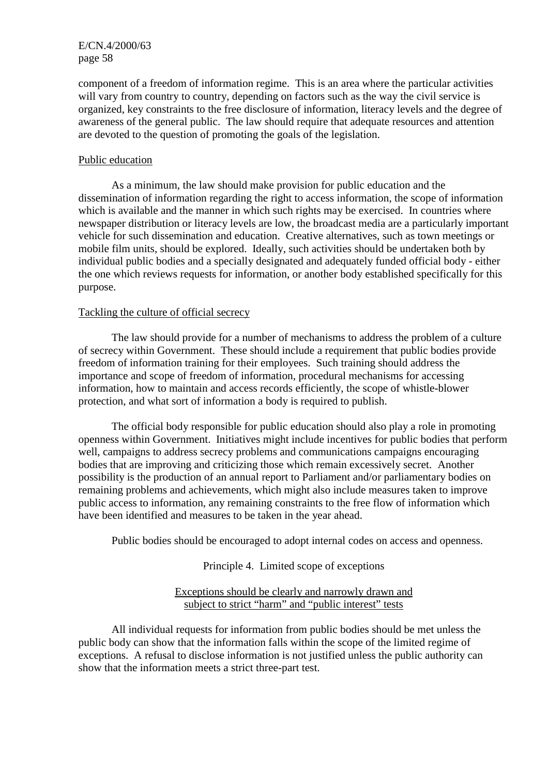component of a freedom of information regime. This is an area where the particular activities will vary from country to country, depending on factors such as the way the civil service is organized, key constraints to the free disclosure of information, literacy levels and the degree of awareness of the general public. The law should require that adequate resources and attention are devoted to the question of promoting the goals of the legislation.

#### Public education

As a minimum, the law should make provision for public education and the dissemination of information regarding the right to access information, the scope of information which is available and the manner in which such rights may be exercised. In countries where newspaper distribution or literacy levels are low, the broadcast media are a particularly important vehicle for such dissemination and education. Creative alternatives, such as town meetings or mobile film units, should be explored. Ideally, such activities should be undertaken both by individual public bodies and a specially designated and adequately funded official body - either the one which reviews requests for information, or another body established specifically for this purpose.

#### Tackling the culture of official secrecy

The law should provide for a number of mechanisms to address the problem of a culture of secrecy within Government. These should include a requirement that public bodies provide freedom of information training for their employees. Such training should address the importance and scope of freedom of information, procedural mechanisms for accessing information, how to maintain and access records efficiently, the scope of whistle-blower protection, and what sort of information a body is required to publish.

The official body responsible for public education should also play a role in promoting openness within Government. Initiatives might include incentives for public bodies that perform well, campaigns to address secrecy problems and communications campaigns encouraging bodies that are improving and criticizing those which remain excessively secret. Another possibility is the production of an annual report to Parliament and/or parliamentary bodies on remaining problems and achievements, which might also include measures taken to improve public access to information, any remaining constraints to the free flow of information which have been identified and measures to be taken in the year ahead.

Public bodies should be encouraged to adopt internal codes on access and openness.

Principle 4. Limited scope of exceptions

#### Exceptions should be clearly and narrowly drawn and subject to strict "harm" and "public interest" tests

All individual requests for information from public bodies should be met unless the public body can show that the information falls within the scope of the limited regime of exceptions. A refusal to disclose information is not justified unless the public authority can show that the information meets a strict three-part test.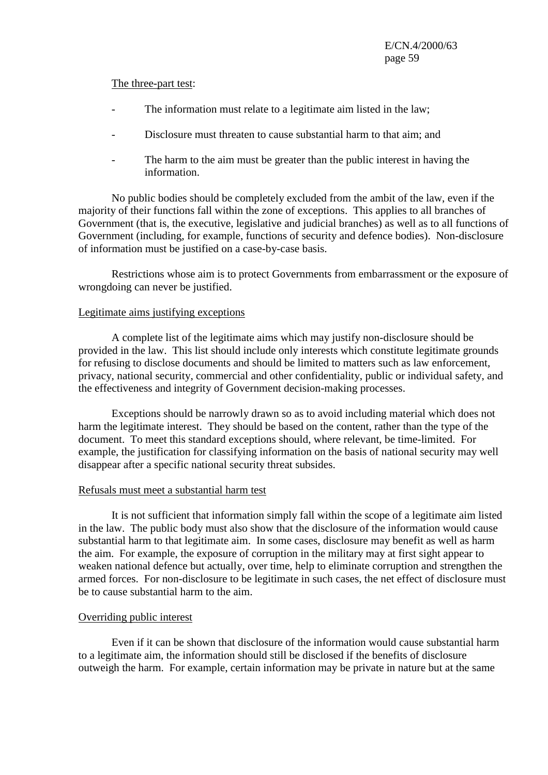#### The three-part test:

- The information must relate to a legitimate aim listed in the law;
- Disclosure must threaten to cause substantial harm to that aim; and
- The harm to the aim must be greater than the public interest in having the information.

No public bodies should be completely excluded from the ambit of the law, even if the majority of their functions fall within the zone of exceptions. This applies to all branches of Government (that is, the executive, legislative and judicial branches) as well as to all functions of Government (including, for example, functions of security and defence bodies). Non-disclosure of information must be justified on a case-by-case basis.

Restrictions whose aim is to protect Governments from embarrassment or the exposure of wrongdoing can never be justified.

#### Legitimate aims justifying exceptions

A complete list of the legitimate aims which may justify non-disclosure should be provided in the law. This list should include only interests which constitute legitimate grounds for refusing to disclose documents and should be limited to matters such as law enforcement, privacy, national security, commercial and other confidentiality, public or individual safety, and the effectiveness and integrity of Government decision-making processes.

Exceptions should be narrowly drawn so as to avoid including material which does not harm the legitimate interest. They should be based on the content, rather than the type of the document. To meet this standard exceptions should, where relevant, be time-limited. For example, the justification for classifying information on the basis of national security may well disappear after a specific national security threat subsides.

#### Refusals must meet a substantial harm test

It is not sufficient that information simply fall within the scope of a legitimate aim listed in the law. The public body must also show that the disclosure of the information would cause substantial harm to that legitimate aim. In some cases, disclosure may benefit as well as harm the aim. For example, the exposure of corruption in the military may at first sight appear to weaken national defence but actually, over time, help to eliminate corruption and strengthen the armed forces. For non-disclosure to be legitimate in such cases, the net effect of disclosure must be to cause substantial harm to the aim.

#### Overriding public interest

Even if it can be shown that disclosure of the information would cause substantial harm to a legitimate aim, the information should still be disclosed if the benefits of disclosure outweigh the harm. For example, certain information may be private in nature but at the same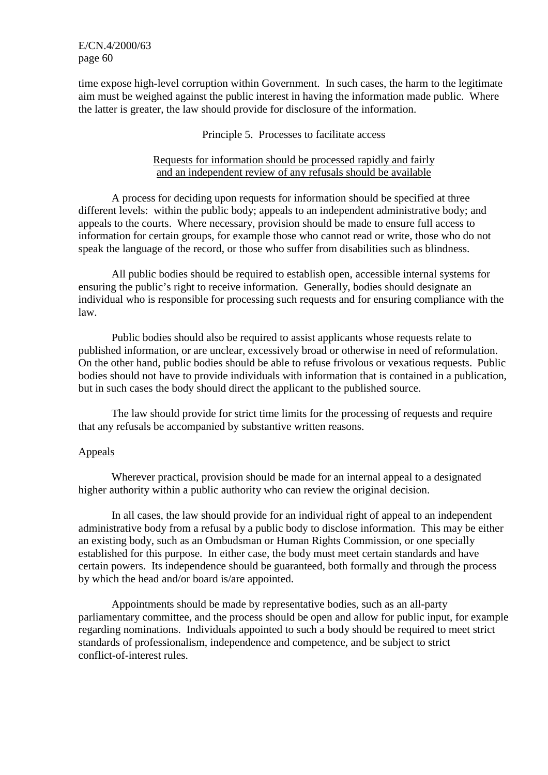time expose high-level corruption within Government. In such cases, the harm to the legitimate aim must be weighed against the public interest in having the information made public. Where the latter is greater, the law should provide for disclosure of the information.

#### Principle 5. Processes to facilitate access

#### Requests for information should be processed rapidly and fairly and an independent review of any refusals should be available

A process for deciding upon requests for information should be specified at three different levels: within the public body; appeals to an independent administrative body; and appeals to the courts. Where necessary, provision should be made to ensure full access to information for certain groups, for example those who cannot read or write, those who do not speak the language of the record, or those who suffer from disabilities such as blindness.

All public bodies should be required to establish open, accessible internal systems for ensuring the public's right to receive information. Generally, bodies should designate an individual who is responsible for processing such requests and for ensuring compliance with the law.

Public bodies should also be required to assist applicants whose requests relate to published information, or are unclear, excessively broad or otherwise in need of reformulation. On the other hand, public bodies should be able to refuse frivolous or vexatious requests. Public bodies should not have to provide individuals with information that is contained in a publication, but in such cases the body should direct the applicant to the published source.

The law should provide for strict time limits for the processing of requests and require that any refusals be accompanied by substantive written reasons.

#### Appeals

Wherever practical, provision should be made for an internal appeal to a designated higher authority within a public authority who can review the original decision.

In all cases, the law should provide for an individual right of appeal to an independent administrative body from a refusal by a public body to disclose information. This may be either an existing body, such as an Ombudsman or Human Rights Commission, or one specially established for this purpose. In either case, the body must meet certain standards and have certain powers. Its independence should be guaranteed, both formally and through the process by which the head and/or board is/are appointed.

Appointments should be made by representative bodies, such as an all-party parliamentary committee, and the process should be open and allow for public input, for example regarding nominations. Individuals appointed to such a body should be required to meet strict standards of professionalism, independence and competence, and be subject to strict conflict-of-interest rules.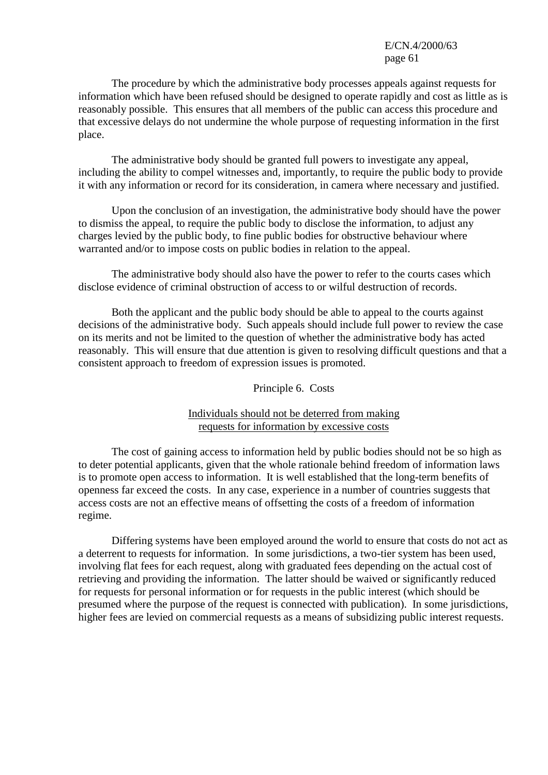The procedure by which the administrative body processes appeals against requests for information which have been refused should be designed to operate rapidly and cost as little as is reasonably possible. This ensures that all members of the public can access this procedure and that excessive delays do not undermine the whole purpose of requesting information in the first place.

The administrative body should be granted full powers to investigate any appeal, including the ability to compel witnesses and, importantly, to require the public body to provide it with any information or record for its consideration, in camera where necessary and justified.

Upon the conclusion of an investigation, the administrative body should have the power to dismiss the appeal, to require the public body to disclose the information, to adjust any charges levied by the public body, to fine public bodies for obstructive behaviour where warranted and/or to impose costs on public bodies in relation to the appeal.

The administrative body should also have the power to refer to the courts cases which disclose evidence of criminal obstruction of access to or wilful destruction of records.

Both the applicant and the public body should be able to appeal to the courts against decisions of the administrative body. Such appeals should include full power to review the case on its merits and not be limited to the question of whether the administrative body has acted reasonably. This will ensure that due attention is given to resolving difficult questions and that a consistent approach to freedom of expression issues is promoted.

## Principle 6. Costs

#### Individuals should not be deterred from making requests for information by excessive costs

The cost of gaining access to information held by public bodies should not be so high as to deter potential applicants, given that the whole rationale behind freedom of information laws is to promote open access to information. It is well established that the long-term benefits of openness far exceed the costs. In any case, experience in a number of countries suggests that access costs are not an effective means of offsetting the costs of a freedom of information regime.

Differing systems have been employed around the world to ensure that costs do not act as a deterrent to requests for information. In some jurisdictions, a two-tier system has been used, involving flat fees for each request, along with graduated fees depending on the actual cost of retrieving and providing the information. The latter should be waived or significantly reduced for requests for personal information or for requests in the public interest (which should be presumed where the purpose of the request is connected with publication). In some jurisdictions, higher fees are levied on commercial requests as a means of subsidizing public interest requests.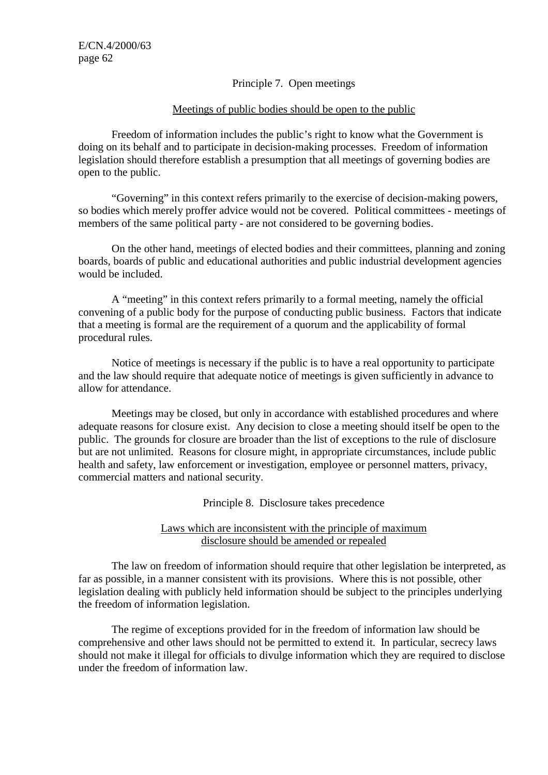### Principle 7. Open meetings

#### Meetings of public bodies should be open to the public

Freedom of information includes the public's right to know what the Government is doing on its behalf and to participate in decision-making processes. Freedom of information legislation should therefore establish a presumption that all meetings of governing bodies are open to the public.

"Governing" in this context refers primarily to the exercise of decision-making powers, so bodies which merely proffer advice would not be covered. Political committees - meetings of members of the same political party - are not considered to be governing bodies.

On the other hand, meetings of elected bodies and their committees, planning and zoning boards, boards of public and educational authorities and public industrial development agencies would be included.

A "meeting" in this context refers primarily to a formal meeting, namely the official convening of a public body for the purpose of conducting public business. Factors that indicate that a meeting is formal are the requirement of a quorum and the applicability of formal procedural rules.

Notice of meetings is necessary if the public is to have a real opportunity to participate and the law should require that adequate notice of meetings is given sufficiently in advance to allow for attendance.

Meetings may be closed, but only in accordance with established procedures and where adequate reasons for closure exist. Any decision to close a meeting should itself be open to the public. The grounds for closure are broader than the list of exceptions to the rule of disclosure but are not unlimited. Reasons for closure might, in appropriate circumstances, include public health and safety, law enforcement or investigation, employee or personnel matters, privacy, commercial matters and national security.

Principle 8. Disclosure takes precedence

### Laws which are inconsistent with the principle of maximum disclosure should be amended or repealed

The law on freedom of information should require that other legislation be interpreted, as far as possible, in a manner consistent with its provisions. Where this is not possible, other legislation dealing with publicly held information should be subject to the principles underlying the freedom of information legislation.

The regime of exceptions provided for in the freedom of information law should be comprehensive and other laws should not be permitted to extend it. In particular, secrecy laws should not make it illegal for officials to divulge information which they are required to disclose under the freedom of information law.